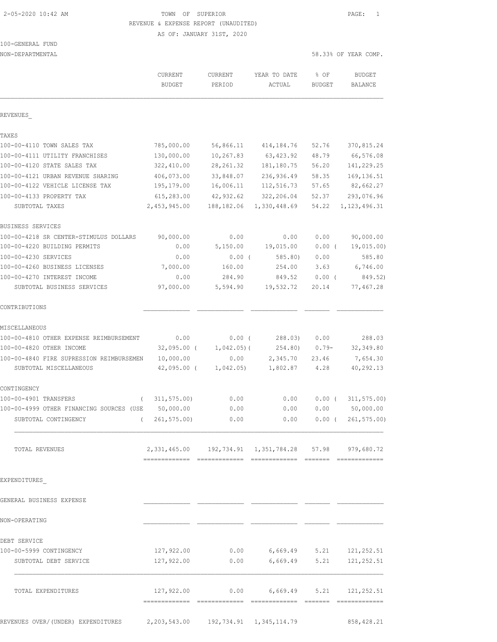# 2-05-2020 10:42 AM TOWN OF SUPERIOR PAGE: 1 REVENUE & EXPENSE REPORT (UNAUDITED)

AS OF: JANUARY 31ST, 2020

| 100-GENERAL FUND |  |
|------------------|--|
|                  |  |

NON-DEPARTMENTAL 58.33% OF YEAR COMP.

|                                          | CURRENT<br><b>BUDGET</b>                                    | <b>CURRENT</b><br>PERIOD | YEAR TO DATE<br>ACTUAL          | % OF<br><b>BUDGET</b> | <b>BUDGET</b><br>BALANCE |
|------------------------------------------|-------------------------------------------------------------|--------------------------|---------------------------------|-----------------------|--------------------------|
| REVENUES                                 |                                                             |                          |                                 |                       |                          |
| TAXES                                    |                                                             |                          |                                 |                       |                          |
| 100-00-4110 TOWN SALES TAX               | 785,000.00                                                  | 56,866.11                | 414,184.76                      | 52.76                 | 370,815.24               |
| 100-00-4111 UTILITY FRANCHISES           | 130,000.00                                                  | 10,267.83                | 63,423.92                       | 48.79                 | 66,576.08                |
| 100-00-4120 STATE SALES TAX              | 322,410.00                                                  | 28, 261.32               | 181,180.75                      | 56.20                 | 141,229.25               |
| 100-00-4121 URBAN REVENUE SHARING        | 406,073.00                                                  | 33,848.07                | 236,936.49                      | 58.35                 | 169, 136.51              |
| 100-00-4122 VEHICLE LICENSE TAX          | 195,179.00                                                  | 16,006.11                | 112,516.73                      | 57.65                 | 82,662.27                |
| 100-00-4133 PROPERTY TAX                 | 615,283.00                                                  | 42,932.62                | 322,206.04                      | 52.37                 | 293,076.96               |
| SUBTOTAL TAXES                           | 2,453,945.00                                                | 188,182.06               | 1,330,448.69                    | 54.22                 | 1, 123, 496.31           |
| <b>BUSINESS SERVICES</b>                 |                                                             |                          |                                 |                       |                          |
| 100-00-4218 SR CENTER-STIMULUS DOLLARS   | 90,000.00                                                   | 0.00                     | 0.00                            | 0.00                  | 90,000.00                |
| 100-00-4220 BUILDING PERMITS             | 0.00                                                        | 5,150.00                 | 19,015.00                       | $0.00$ (              | 19,015.00)               |
| 100-00-4230 SERVICES                     | 0.00                                                        | $0.00$ (                 | 585.80                          | 0.00                  | 585.80                   |
| 100-00-4260 BUSINESS LICENSES            | 7,000.00                                                    | 160.00                   | 254.00                          | 3.63                  | 6,746.00                 |
| 100-00-4270 INTEREST INCOME              | 0.00                                                        | 284.90                   | 849.52                          | $0.00$ (              | 849.52)                  |
| SUBTOTAL BUSINESS SERVICES               | 97,000.00                                                   | 5,594.90                 | 19,532.72                       | 20.14                 | 77,467.28                |
| CONTRIBUTIONS                            |                                                             |                          |                                 |                       |                          |
| MISCELLANEOUS                            |                                                             |                          |                                 |                       |                          |
| 100-00-4810 OTHER EXPENSE REIMBURSEMENT  | 0.00                                                        | $0.00$ (                 | 288.03)                         | 0.00                  | 288.03                   |
| 100-00-4820 OTHER INCOME                 | $32,095.00$ (                                               | $1,042.05$ ) (           | 254.80)                         | $0.79 -$              | 32, 349.80               |
| 100-00-4840 FIRE SUPRESSION REIMBURSEMEN | 10,000.00                                                   | 0.00                     | 2,345.70                        | 23.46                 | 7,654.30                 |
| SUBTOTAL MISCELLANEOUS                   | $42,095.00$ (                                               | 1,042.05)                | 1,802.87                        | 4.28                  | 40,292.13                |
| CONTINGENCY                              |                                                             |                          |                                 |                       |                          |
| 100-00-4901 TRANSFERS<br>$\left($        | 311, 575.00                                                 | 0.00                     | 0.00                            | $0.00$ (              | 311, 575.00              |
| 100-00-4999 OTHER FINANCING SOURCES (USE | 50,000.00                                                   | 0.00                     | 0.00                            | 0.00                  | 50,000.00                |
| SUBTOTAL CONTINGENCY<br>$\left($         | 261, 575.00                                                 | 0.00                     | 0.00                            | $0.00$ (              | 261, 575.00              |
| TOTAL REVENUES                           | 2, 331, 465.00 192, 734.91 1, 351, 784.28 57.98 979, 680.72 |                          |                                 |                       |                          |
| EXPENDITURES                             |                                                             |                          |                                 |                       |                          |
| GENERAL BUSINESS EXPENSE                 |                                                             |                          |                                 |                       |                          |
| NON-OPERATING                            |                                                             |                          |                                 |                       |                          |
| DEBT SERVICE                             |                                                             |                          |                                 |                       |                          |
| 100-00-5999 CONTINGENCY                  | 127,922.00                                                  | 0.00                     | $6,669.49$ $5.21$               |                       | 121,252.51               |
| SUBTOTAL DEBT SERVICE                    | 127,922.00                                                  | 0.00                     | $6,669.49$ $5.21$               |                       | 121, 252.51              |
| TOTAL EXPENDITURES                       | 127,922.00                                                  |                          | $0.00$ 6,669.49 5.21 121,252.51 |                       |                          |
|                                          |                                                             |                          |                                 |                       |                          |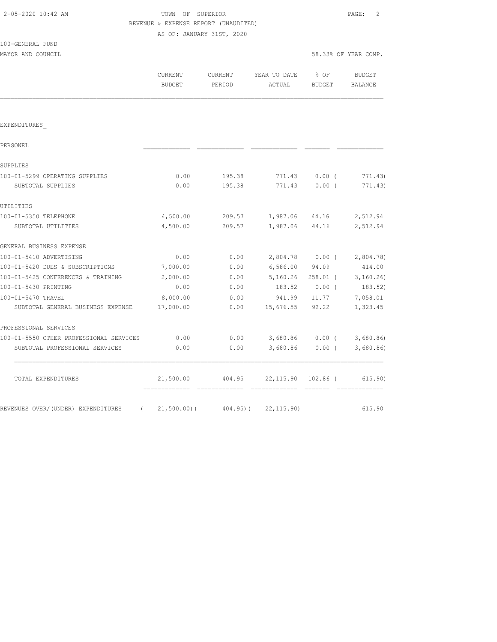# TOWN OF SUPERIOR **Example 20:42 AM TOWN OF SUPERIOR** REVENUE & EXPENSE REPORT (UNAUDITED)

AS OF: JANUARY 31ST, 2020

| 100-GENERAL FUND |  |
|------------------|--|
|                  |  |

MAYOR AND COUNCIL SERVICE SERVICE SERVICE SERVICE SOME SOLUTION OF THE SOLUTION SERVICE SERVICE SERVICE SERVICE

|                                                | CURRENT<br><b>BUDGET</b> | CURRENT<br>PERIOD | YEAR TO DATE<br>ACTUAL | % OF<br>BUDGET |           |
|------------------------------------------------|--------------------------|-------------------|------------------------|----------------|-----------|
|                                                |                          |                   |                        |                |           |
| EXPENDITURES                                   |                          |                   |                        |                |           |
| PERSONEL                                       |                          |                   |                        |                |           |
| SUPPLIES                                       |                          |                   |                        |                |           |
| 100-01-5299 OPERATING SUPPLIES                 | 0.00                     | 195.38            | 771.43                 | $0.00$ (       | 771.43)   |
| SUBTOTAL SUPPLIES                              | 0.00                     | 195.38            | 771.43                 | 0.00(          | 771.43)   |
| UTILITIES                                      |                          |                   |                        |                |           |
| 100-01-5350 TELEPHONE                          | 4,500.00                 | 209.57            | 1,987.06               | 44.16          | 2,512.94  |
| SUBTOTAL UTILITIES                             | 4,500.00                 | 209.57            | 1,987.06               | 44.16          | 2,512.94  |
| GENERAL BUSINESS EXPENSE                       |                          |                   |                        |                |           |
| 100-01-5410 ADVERTISING                        | 0.00                     | 0.00              | 2,804.78               | 0.00(          | 2,804.78) |
| 100-01-5420 DUES & SUBSCRIPTIONS               | 7,000.00                 | 0.00              | 6,586.00               | 94.09          | 414.00    |
| 100-01-5425 CONFERENCES & TRAINING             | 2,000.00                 | 0.00              | 5,160.26               | $258.01$ (     | 3,160.26  |
| 100-01-5430 PRINTING                           | 0.00                     | 0.00              | 183.52                 | 0.00(          | 183.52)   |
| 100-01-5470 TRAVEL                             | 8,000.00                 | 0.00              | 941.99                 | 11.77          | 7,058.01  |
| SUBTOTAL GENERAL BUSINESS EXPENSE              | 17,000.00                | 0.00              | 15,676.55              | 92.22          | 1,323.45  |
| PROFESSIONAL SERVICES                          |                          |                   |                        |                |           |
| 100-01-5550 OTHER PROFESSIONAL SERVICES        | 0.00                     | 0.00              | 3,680.86               | 0.00(          | 3,680.86) |
| SUBTOTAL PROFESSIONAL SERVICES                 | 0.00                     | 0.00              | 3,680.86               | $0.00$ (       | 3,680.86  |
| TOTAL EXPENDITURES                             | 21,500.00                | 404.95            | 22,115.90              | $102.86$ (     | 615.90)   |
| REVENUES OVER/(UNDER) EXPENDITURES<br>$\left($ | $21,500.00)$ (           | 404.95)(          | 22, 115.90)            |                | 615.90    |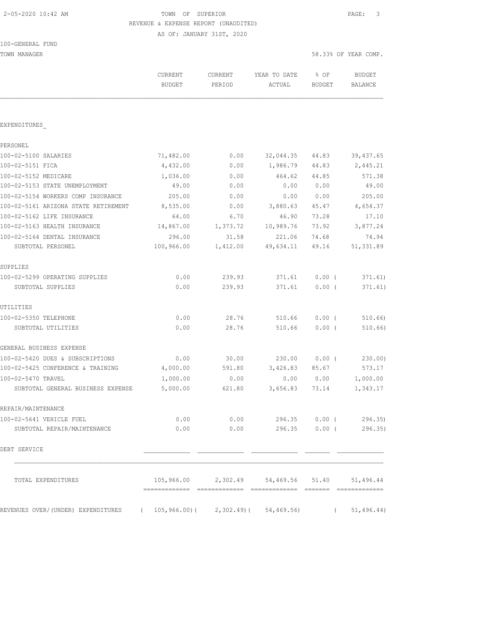# 2-05-2020 10:42 AM TOWN OF SUPERIOR PAGE: 3 REVENUE & EXPENSE REPORT (UNAUDITED)

AS OF: JANUARY 31ST, 2020

TOWN MANAGER 58.33% OF YEAR COMP.

|                                                                                  | <b>CURRENT</b><br>CURRENT<br><b>BUDGET</b><br>PERIOD |          | YEAR TO DATE<br>ACTUAL                        | % OF<br><b>BUDGET</b> | <b>BUDGET</b><br>BALANCE |
|----------------------------------------------------------------------------------|------------------------------------------------------|----------|-----------------------------------------------|-----------------------|--------------------------|
| EXPENDITURES                                                                     |                                                      |          |                                               |                       |                          |
|                                                                                  |                                                      |          |                                               |                       |                          |
| PERSONEL                                                                         |                                                      |          |                                               |                       |                          |
| 100-02-5100 SALARIES                                                             | 71,482.00                                            | 0.00     | 32,044.35                                     | 44.83                 | 39, 437.65               |
| 100-02-5151 FICA                                                                 | 4,432.00                                             | 0.00     | 1,986.79                                      | 44.83                 | 2,445.21                 |
| 100-02-5152 MEDICARE                                                             | 1,036.00                                             | 0.00     | 464.62                                        | 44.85                 | 571.38                   |
| 100-02-5153 STATE UNEMPLOYMENT                                                   | 49.00                                                | 0.00     | 0.00                                          | 0.00                  | 49.00                    |
| 100-02-5154 WORKERS COMP INSURANCE                                               | 205.00                                               | 0.00     | 0.00                                          | 0.00                  | 205.00                   |
| 100-02-5161 ARIZONA STATE RETIREMENT                                             | 8,535.00                                             | 0.00     | 3,880.63                                      | 45.47                 | 4,654.37                 |
| 100-02-5162 LIFE INSURANCE                                                       | 64.00                                                | 6.70     | 46.90                                         | 73.28                 | 17.10                    |
| 100-02-5163 HEALTH INSURANCE                                                     | 14,867.00                                            | 1,373.72 | 10,989.76                                     | 73.92                 | 3,877.24                 |
| 100-02-5164 DENTAL INSURANCE                                                     | 296.00                                               | 31.58    | 221.06                                        | 74.68                 | 74.94                    |
| SUBTOTAL PERSONEL                                                                | 100,966.00                                           | 1,412.00 | 49,634.11                                     | 49.16                 | 51, 331.89               |
| SUPPLIES                                                                         |                                                      |          |                                               |                       |                          |
| 100-02-5299 OPERATING SUPPLIES                                                   | 0.00                                                 | 239.93   | 371.61                                        | $0.00$ (              | 371.61)                  |
| SUBTOTAL SUPPLIES                                                                | 0.00                                                 | 239.93   | 371.61                                        | $0.00$ (              | 371.61)                  |
| UTILITIES                                                                        |                                                      |          |                                               |                       |                          |
| 100-02-5350 TELEPHONE                                                            | 0.00                                                 | 28.76    | 510.66                                        | $0.00$ (              | 510.66                   |
| SUBTOTAL UTILITIES                                                               | 0.00                                                 | 28.76    | 510.66                                        | $0.00$ (              | 510.66)                  |
| GENERAL BUSINESS EXPENSE                                                         |                                                      |          |                                               |                       |                          |
| 100-02-5420 DUES & SUBSCRIPTIONS                                                 | 0.00                                                 | 30.00    | 230.00                                        | $0.00$ (              | 230.00)                  |
| 100-02-5425 CONFERENCE & TRAINING                                                | 4,000.00                                             | 591.80   | 3,426.83                                      | 85.67                 | 573.17                   |
| 100-02-5470 TRAVEL                                                               | 1,000.00                                             | 0.00     | 0.00                                          | 0.00                  | 1,000.00                 |
| SUBTOTAL GENERAL BUSINESS EXPENSE                                                | 5,000.00                                             | 621.80   | 3,656.83                                      | 73.14                 | 1,343.17                 |
| REPAIR/MAINTENANCE                                                               |                                                      |          |                                               |                       |                          |
| 100-02-5641 VEHICLE FUEL                                                         | 0.00                                                 | 0.00     | 296.35                                        | 0.00(                 | 296.35                   |
| SUBTOTAL REPAIR/MAINTENANCE                                                      |                                                      |          | $0.00$ 0.00 296.35 0.00 (                     |                       | 296.35)                  |
| DEBT SERVICE                                                                     |                                                      |          |                                               |                       |                          |
| TOTAL EXPENDITURES                                                               |                                                      |          | 105,966.00 2,302.49 54,469.56 51.40 51,496.44 |                       |                          |
| REVENUES OVER/(UNDER) EXPENDITURES (105,966.00)(2,302.49)(54,469.56) (51,496.44) |                                                      |          |                                               |                       |                          |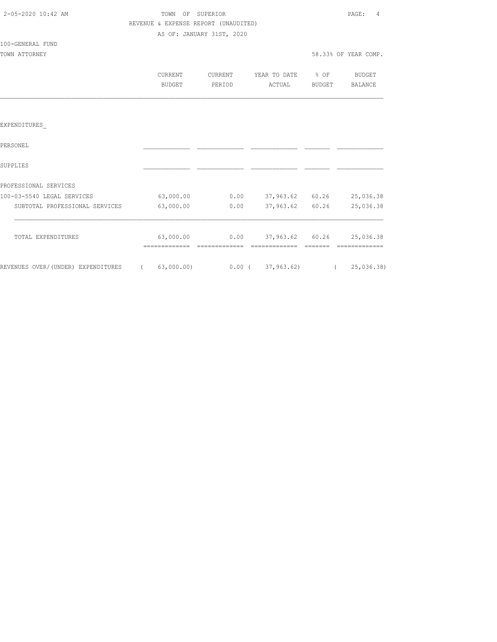| 2-05-2020 10:42 AM |  |
|--------------------|--|

# TOWN OF SUPERIOR **10:42 AM TOWN OF SUPERIOR** REVENUE & EXPENSE REPORT (UNAUDITED)

AS OF: JANUARY 31ST, 2020

#### 100-GENERAL FUND

|  |  |        | YEAR TO DATE |        | $8$ OF | <b>BUDGET</b> |  |
|--|--|--------|--------------|--------|--------|---------------|--|
|  |  | ACTUAL |              | BUDGET |        | BALANCE       |  |
|  |  |        |              |        |        |               |  |

### EXPENDITURES\_

| PERSONEL                           |            |          |              |       |            |
|------------------------------------|------------|----------|--------------|-------|------------|
| SUPPLIES                           |            |          |              |       |            |
| PROFESSIONAL SERVICES              |            |          |              |       |            |
| 100-03-5540 LEGAL SERVICES         | 63,000.00  | 0.00     | 37,963.62    | 60.26 | 25,036.38  |
| SUBTOTAL PROFESSIONAL SERVICES     | 63,000.00  | 0.00     | 37,963.62    | 60.26 | 25,036.38  |
| TOTAL EXPENDITURES                 | 63,000.00  | 0.00     | 37,963.62    | 60.26 | 25,036.38  |
| REVENUES OVER/(UNDER) EXPENDITURES | 63,000.00) | $0.00$ ( | 37, 963, 62) |       | 25,036.38) |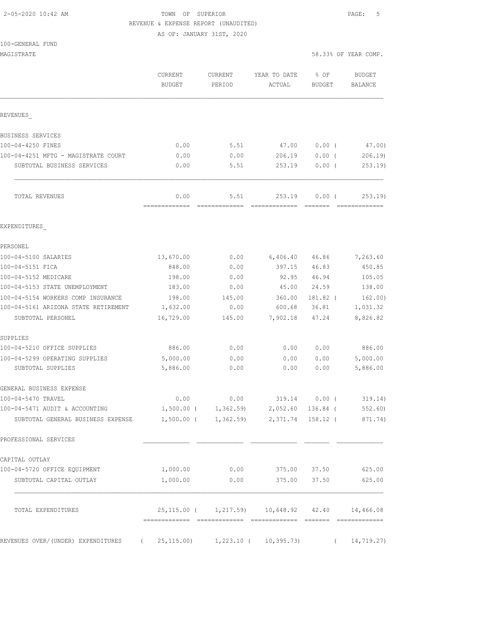# 2-05-2020 10:42 AM TOWN OF SUPERIOR PAGE: 5 REVENUE & EXPENSE REPORT (UNAUDITED)

AS OF: JANUARY 31ST, 2020

| MAGISTRATE                                          |                                         |                   |                                                       |                       | 58.33% OF YEAR COMP.     |
|-----------------------------------------------------|-----------------------------------------|-------------------|-------------------------------------------------------|-----------------------|--------------------------|
|                                                     | <b>CURRENT</b><br><b>BUDGET</b>         | CURRENT<br>PERIOD | YEAR TO DATE<br>ACTUAL                                | % OF<br><b>BUDGET</b> | <b>BUDGET</b><br>BALANCE |
| REVENUES                                            |                                         |                   |                                                       |                       |                          |
| BUSINESS SERVICES                                   |                                         |                   |                                                       |                       |                          |
| 100-04-4250 FINES                                   | 0.00                                    | 5.51              | 47.00                                                 | 0.00(                 | 47.00)                   |
| 100-04-4251 MFTG - MAGISTRATE COURT                 | 0.00                                    | 0.00              | 206.19                                                | $0.00$ (              | 206.19                   |
| SUBTOTAL BUSINESS SERVICES                          | 0.00                                    | 5.51              | 253.19                                                | 0.00(                 | 253.19                   |
| TOTAL REVENUES                                      | 0.00<br>=============================== | 5.51              | 253.19<br>2222222222222 2222222                       | $0.00$ (              | 253.19<br>=============  |
| EXPENDITURES                                        |                                         |                   |                                                       |                       |                          |
| PERSONEL                                            |                                         |                   |                                                       |                       |                          |
| 100-04-5100 SALARIES                                | 13,670.00                               | 0.00              | 6,406.40                                              | 46.86                 | 7,263.60                 |
| 100-04-5151 FICA                                    | 848.00                                  | 0.00              | 397.15                                                | 46.83                 | 450.85                   |
| 100-04-5152 MEDICARE                                | 198.00                                  | 0.00              | 92.95                                                 | 46.94                 | 105.05                   |
| 100-04-5153 STATE UNEMPLOYMENT                      | 183.00                                  | 0.00              | 45.00                                                 | 24.59                 | 138.00                   |
| 100-04-5154 WORKERS COMP INSURANCE                  | 198.00                                  | 145.00            | 360.00                                                | 181.82 (              | 162.00)                  |
| 100-04-5161 ARIZONA STATE RETIREMENT                | 1,632.00                                | 0.00              | 600.68                                                | 36.81                 | 1,031.32                 |
| SUBTOTAL PERSONEL                                   | 16,729.00                               | 145.00            | 7,902.18                                              | 47.24                 | 8,826.82                 |
| SUPPLIES                                            |                                         |                   |                                                       |                       |                          |
| 100-04-5210 OFFICE SUPPLIES                         | 886.00                                  | 0.00              | 0.00                                                  | 0.00                  | 886.00                   |
| 100-04-5299 OPERATING SUPPLIES<br>SUBTOTAL SUPPLIES | 5,000.00<br>5,886.00                    | 0.00<br>0.00      | 0.00<br>0.00                                          | 0.00<br>0.00          | 5,000.00<br>5,886.00     |
| GENERAL BUSINESS EXPENSE                            |                                         |                   |                                                       |                       |                          |
| 100-04-5470 TRAVEL                                  | 0.00                                    | 0.00              | 319.14                                                | 0.00(                 | 319.14)                  |
| 100-04-5471 AUDIT & ACCOUNTING                      | $1,500.00$ (                            | 1,362.59          | 2,052.60                                              | 136.84 (              | 552.60)                  |
| SUBTOTAL GENERAL BUSINESS EXPENSE                   |                                         |                   | $1,500.00$ ( $1,362.59$ ) $2,371.74$ 158.12 ( 871.74) |                       |                          |
| PROFESSIONAL SERVICES                               |                                         |                   |                                                       |                       |                          |
| CAPITAL OUTLAY                                      |                                         |                   |                                                       |                       |                          |
| 100-04-5720 OFFICE EQUIPMENT                        | 1,000.00                                | 0.00              | 375.00 37.50                                          |                       | 625.00                   |
| SUBTOTAL CAPITAL OUTLAY                             | 1,000.00                                | 0.00              | 375.00                                                | 37.50                 | 625.00                   |
| TOTAL EXPENDITURES                                  |                                         |                   | 25,115.00 ( 1,217.59) 10,648.92 42.40                 |                       | 14,466.08                |
| REVENUES OVER/(UNDER) EXPENDITURES (25,115.00)      |                                         |                   | $1,223.10$ ( $10,395.73$ )                            | $\left($              | 14,719.27)               |
|                                                     |                                         |                   |                                                       |                       |                          |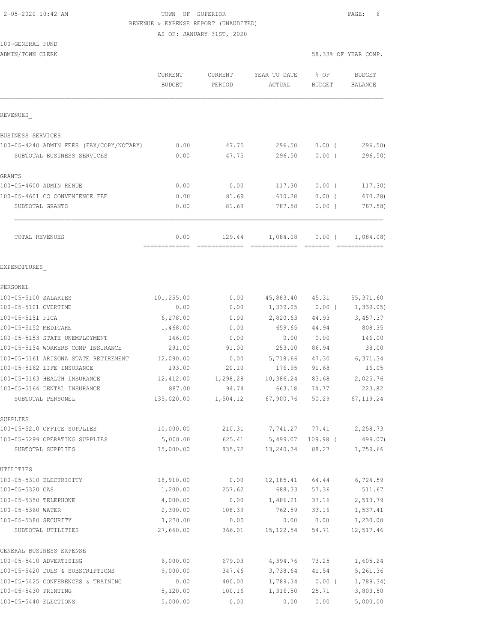#### 2-05-2020 10:42 AM TOWN OF SUPERIOR PAGE: 6 REVENUE & EXPENSE REPORT (UNAUDITED)

AS OF: JANUARY 31ST, 2020

# 100-GENERAL FUND

ADMIN/TOWN CLERK 6.33% OF YEAR COMP.

|                                          | CURRENT<br><b>BUDGET</b> | CURRENT<br>PERIOD | YEAR TO DATE<br>ACTUAL | % OF<br><b>BUDGET</b> | <b>BUDGET</b><br><b>BALANCE</b> |
|------------------------------------------|--------------------------|-------------------|------------------------|-----------------------|---------------------------------|
| REVENUES                                 |                          |                   |                        |                       |                                 |
| BUSINESS SERVICES                        |                          |                   |                        |                       |                                 |
| 100-05-4240 ADMIN FEES (FAX/COPY/NOTARY) | 0.00                     | 47.75             | 296.50                 | $0.00$ (              | 296.50                          |
| SUBTOTAL BUSINESS SERVICES               | 0.00                     | 47.75             | 296.50                 | $0.00$ (              | 296.50)                         |
| GRANTS                                   |                          |                   |                        |                       |                                 |
| 100-05-4600 ADMIN RENUE                  | 0.00                     | 0.00              | 117.30                 | $0.00$ (              | 117.30)                         |
| 100-05-4601 CC CONVENIENCE FEE           | 0.00                     | 81.69             | 670.28                 | $0.00$ (              | 670.28                          |
| SUBTOTAL GRANTS                          | 0.00                     | 81.69             | 787.58                 | $0.00$ (              | 787.58)                         |
| TOTAL REVENUES                           | 0.00<br>----------       | 129.44            | 1,084.08               |                       | $0.00$ ( $1,084.08$ )           |
| EXPENDITURES                             |                          |                   |                        |                       |                                 |
| PERSONEL                                 |                          |                   |                        |                       |                                 |
| 100-05-5100 SALARIES                     | 101,255.00               | 0.00              |                        | 45,883.40 45.31       | 55, 371.60                      |
| 100-05-5101 OVERTIME                     | 0.00                     | 0.00              | 1,339.05               | $0.00$ (              | 1,339.05                        |
| 100-05-5151 FICA                         | 6,278.00                 | 0.00              | 2,820.63               | 44.93                 | 3,457.37                        |
| 100-05-5152 MEDICARE                     | 1,468.00                 | 0.00              | 659.65                 | 44.94                 | 808.35                          |
| 100-05-5153 STATE UNEMPLOYMENT           | 146.00                   | 0.00              | 0.00                   | 0.00                  | 146.00                          |
| 100-05-5154 WORKERS COMP INSURANCE       | 291.00                   | 91.00             | 253.00                 | 86.94                 | 38.00                           |
| 100-05-5161 ARIZONA STATE RETIREMENT     | 12,090.00                | 0.00              | 5,718.66               | 47.30                 | 6,371.34                        |
| 100-05-5162 LIFE INSURANCE               | 193.00                   | 20.10             | 176.95                 | 91.68                 | 16.05                           |
| 100-05-5163 HEALTH INSURANCE             | 12,412.00                | 1,298.28          | 10,386.24              | 83.68                 | 2,025.76                        |
| 100-05-5164 DENTAL INSURANCE             | 887.00                   | 94.74             | 663.18                 | 74.77                 | 223.82                          |
| SUBTOTAL PERSONEL                        | 135,020.00               | 1,504.12          | 67,900.76              | 50.29                 | 67, 119.24                      |
| SUPPLIES                                 |                          |                   |                        |                       |                                 |
| 100-05-5210 OFFICE SUPPLIES              | 10,000.00                | 210.31            | 7,741.27               | 77.41                 | 2,258.73                        |
| 100-05-5299 OPERATING SUPPLIES           | 5,000.00                 | 625.41            |                        | 5,499.07 109.98 (     | 499.07)                         |
| SUBTOTAL SUPPLIES                        | 15,000.00                | 835.72            | 13,240.34              | 88.27                 | 1,759.66                        |
| UTILITIES                                |                          |                   |                        |                       |                                 |
| 100-05-5310 ELECTRICITY                  | 18,910.00                | 0.00              | 12,185.41              | 64.44                 | 6,724.59                        |
| 100-05-5320 GAS                          | 1,200.00                 | 257.62            | 688.33                 | 57.36                 | 511.67                          |
| 100-05-5350 TELEPHONE                    | 4,000.00                 | 0.00              | 1,486.21               | 37.16                 | 2,513.79                        |
| 100-05-5360 WATER                        | 2,300.00                 | 108.39            | 762.59                 | 33.16                 | 1,537.41                        |
| 100-05-5380 SECURITY                     | 1,230.00                 | 0.00              | 0.00                   | 0.00                  | 1,230.00                        |
| SUBTOTAL UTILITIES                       | 27,640.00                | 366.01            | 15, 122.54             | 54.71                 | 12,517.46                       |
| GENERAL BUSINESS EXPENSE                 |                          |                   |                        |                       |                                 |
| 100-05-5410 ADVERTISING                  | 6,000.00                 | 679.03            | 4,394.76               | 73.25                 | 1,605.24                        |
| 100-05-5420 DUES & SUBSCRIPTIONS         | 9,000.00                 | 347.46            | 3,738.64               | 41.54                 | 5,261.36                        |
| 100-05-5425 CONFERENCES & TRAINING       | 0.00                     | 400.00            | 1,789.34               | $0.00$ (              | 1,789.34)                       |
| 100-05-5430 PRINTING                     | 5,120.00                 | 100.16            | 1,316.50               | 25.71                 | 3,803.50                        |
| 100-05-5440 ELECTIONS                    | 5,000.00                 | 0.00              | 0.00                   | 0.00                  | 5,000.00                        |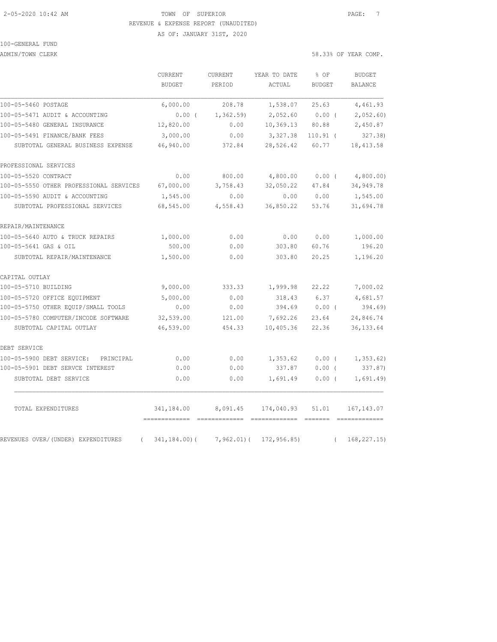#### 2-05-2020 10:42 AM TOWN OF SUPERIOR PAGE: 7 REVENUE & EXPENSE REPORT (UNAUDITED)

AS OF: JANUARY 31ST, 2020

# 100-GENERAL FUND

ADMIN/TOWN CLERK 58.33% OF YEAR COMP.

|                                                | CURRENT<br><b>BUDGET</b> | CURRENT<br>PERIOD | YEAR TO DATE<br>ACTUAL | % OF<br><b>BUDGET</b> | <b>BUDGET</b><br><b>BALANCE</b> |
|------------------------------------------------|--------------------------|-------------------|------------------------|-----------------------|---------------------------------|
|                                                |                          |                   |                        |                       |                                 |
| 100-05-5460 POSTAGE                            | 6,000.00                 | 208.78            | 1,538.07               | 25.63                 | 4,461.93                        |
| 100-05-5471 AUDIT & ACCOUNTING                 | $0.00$ (                 | 1, 362.59         | 2,052.60               | 0.00(                 | 2,052.60)                       |
| 100-05-5480 GENERAL INSURANCE                  | 12,820.00                | 0.00              | 10,369.13              | 80.88                 | 2,450.87                        |
| 100-05-5491 FINANCE/BANK FEES                  | 3,000.00                 | 0.00              | 3,327.38               | $110.91$ (            | 327.38)                         |
| SUBTOTAL GENERAL BUSINESS EXPENSE              | 46,940.00                | 372.84            | 28,526.42              | 60.77                 | 18, 413.58                      |
| PROFESSIONAL SERVICES                          |                          |                   |                        |                       |                                 |
| 100-05-5520 CONTRACT                           | 0.00                     | 800.00            | 4,800.00               | $0.00$ (              | 4,800.00)                       |
| 100-05-5550 OTHER PROFESSIONAL SERVICES        | 67,000.00                | 3,758.43          | 32,050.22              | 47.84                 | 34,949.78                       |
| 100-05-5590 AUDIT & ACCOUNTING                 | 1,545.00                 | 0.00              | 0.00                   | 0.00                  | 1,545.00                        |
| SUBTOTAL PROFESSIONAL SERVICES                 | 68,545.00                | 4,558.43          | 36,850.22              | 53.76                 | 31,694.78                       |
| REPAIR/MAINTENANCE                             |                          |                   |                        |                       |                                 |
| 100-05-5640 AUTO & TRUCK REPAIRS               | 1,000.00                 | 0.00              | 0.00                   | 0.00                  | 1,000.00                        |
| 100-05-5641 GAS & OIL                          | 500.00                   | 0.00              | 303.80                 | 60.76                 | 196.20                          |
| SUBTOTAL REPAIR/MAINTENANCE                    | 1,500.00                 | 0.00              | 303.80                 | 20.25                 | 1,196.20                        |
| CAPITAL OUTLAY                                 |                          |                   |                        |                       |                                 |
| 100-05-5710 BUILDING                           | 9,000.00                 | 333.33            | 1,999.98               | 22.22                 | 7,000.02                        |
| 100-05-5720 OFFICE EQUIPMENT                   | 5,000.00                 | 0.00              | 318.43                 | 6.37                  | 4,681.57                        |
| 100-05-5750 OTHER EQUIP/SMALL TOOLS            | 0.00                     | 0.00              | 394.69                 | $0.00$ (              | 394.69                          |
| 100-05-5780 COMPUTER/INCODE SOFTWARE           | 32,539.00                | 121.00            | 7,692.26               | 23.64                 | 24,846.74                       |
| SUBTOTAL CAPITAL OUTLAY                        | 46,539.00                | 454.33            | 10,405.36              | 22.36                 | 36, 133.64                      |
| DEBT SERVICE                                   |                          |                   |                        |                       |                                 |
| 100-05-5900 DEBT SERVICE:<br>PRINCIPAL         | 0.00                     | 0.00              | 1,353.62               | $0.00$ (              | 1, 353.62)                      |
| 100-05-5901 DEBT SERVCE INTEREST               | 0.00                     | 0.00              | 337.87                 | $0.00$ (              | 337.87)                         |
| SUBTOTAL DEBT SERVICE                          | 0.00                     | 0.00              | 1,691.49               | $0.00$ (              | 1,691.49                        |
| TOTAL EXPENDITURES                             | 341,184.00               | 8,091.45          | 174,040.93             | 51.01                 | 167, 143.07                     |
| REVENUES OVER/(UNDER) EXPENDITURES<br>$\left($ | $341, 184.00$ (          | 7,962.01)(        | 172,956.85)            | $\left($              | 168, 227.15)                    |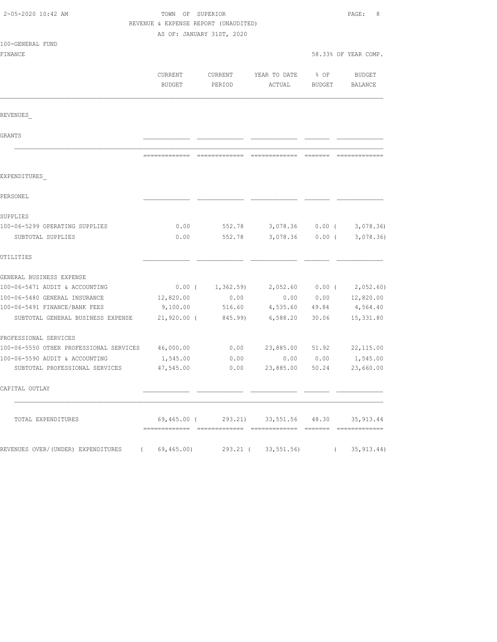| 2-05-2020 10:42 AM                             | TOWN OF SUPERIOR  | REVENUE & EXPENSE REPORT (UNAUDITED) |                                              |                   | PAGE:<br>8           |
|------------------------------------------------|-------------------|--------------------------------------|----------------------------------------------|-------------------|----------------------|
|                                                |                   | AS OF: JANUARY 31ST, 2020            |                                              |                   |                      |
| 100-GENERAL FUND                               |                   |                                      |                                              |                   |                      |
| FINANCE                                        |                   |                                      |                                              |                   | 58.33% OF YEAR COMP. |
|                                                | CURRENT<br>BUDGET | CURRENT<br>PERIOD                    | YEAR TO DATE<br>ACTUAL                       | % OF<br>BUDGET    | BUDGET<br>BALANCE    |
| REVENUES                                       |                   |                                      |                                              |                   |                      |
| GRANTS                                         |                   |                                      |                                              |                   |                      |
|                                                |                   |                                      |                                              |                   |                      |
| EXPENDITURES                                   |                   |                                      |                                              |                   |                      |
| PERSONEL                                       |                   |                                      |                                              |                   |                      |
| SUPPLIES                                       |                   |                                      |                                              |                   |                      |
| 100-06-5299 OPERATING SUPPLIES                 | 0.00              | 552.78                               | 3,078.36                                     | $0.00$ (          | 3,078.36             |
| SUBTOTAL SUPPLIES                              | 0.00              | 552.78                               | 3,078.36                                     | $0.00$ (          | 3,078.36             |
| UTILITIES                                      |                   |                                      |                                              |                   |                      |
| GENERAL BUSINESS EXPENSE                       |                   |                                      |                                              |                   |                      |
| 100-06-5471 AUDIT & ACCOUNTING                 |                   | $0.00$ ( $1,362.59$ )                |                                              | $2,052.60$ 0.00 ( | 2,052.60)            |
| 100-06-5480 GENERAL INSURANCE                  | 12,820.00         | 0.00                                 | 0.00                                         | 0.00              | 12,820.00            |
| 100-06-5491 FINANCE/BANK FEES                  | 9,100.00          | 516.60                               | 4,535.60                                     | 49.84             | 4,564.40             |
| SUBTOTAL GENERAL BUSINESS EXPENSE              | $21,920.00$ (     | 845.99)                              | 6,588.20                                     | 30.06             | 15,331.80            |
| PROFESSIONAL SERVICES                          |                   |                                      |                                              |                   |                      |
| 100-06-5550 OTHER PROFESSIONAL SERVICES        | 46,000.00         | 0.00                                 | 23,885.00                                    | 51.92             | 22, 115.00           |
| 100-06-5590 AUDIT & ACCOUNTING                 | 1,545.00          | 0.00                                 | 0.00                                         | 0.00              | 1,545.00             |
| SUBTOTAL PROFESSIONAL SERVICES                 | 47,545.00         | 0.00                                 | 23,885.00                                    | 50.24             | 23,660.00            |
| CAPITAL OUTLAY                                 |                   |                                      |                                              |                   |                      |
| TOTAL EXPENDITURES                             |                   |                                      | 69,465.00 (293.21) 33,551.56 48.30 35,913.44 |                   |                      |
| REVENUES OVER/(UNDER) EXPENDITURES (69,465.00) |                   |                                      | 293.21 ( 33,551.56) ( 35,913.44)             |                   |                      |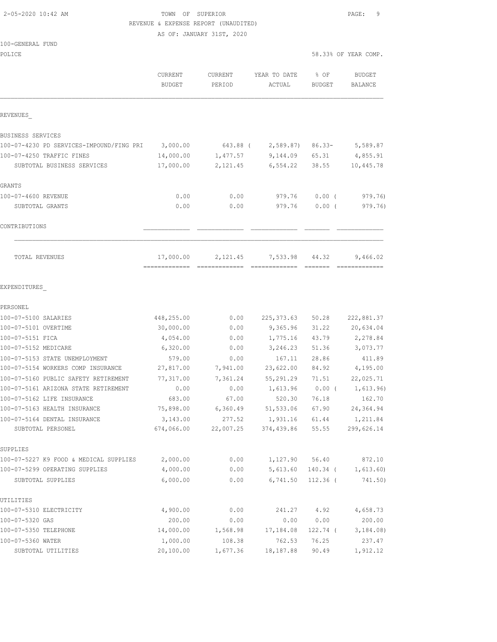# 2-05-2020 10:42 AM TOWN OF SUPERIOR PAGE: 9 REVENUE & EXPENSE REPORT (UNAUDITED)

AS OF: JANUARY 31ST, 2020

#### 100-GENERAL FUND

| POLICE                                             |                          |                          |                        | 58.33% OF YEAR COMP.  |                          |
|----------------------------------------------------|--------------------------|--------------------------|------------------------|-----------------------|--------------------------|
|                                                    | CURRENT<br><b>BUDGET</b> | <b>CURRENT</b><br>PERIOD | YEAR TO DATE<br>ACTUAL | % OF<br><b>BUDGET</b> | <b>BUDGET</b><br>BALANCE |
| REVENUES                                           |                          |                          |                        |                       |                          |
| BUSINESS SERVICES                                  |                          |                          |                        |                       |                          |
| 100-07-4230 PD SERVICES-IMPOUND/FING PRI           | 3,000.00                 | 643.88 (                 | 2,589.87)              | $86.33 -$             | 5,589.87                 |
| 100-07-4250 TRAFFIC FINES                          | 14,000.00                | 1,477.57                 | 9,144.09               | 65.31                 | 4,855.91                 |
| SUBTOTAL BUSINESS SERVICES                         | 17,000.00                | 2,121.45                 | 6,554.22               | 38.55                 | 10,445.78                |
| GRANTS                                             |                          |                          |                        |                       |                          |
| 100-07-4600 REVENUE                                | 0.00                     | 0.00                     | 979.76                 | $0.00$ (              | 979.76)                  |
| SUBTOTAL GRANTS                                    | 0.00                     | 0.00                     | 979.76                 | $0.00$ (              | 979.76)                  |
| CONTRIBUTIONS                                      |                          |                          |                        |                       |                          |
| TOTAL REVENUES                                     | 17,000.00                | 2,121.45                 | 7,533.98               | 44.32                 | 9,466.02                 |
| EXPENDITURES                                       |                          |                          |                        |                       |                          |
| PERSONEL                                           |                          |                          |                        |                       |                          |
| 100-07-5100 SALARIES                               | 448,255.00               | 0.00                     | 225, 373.63            | 50.28                 | 222,881.37               |
| 100-07-5101 OVERTIME                               | 30,000.00                | 0.00                     | 9,365.96               | 31.22                 | 20,634.04                |
| 100-07-5151 FICA                                   | 4,054.00                 | 0.00                     | 1,775.16               | 43.79                 | 2,278.84                 |
| 100-07-5152 MEDICARE                               | 6,320.00                 | 0.00                     | 3,246.23               | 51.36                 | 3,073.77                 |
| 100-07-5153 STATE UNEMPLOYMENT                     | 579.00                   | 0.00                     | 167.11                 | 28.86                 | 411.89                   |
| 100-07-5154 WORKERS COMP INSURANCE                 | 27,817.00                | 7,941.00                 | 23,622.00              | 84.92                 | 4,195.00                 |
| 100-07-5160 PUBLIC SAFETY RETIREMENT               | 77,317.00                | 7,361.24                 | 55,291.29              | 71.51                 | 22,025.71                |
| 100-07-5161 ARIZONA STATE RETIREMENT               | 0.00                     | 0.00                     | 1,613.96               | $0.00$ (              | 1,613.96)                |
| 100-07-5162 LIFE INSURANCE                         | 683.00                   | 67.00                    | 520.30                 | 76.18                 | 162.70                   |
| 100-07-5163 HEALTH INSURANCE                       | 75,898.00                | 6,360.49                 | 51,533.06              | 67.90                 | 24,364.94                |
| 100-07-5164 DENTAL INSURANCE<br>SUBTOTAL PERSONEL  | 3,143.00<br>674,066.00   | 277.52<br>22,007.25      | 1,931.16<br>374,439.86 | 61.44<br>55.55        | 1,211.84<br>299,626.14   |
|                                                    |                          |                          |                        |                       |                          |
| SUPPLIES<br>100-07-5227 K9 FOOD & MEDICAL SUPPLIES |                          | 0.00                     |                        |                       | 872.10                   |
| 100-07-5299 OPERATING SUPPLIES                     | 2,000.00<br>4,000.00     | 0.00                     | 1,127.90<br>5,613.60   | 56.40<br>140.34 (     | 1,613.60)                |
| SUBTOTAL SUPPLIES                                  | 6,000.00                 | 0.00                     | 6,741.50               | $112.36$ (            | 741.50)                  |
|                                                    |                          |                          |                        |                       |                          |
| UTILITIES                                          |                          |                          |                        |                       |                          |
| 100-07-5310 ELECTRICITY                            | 4,900.00                 | 0.00                     | 241.27                 | 4.92                  | 4,658.73                 |
| 100-07-5320 GAS                                    | 200.00                   | 0.00                     | 0.00                   | 0.00                  | 200.00                   |
| 100-07-5350 TELEPHONE                              | 14,000.00                | 1,568.98                 | 17,184.08              | 122.74 (              | 3,184.08)                |
| 100-07-5360 WATER                                  | 1,000.00                 | 108.38                   | 762.53                 | 76.25                 | 237.47                   |
| SUBTOTAL UTILITIES                                 | 20,100.00                | 1,677.36                 | 18,187.88              | 90.49                 | 1,912.12                 |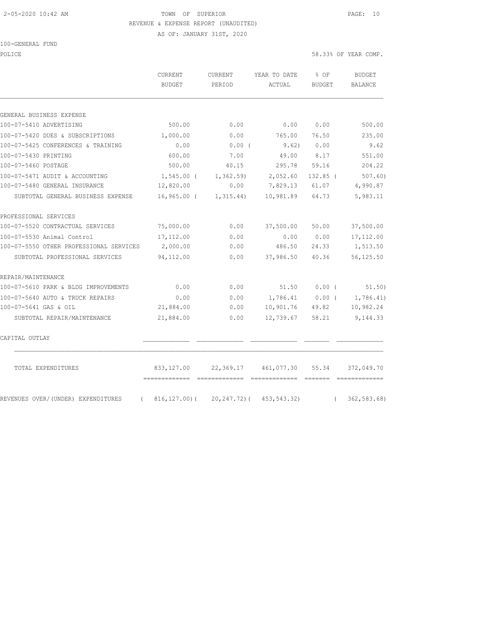#### 2-05-2020 10:42 AM TOWN OF SUPERIOR PAGE: 10 REVENUE & EXPENSE REPORT (UNAUDITED)

AS OF: JANUARY 31ST, 2020

100-GENERAL FUND

POLICE 58.33% OF YEAR COMP.

|                                                | CURRENT<br><b>BUDGET</b>                     | <b>CURRENT</b><br>PERIOD | YEAR TO DATE<br>ACTUAL               | % OF<br>BUDGET | <b>BUDGET</b><br>BALANCE      |
|------------------------------------------------|----------------------------------------------|--------------------------|--------------------------------------|----------------|-------------------------------|
| GENERAL BUSINESS EXPENSE                       |                                              |                          |                                      |                |                               |
| 100-07-5410 ADVERTISING                        | 500.00                                       | 0.00                     | 0.00                                 | 0.00           | 500.00                        |
| 100-07-5420 DUES & SUBSCRIPTIONS               | 1,000.00                                     | 0.00                     | 765.00                               | 76.50          | 235.00                        |
| 100-07-5425 CONFERENCES & TRAINING             | 0.00                                         | 0.00(                    | 9.62)                                | 0.00           | 9.62                          |
| 100-07-5430 PRINTING                           | 600.00                                       | 7.00                     | 49.00                                | 8.17           | 551.00                        |
| 100-07-5460 POSTAGE                            | 500.00                                       | 40.15                    | 295.78                               | 59.16          | 204.22                        |
| 100-07-5471 AUDIT & ACCOUNTING                 | 1,545.00 (                                   | 1,362.59                 | 2,052.60                             | $132.85$ (     | 507.60)                       |
| 100-07-5480 GENERAL INSURANCE                  | 12,820.00                                    | 0.00                     | 7,829.13                             | 61.07          | 4,990.87                      |
| SUBTOTAL GENERAL BUSINESS EXPENSE              | 16,965.00 (                                  | 1,315.44)                | 10,981.89                            | 64.73          | 5,983.11                      |
| PROFESSIONAL SERVICES                          |                                              |                          |                                      |                |                               |
| 100-07-5520 CONTRACTUAL SERVICES               | 75,000.00                                    | 0.00                     | 37,500.00                            | 50.00          | 37,500.00                     |
| 100-07-5530 Animal Control                     | 17,112.00                                    | 0.00                     | 0.00                                 | 0.00           | 17, 112.00                    |
| 100-07-5550 OTHER PROFESSIONAL SERVICES        | 2,000.00                                     | 0.00                     | 486.50                               | 24.33          | 1,513.50                      |
| SUBTOTAL PROFESSIONAL SERVICES                 | 94,112.00                                    | 0.00                     | 37,986.50                            | 40.36          | 56,125.50                     |
| REPAIR/MAINTENANCE                             |                                              |                          |                                      |                |                               |
| 100-07-5610 PARK & BLDG IMPROVEMENTS           | 0.00                                         | 0.00                     | 51.50                                | 0.00(          | 51.50)                        |
| 100-07-5640 AUTO & TRUCK REPAIRS               | 0.00                                         | 0.00                     | 1,786.41                             | $0.00$ (       | 1,786.41)                     |
| 100-07-5641 GAS & OIL                          | 21,884.00                                    | 0.00                     | 10,901.76                            | 49.82          | 10,982.24                     |
| SUBTOTAL REPAIR/MAINTENANCE                    | 21,884.00                                    | 0.00                     | 12,739.67                            | 58.21          | 9,144.33                      |
| CAPITAL OUTLAY                                 |                                              |                          |                                      |                |                               |
| TOTAL EXPENDITURES                             | 833, 127.00                                  | 22,369.17                | 461,077.30                           | 55.34          | 372,049.70                    |
| REVENUES OVER/(UNDER) EXPENDITURES<br>$\left($ | -------------- -------------<br>816,127.00)( | 20,247.72)(              | essessessesse essesse<br>453,543.32) | $\left($       | =============<br>362, 583.68) |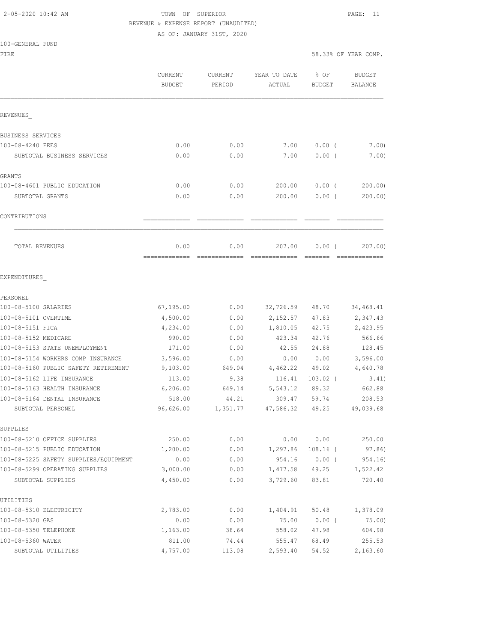# 2-05-2020 10:42 AM TOWN OF SUPERIOR PAGE: 11 REVENUE & EXPENSE REPORT (UNAUDITED)

AS OF: JANUARY 31ST, 2020

## 100-GENERAL FUND

| FIRE                                  |                          |                   |                        |                       | 58.33% OF YEAR COMP.     |
|---------------------------------------|--------------------------|-------------------|------------------------|-----------------------|--------------------------|
|                                       | CURRENT<br><b>BUDGET</b> | CURRENT<br>PERIOD | YEAR TO DATE<br>ACTUAL | % OF<br><b>BUDGET</b> | <b>BUDGET</b><br>BALANCE |
| REVENUES                              |                          |                   |                        |                       |                          |
| BUSINESS SERVICES                     |                          |                   |                        |                       |                          |
| 100-08-4240 FEES                      | 0.00                     | 0.00              | 7.00                   | $0.00$ (              | 7.00                     |
| SUBTOTAL BUSINESS SERVICES            | 0.00                     | 0.00              | 7.00                   | $0.00$ (              | 7.00)                    |
| GRANTS                                |                          |                   |                        |                       |                          |
| 100-08-4601 PUBLIC EDUCATION          | 0.00                     | 0.00              | 200.00                 | $0.00$ (              | 200.00                   |
| SUBTOTAL GRANTS                       | 0.00                     | 0.00              | 200.00                 | $0.00$ (              | 200.00)                  |
| CONTRIBUTIONS                         |                          |                   |                        |                       |                          |
| TOTAL REVENUES                        | 0.00<br>=============    | 0.00              | 207.00                 | 0.00(                 | 207.00                   |
| EXPENDITURES                          |                          |                   |                        |                       |                          |
| PERSONEL                              |                          |                   |                        |                       |                          |
| 100-08-5100 SALARIES                  | 67, 195.00               | 0.00              | 32,726.59              | 48.70                 | 34,468.41                |
| 100-08-5101 OVERTIME                  | 4,500.00                 | 0.00              | 2,152.57               | 47.83                 | 2,347.43                 |
| 100-08-5151 FICA                      | 4,234.00                 | 0.00              | 1,810.05               | 42.75                 | 2,423.95                 |
| 100-08-5152 MEDICARE                  | 990.00                   | 0.00              | 423.34                 | 42.76                 | 566.66                   |
| 100-08-5153 STATE UNEMPLOYMENT        | 171.00                   | 0.00              | 42.55                  | 24.88                 | 128.45                   |
| 100-08-5154 WORKERS COMP INSURANCE    | 3,596.00                 | 0.00              | 0.00                   | 0.00                  | 3,596.00                 |
| 100-08-5160 PUBLIC SAFETY RETIREMENT  | 9,103.00                 | 649.04            | 4,462.22               | 49.02                 | 4,640.78                 |
| 100-08-5162 LIFE INSURANCE            | 113.00                   | 9.38              | 116.41                 | $103.02$ (            | 3.41)                    |
| 100-08-5163 HEALTH INSURANCE          | 6,206.00                 | 649.14            | 5,543.12               | 89.32                 | 662.88                   |
| 100-08-5164 DENTAL INSURANCE          | 518.00                   | 44.21             | 309.47                 | 59.74                 | 208.53                   |
| SUBTOTAL PERSONEL                     | 96,626.00                | 1,351.77          | 47,586.32              | 49.25                 | 49,039.68                |
| SUPPLIES                              |                          |                   |                        |                       |                          |
| 100-08-5210 OFFICE SUPPLIES           | 250.00                   | 0.00              |                        | 0.00 0.00             | 250.00                   |
| 100-08-5215 PUBLIC EDUCATION          | 1,200.00                 | 0.00              | 1,297.86 108.16 (      |                       | 97.86)                   |
| 100-08-5225 SAFETY SUPPLIES/EQUIPMENT | 0.00                     | 0.00              |                        | 954.16 0.00 (         | 954.16)                  |
| 100-08-5299 OPERATING SUPPLIES        | 3,000.00                 | 0.00              |                        |                       | 1,477.58 49.25 1,522.42  |
| SUBTOTAL SUPPLIES                     | 4,450.00                 | 0.00              | 3,729.60               | 83.81                 | 720.40                   |
| UTILITIES                             |                          |                   |                        |                       |                          |
| 100-08-5310 ELECTRICITY               | 2,783.00                 | 0.00              | 1,404.91               | 50.48                 | 1,378.09                 |
| 100-08-5320 GAS                       | 0.00                     | 0.00              | 75.00                  | $0.00$ (              | 75.00)                   |
| 100-08-5350 TELEPHONE                 | 1,163.00                 | 38.64             | 558.02                 | 47.98                 | 604.98                   |
| 100-08-5360 WATER                     | 811.00                   | 74.44             | 555.47                 | 68.49                 | 255.53                   |
| SUBTOTAL UTILITIES                    | 4,757.00                 | 113.08            | 2,593.40               | 54.52                 | 2,163.60                 |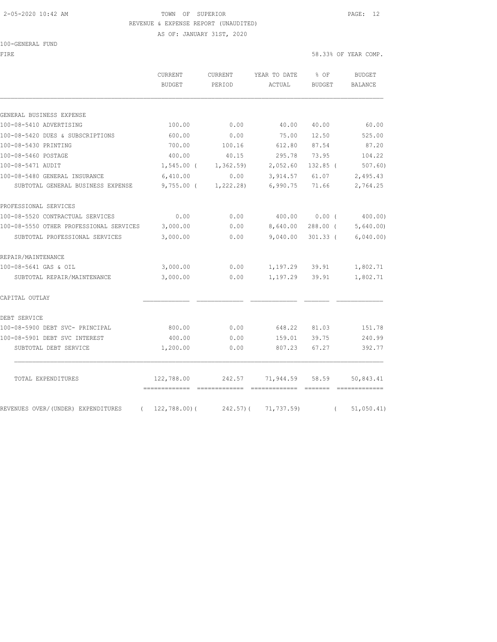#### 2-05-2020 10:42 AM TOWN OF SUPERIOR PAGE: 12 REVENUE & EXPENSE REPORT (UNAUDITED)

AS OF: JANUARY 31ST, 2020

100-GENERAL FUND

FIRE  $58.33\text{*}$  OF YEAR COMP.

|                                                | <b>CURRENT</b><br>BUDGET | <b>CURRENT</b><br>PERIOD | YEAR TO DATE<br>ACTUAL | % OF<br><b>BUDGET</b> | <b>BUDGET</b><br>BALANCE |
|------------------------------------------------|--------------------------|--------------------------|------------------------|-----------------------|--------------------------|
| GENERAL BUSINESS EXPENSE                       |                          |                          |                        |                       |                          |
| 100-08-5410 ADVERTISING                        | 100.00                   | 0.00                     | 40.00                  | 40.00                 | 60.00                    |
| 100-08-5420 DUES & SUBSCRIPTIONS               | 600.00                   | 0.00                     | 75.00                  | 12.50                 | 525.00                   |
| 100-08-5430 PRINTING                           | 700.00                   | 100.16                   | 612.80                 | 87.54                 | 87.20                    |
| 100-08-5460 POSTAGE                            | 400.00                   | 40.15                    | 295.78                 | 73.95                 | 104.22                   |
| 100-08-5471 AUDIT                              | $1,545.00$ (             | 1,362.59                 | 2,052.60               | $132.85$ (            | 507.60)                  |
| 100-08-5480 GENERAL INSURANCE                  | 6,410.00                 | 0.00                     | 3,914.57               | 61.07                 | 2,495.43                 |
| SUBTOTAL GENERAL BUSINESS EXPENSE              | $9,755.00$ (             | 1,222.28                 | 6,990.75               | 71.66                 | 2,764.25                 |
| PROFESSIONAL SERVICES                          |                          |                          |                        |                       |                          |
| 100-08-5520 CONTRACTUAL SERVICES               | 0.00                     | 0.00                     | 400.00                 | 0.00(                 | 400.00)                  |
| 100-08-5550 OTHER PROFESSIONAL SERVICES        | 3,000.00                 | 0.00                     | 8,640.00               | 288.00 (              | 5,640.00                 |
| SUBTOTAL PROFESSIONAL SERVICES                 | 3,000.00                 | 0.00                     | 9,040.00               | $301.33$ (            | 6,040.00)                |
| REPAIR/MAINTENANCE                             |                          |                          |                        |                       |                          |
| 100-08-5641 GAS & OIL                          | 3,000.00                 | 0.00                     | 1,197.29               | 39.91                 | 1,802.71                 |
| SUBTOTAL REPAIR/MAINTENANCE                    | 3,000.00                 | 0.00                     | 1,197.29               | 39.91                 | 1,802.71                 |
| CAPITAL OUTLAY                                 |                          |                          |                        |                       |                          |
| DEBT SERVICE                                   |                          |                          |                        |                       |                          |
| 100-08-5900 DEBT SVC- PRINCIPAL                | 800.00                   | 0.00                     | 648.22                 | 81.03                 | 151.78                   |
| 100-08-5901 DEBT SVC INTEREST                  | 400.00                   | 0.00                     | 159.01                 | 39.75                 | 240.99                   |
| SUBTOTAL DEBT SERVICE                          | 1,200.00                 | 0.00                     | 807.23                 | 67.27                 | 392.77                   |
| TOTAL EXPENDITURES                             | 122,788.00               | 242.57                   | 71,944.59              | 58.59                 | 50,843.41                |
| REVENUES OVER/(UNDER) EXPENDITURES<br>$\left($ | 122,788.00(              | $242.57$ ) (             | 71,737.59)             | $\left($              | 51,050.41)               |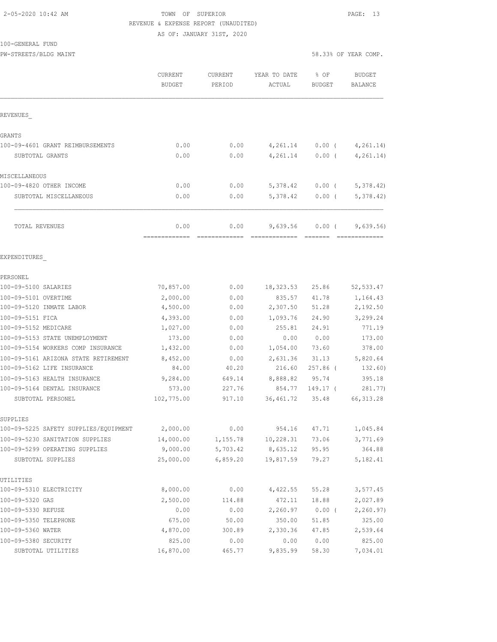## 2-05-2020 10:42 AM TOWN OF SUPERIOR PAGE: 13 REVENUE & EXPENSE REPORT (UNAUDITED) AS OF: JANUARY 31ST, 2020

100-GENERAL FUND

PW-STREETS/BLDG MAINT 58.33% OF YEAR COMP.

|                                       | CURRENT<br><b>BUDGET</b> | CURRENT<br>PERIOD | YEAR TO DATE<br>ACTUAL            | % OF<br><b>BUDGET</b> | <b>BUDGET</b><br>BALANCE |
|---------------------------------------|--------------------------|-------------------|-----------------------------------|-----------------------|--------------------------|
| REVENUES                              |                          |                   |                                   |                       |                          |
| <b>GRANTS</b>                         |                          |                   |                                   |                       |                          |
| 100-09-4601 GRANT REIMBURSEMENTS      | 0.00                     | 0.00              | 4,261.14                          | $0.00$ (              | 4, 261.14)               |
| SUBTOTAL GRANTS                       | 0.00                     | 0.00              | 4,261.14                          | $0.00$ (              | 4, 261.14)               |
| MISCELLANEOUS                         |                          |                   |                                   |                       |                          |
| 100-09-4820 OTHER INCOME              | 0.00                     | 0.00              | 5,378.42                          | $0.00$ (              | 5,378.42                 |
| SUBTOTAL MISCELLANEOUS                | 0.00                     | 0.00              | 5,378.42                          | $0.00$ (              | 5,378.42)                |
| TOTAL REVENUES                        | 0.00<br>=============    | 0.00              | 9,639.56<br>-------------- ------ | 0.00(                 | 9,639.56                 |
| EXPENDITURES                          |                          |                   |                                   |                       |                          |
| PERSONEL                              |                          |                   |                                   |                       |                          |
| 100-09-5100 SALARIES                  | 70,857.00                | 0.00              | 18,323.53                         | 25.86                 | 52, 533.47               |
| 100-09-5101 OVERTIME                  | 2,000.00                 | 0.00              | 835.57                            | 41.78                 | 1,164.43                 |
| 100-09-5120 INMATE LABOR              | 4,500.00                 | 0.00              | 2,307.50                          | 51.28                 | 2,192.50                 |
| 100-09-5151 FICA                      | 4,393.00                 | 0.00              | 1,093.76                          | 24.90                 | 3,299.24                 |
| 100-09-5152 MEDICARE                  | 1,027.00                 | 0.00              | 255.81                            | 24.91                 | 771.19                   |
| 100-09-5153 STATE UNEMPLOYMENT        | 173.00                   | 0.00              | 0.00                              | 0.00                  | 173.00                   |
| 100-09-5154 WORKERS COMP INSURANCE    | 1,432.00                 | 0.00              | 1,054.00                          | 73.60                 | 378.00                   |
| 100-09-5161 ARIZONA STATE RETIREMENT  | 8,452.00                 | 0.00              | 2,631.36                          | 31.13                 | 5,820.64                 |
| 100-09-5162 LIFE INSURANCE            | 84.00                    | 40.20             | 216.60                            | $257.86$ (            | 132.60)                  |
| 100-09-5163 HEALTH INSURANCE          | 9,284.00                 | 649.14            | 8,888.82                          | 95.74                 | 395.18                   |
| 100-09-5164 DENTAL INSURANCE          | 573.00                   | 227.76            | 854.77                            | $149.17-$             | 281.77)                  |
| SUBTOTAL PERSONEL                     | 102,775.00               | 917.10            | 36, 461.72                        | 35.48                 | 66, 313.28               |
| SUPPLIES                              |                          |                   |                                   |                       |                          |
| 100-09-5225 SAFETY SUPPLIES/EQUIPMENT | 2,000.00                 | 0.00              | 954.16                            | 47.71                 | 1,045.84                 |
| 100-09-5230 SANITATION SUPPLIES       | 14,000.00                | 1,155.78          | 10,228.31                         | 73.06                 | 3,771.69                 |
| 100-09-5299 OPERATING SUPPLIES        | 9,000.00                 | 5,703.42          | 8,635.12                          | 95.95                 | 364.88                   |
| SUBTOTAL SUPPLIES                     | 25,000.00                | 6,859.20          | 19,817.59                         | 79.27                 | 5, 182.41                |
| UTILITIES                             |                          |                   |                                   |                       |                          |
| 100-09-5310 ELECTRICITY               | 8,000.00                 | 0.00              | 4,422.55                          | 55.28                 | 3,577.45                 |
| 100-09-5320 GAS                       | 2,500.00                 | 114.88            | 472.11                            | 18.88                 | 2,027.89                 |
| 100-09-5330 REFUSE                    | 0.00                     | 0.00              | 2,260.97                          | $0.00$ (              | 2, 260.97)               |
| 100-09-5350 TELEPHONE                 | 675.00                   | 50.00             | 350.00                            | 51.85                 | 325.00                   |
| 100-09-5360 WATER                     | 4,870.00                 | 300.89            | 2,330.36                          | 47.85                 | 2,539.64                 |
| 100-09-5380 SECURITY                  | 825.00                   | 0.00              | 0.00                              | 0.00                  | 825.00                   |
| SUBTOTAL UTILITIES                    | 16,870.00                | 465.77            | 9,835.99                          | 58.30                 | 7,034.01                 |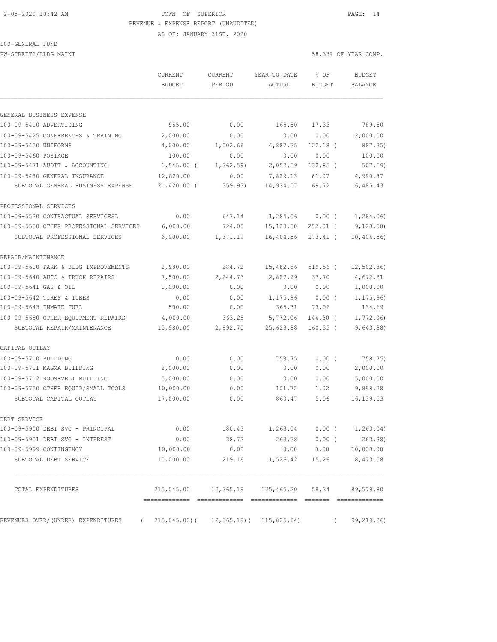#### 2-05-2020 10:42 AM TOWN OF SUPERIOR PAGE: 14 REVENUE & EXPENSE REPORT (UNAUDITED)

AS OF: JANUARY 31ST, 2020

#### 100-GENERAL FUND

PW-STREETS/BLDG MAINT 38.33% OF YEAR COMP.

|                                            | <b>CURRENT</b><br>BUDGET | <b>CURRENT</b><br>PERIOD | YEAR TO DATE<br>ACTUAL                              | % OF<br>BUDGET | <b>BUDGET</b><br>BALANCE |
|--------------------------------------------|--------------------------|--------------------------|-----------------------------------------------------|----------------|--------------------------|
|                                            |                          |                          |                                                     |                |                          |
| GENERAL BUSINESS EXPENSE                   |                          |                          |                                                     |                |                          |
| 100-09-5410 ADVERTISING                    | 955.00                   | 0.00                     | 165.50                                              | 17.33          | 789.50                   |
| 100-09-5425 CONFERENCES & TRAINING         | 2,000.00                 | 0.00                     | 0.00                                                | 0.00           | 2,000.00                 |
| 100-09-5450 UNIFORMS                       | 4,000.00                 | 1,002.66                 | 4,887.35                                            | $122.18$ (     | 887.35)                  |
| 100-09-5460 POSTAGE                        | 100.00                   | 0.00                     | 0.00                                                | 0.00           | 100.00                   |
| 100-09-5471 AUDIT & ACCOUNTING             | $1,545.00$ (             | 1,362.59                 | 2,052.59                                            | $132.85$ (     | $507.59$ )               |
| 100-09-5480 GENERAL INSURANCE              | 12,820.00                | 0.00                     | 7,829.13                                            | 61.07          | 4,990.87                 |
| SUBTOTAL GENERAL BUSINESS EXPENSE          | $21,420.00$ (            | 359.93)                  | 14,934.57                                           | 69.72          | 6,485.43                 |
| PROFESSIONAL SERVICES                      |                          |                          |                                                     |                |                          |
| 100-09-5520 CONTRACTUAL SERVICESL          | 0.00                     | 647.14                   | 1,284.06                                            | $0.00$ (       | 1,284.06)                |
| 100-09-5550 OTHER PROFESSIONAL SERVICES    | 6,000.00                 | 724.05                   | 15,120.50                                           | $252.01$ (     | 9,120.50)                |
| SUBTOTAL PROFESSIONAL SERVICES             | 6,000.00                 | 1,371.19                 | 16,404.56                                           | $273.41$ (     | 10, 404.56)              |
| REPAIR/MAINTENANCE                         |                          |                          |                                                     |                |                          |
| 100-09-5610 PARK & BLDG IMPROVEMENTS       | 2,980.00                 | 284.72                   | 15,482.86                                           | $519.56$ (     | 12,502.86)               |
| 100-09-5640 AUTO & TRUCK REPAIRS           | 7,500.00                 | 2,244.73                 | 2,827.69                                            | 37.70          | 4,672.31                 |
| 100-09-5641 GAS & OIL                      | 1,000.00                 | 0.00                     | 0.00                                                | 0.00           | 1,000.00                 |
| 100-09-5642 TIRES & TUBES                  | 0.00                     | 0.00                     | 1,175.96                                            | $0.00$ (       | 1, 175.96                |
| 100-09-5643 INMATE FUEL                    | 500.00                   | 0.00                     | 365.31                                              | 73.06          | 134.69                   |
| 100-09-5650 OTHER EQUIPMENT REPAIRS        | 4,000.00                 | 363.25                   | 5,772.06                                            | 144.30 (       | 1,772.06                 |
| SUBTOTAL REPAIR/MAINTENANCE                | 15,980.00                | 2,892.70                 | 25,623.88                                           | $160.35$ (     | 9,643.88)                |
| CAPITAL OUTLAY                             |                          |                          |                                                     |                |                          |
| 100-09-5710 BUILDING                       | 0.00                     | 0.00                     | 758.75                                              | $0.00$ (       | 758.75)                  |
| 100-09-5711 MAGMA BUILDING                 | 2,000.00                 | 0.00                     | 0.00                                                | 0.00           | 2,000.00                 |
| 100-09-5712 ROOSEVELT BUILDING             | 5,000.00                 | 0.00                     | 0.00                                                | 0.00           | 5,000.00                 |
| 100-09-5750 OTHER EOUIP/SMALL TOOLS        | 10,000.00                | 0.00                     | 101.72                                              | 1.02           | 9,898.28                 |
| SUBTOTAL CAPITAL OUTLAY                    | 17,000.00                | 0.00                     | 860.47                                              | 5.06           | 16, 139.53               |
| DEBT SERVICE                               |                          |                          |                                                     |                |                          |
| 100-09-5900 DEBT SVC - PRINCIPAL           | 0.00                     | 180.43                   | $1,263.04$ 0.00 (                                   |                | 1, 263.04)               |
| 100-09-5901 DEBT SVC - INTEREST            | 0.00                     | 38.73                    | 263.38                                              | $0.00$ (       | 263.38)                  |
| 100-09-5999 CONTINGENCY                    | 10,000.00                | 0.00                     |                                                     | 0.00 0.00      | 10,000.00                |
| SUBTOTAL DEBT SERVICE                      | 10,000.00                |                          | 219.16 1,526.42 15.26                               |                | 8,473.58                 |
| TOTAL EXPENDITURES                         |                          |                          | 215,045.00  12,365.19  125,465.20  58.34  89,579.80 |                |                          |
|                                            |                          |                          |                                                     |                |                          |
| REVENUES OVER/(UNDER) EXPENDITURES       ( |                          |                          | $215,045.00$ ( $12,365.19$ ( $115,825.64$ )         | $\left($       | 99,219.36)               |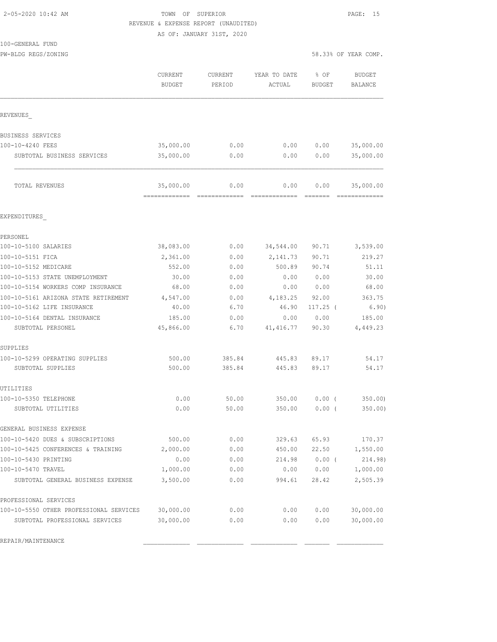# 2-05-2020 10:42 AM TOWN OF SUPERIOR PAGE: 15 REVENUE & EXPENSE REPORT (UNAUDITED)

AS OF: JANUARY 31ST, 2020

| 100-GENERAL FUND |  |
|------------------|--|
|------------------|--|

| PW-BLDG REGS/ZONING                                                |                          |                   |                        |                       | 58.33% OF YEAR COMP.            |  |
|--------------------------------------------------------------------|--------------------------|-------------------|------------------------|-----------------------|---------------------------------|--|
|                                                                    | CURRENT<br><b>BUDGET</b> | CURRENT<br>PERIOD | YEAR TO DATE<br>ACTUAL | % OF<br><b>BUDGET</b> | <b>BUDGET</b><br><b>BALANCE</b> |  |
| REVENUES                                                           |                          |                   |                        |                       |                                 |  |
| BUSINESS SERVICES                                                  |                          |                   |                        |                       |                                 |  |
| 100-10-4240 FEES                                                   | 35,000.00                | 0.00              | 0.00                   | 0.00                  | 35,000.00                       |  |
| SUBTOTAL BUSINESS SERVICES                                         | 35,000.00                | 0.00              | 0.00                   | 0.00                  | 35,000.00                       |  |
| TOTAL REVENUES                                                     | 35,000.00                | 0.00              | 0.00                   | 0.00                  | 35,000.00                       |  |
| EXPENDITURES                                                       |                          |                   |                        |                       |                                 |  |
| PERSONEL                                                           |                          |                   |                        |                       |                                 |  |
| 100-10-5100 SALARIES                                               | 38,083.00                | 0.00              | 34,544.00              | 90.71                 | 3,539.00                        |  |
| 100-10-5151 FICA                                                   | 2,361.00                 | 0.00              | 2,141.73               | 90.71                 | 219.27                          |  |
| 100-10-5152 MEDICARE                                               | 552.00                   | 0.00              | 500.89                 | 90.74                 | 51.11                           |  |
| 100-10-5153 STATE UNEMPLOYMENT                                     | 30.00                    | 0.00              | 0.00                   | 0.00                  | 30.00                           |  |
| 100-10-5154 WORKERS COMP INSURANCE                                 | 68.00                    | 0.00              | 0.00                   | 0.00                  | 68.00                           |  |
| 100-10-5161 ARIZONA STATE RETIREMENT<br>100-10-5162 LIFE INSURANCE | 4,547.00<br>40.00        | 0.00<br>6.70      | 4,183.25<br>46.90      | 92.00<br>$117.25$ (   | 363.75<br>6.90)                 |  |
| 100-10-5164 DENTAL INSURANCE                                       | 185.00                   | 0.00              | 0.00                   | 0.00                  | 185.00                          |  |
| SUBTOTAL PERSONEL                                                  | 45,866.00                | 6.70              | 41, 416.77             | 90.30                 | 4,449.23                        |  |
| SUPPLIES                                                           |                          |                   |                        |                       |                                 |  |
| 100-10-5299 OPERATING SUPPLIES                                     | 500.00                   | 385.84            | 445.83                 | 89.17                 | 54.17                           |  |
| SUBTOTAL SUPPLIES                                                  | 500.00                   | 385.84            | 445.83                 | 89.17                 | 54.17                           |  |
| UTILITIES                                                          |                          |                   |                        |                       |                                 |  |
| 100-10-5350 TELEPHONE                                              | 0.00                     | 50.00             | 350.00                 | $0.00$ (              | 350.00                          |  |
| SUBTOTAL UTILITIES                                                 | 0.00                     | 50.00             | 350.00                 | $0.00$ (              | 350.00)                         |  |
| GENERAL BUSINESS EXPENSE                                           |                          |                   |                        |                       |                                 |  |
| 100-10-5420 DUES & SUBSCRIPTIONS                                   | 500.00                   | 0.00              | 329.63                 | 65.93                 | 170.37                          |  |
| 100-10-5425 CONFERENCES & TRAINING                                 | 2,000.00                 | 0.00              | 450.00                 | 22.50                 | 1,550.00                        |  |
| 100-10-5430 PRINTING                                               | 0.00                     | 0.00              | 214.98                 | $0.00$ (              | 214.98)                         |  |
| 100-10-5470 TRAVEL                                                 | 1,000.00                 | 0.00              | 0.00                   | 0.00                  | 1,000.00                        |  |
| SUBTOTAL GENERAL BUSINESS EXPENSE                                  | 3,500.00                 | 0.00              | 994.61                 | 28.42                 | 2,505.39                        |  |
| PROFESSIONAL SERVICES                                              |                          |                   |                        |                       |                                 |  |
| 100-10-5550 OTHER PROFESSIONAL SERVICES                            | 30,000.00                | 0.00              | 0.00                   | 0.00                  | 30,000.00                       |  |
| SUBTOTAL PROFESSIONAL SERVICES                                     | 30,000.00                | 0.00              | 0.00                   | 0.00                  | 30,000.00                       |  |

REPAIR/MAINTENANCE \_\_\_\_\_\_\_\_\_\_\_\_\_ \_\_\_\_\_\_\_\_\_\_\_\_\_ \_\_\_\_\_\_\_\_\_\_\_\_\_ \_\_\_\_\_\_\_ \_\_\_\_\_\_\_\_\_\_\_\_\_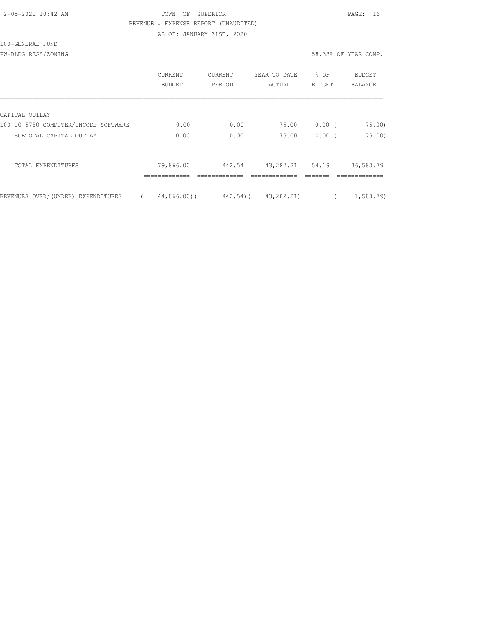| 2-05-2020 10:42 AM |  |
|--------------------|--|
|                    |  |

# TOWN OF SUPERIOR **PAGE:** 16 REVENUE & EXPENSE REPORT (UNAUDITED) AS OF: JANUARY 31ST, 2020

100-GENERAL FUND

PW-BLDG REGS/ZONING 58.33% OF YEAR COMP.

|                                      | CURRENT<br>BUDGET | <b>CURRENT</b><br>PERIOD | YEAR TO DATE<br>ACTUAL | % OF<br>BUDGET | BUDGET<br><b>BALANCE</b> |
|--------------------------------------|-------------------|--------------------------|------------------------|----------------|--------------------------|
| CAPITAL OUTLAY                       |                   |                          |                        |                |                          |
| 100-10-5780 COMPUTER/INCODE SOFTWARE | 0.00              | 0.00                     | 75.00                  | $0.00$ (       | 75.00                    |
| SUBTOTAL CAPITAL OUTLAY              | 0.00              | 0.00                     | 75.00                  | 0.00(          | 75.00                    |
| TOTAL EXPENDITURES                   | 79,866.00         | 442.54                   | 43,282.21              | 54.19          | 36,583.79                |
| REVENUES OVER/(UNDER) EXPENDITURES   | 44,866.00)(       | $442.54$ ) (             | 43,282.21)             |                | 1,583.79)                |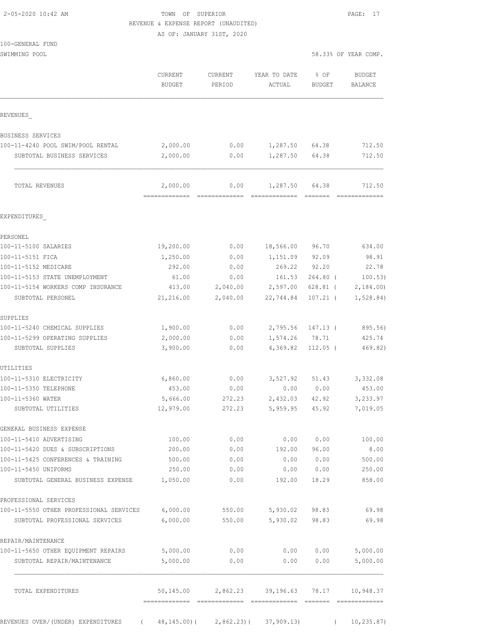| 2-05-2020 10:42 AM |  |
|--------------------|--|

TOWN OF SUPERIOR **PAGE:** 17 REVENUE & EXPENSE REPORT (UNAUDITED)

AS OF: JANUARY 31ST, 2020

|                                                  | CURRENT<br><b>BUDGET</b> | <b>CURRENT</b><br>PERIOD | YEAR TO DATE<br>ACTUAL                | % OF<br><b>BUDGET</b> | <b>BUDGET</b><br><b>BALANCE</b> |
|--------------------------------------------------|--------------------------|--------------------------|---------------------------------------|-----------------------|---------------------------------|
| REVENUES                                         |                          |                          |                                       |                       |                                 |
| BUSINESS SERVICES                                |                          |                          |                                       |                       |                                 |
| 100-11-4240 POOL SWIM/POOL RENTAL                | 2,000.00                 | 0.00                     | 1,287.50                              | 64.38                 | 712.50                          |
| SUBTOTAL BUSINESS SERVICES                       | 2,000.00                 | 0.00                     | 1,287.50                              | 64.38                 | 712.50                          |
| TOTAL REVENUES                                   | 2,000.00                 | 0.00                     | 1,287.50                              | 64.38                 | 712.50                          |
|                                                  | -------------            | =============            | =============                         | =======               | =============                   |
| EXPENDITURES                                     |                          |                          |                                       |                       |                                 |
| PERSONEL                                         |                          |                          |                                       |                       |                                 |
| 100-11-5100 SALARIES                             | 19,200.00                | 0.00                     | 18,566.00                             | 96.70                 | 634.00                          |
| 100-11-5151 FICA                                 | 1,250.00                 | 0.00                     | 1,151.09                              | 92.09                 | 98.91                           |
| 100-11-5152 MEDICARE                             | 292.00                   | 0.00                     | 269.22                                | 92.20                 | 22.78                           |
| 100-11-5153 STATE UNEMPLOYMENT                   | 61.00                    | 0.00                     | 161.53                                | $264.80$ (            | 100.53)                         |
| 100-11-5154 WORKERS COMP INSURANCE               | 413.00                   | 2,040.00                 | 2,597.00                              | $628.81$ (            | 2,184.00                        |
| SUBTOTAL PERSONEL                                | 21,216.00                | 2,040.00                 | 22,744.84                             | $107.21$ (            | 1,528.84)                       |
| SUPPLIES                                         |                          |                          |                                       |                       |                                 |
| 100-11-5240 CHEMICAL SUPPLIES                    | 1,900.00                 | 0.00                     | 2,795.56                              | 147.13 (              | 895.56)                         |
| 100-11-5299 OPERATING SUPPLIES                   | 2,000.00                 | 0.00                     | 1,574.26                              | 78.71                 | 425.74                          |
| SUBTOTAL SUPPLIES                                | 3,900.00                 | 0.00                     | 4,369.82                              | $112.05$ (            | 469.82)                         |
| UTILITIES                                        |                          |                          |                                       |                       |                                 |
| 100-11-5310 ELECTRICITY                          | 6,860.00                 | 0.00                     | 3,527.92                              | 51.43                 | 3,332.08                        |
| 100-11-5350 TELEPHONE                            | 453.00                   | 0.00                     | 0.00                                  | 0.00                  | 453.00                          |
| 100-11-5360 WATER                                | 5,666.00                 | 272.23                   | 2,432.03                              | 42.92                 | 3,233.97                        |
| SUBTOTAL UTILITIES                               | 12,979.00                | 272.23                   | 5,959.95                              | 45.92                 | 7,019.05                        |
| GENERAL BUSINESS EXPENSE                         |                          |                          |                                       |                       |                                 |
| 100-11-5410 ADVERTISING                          | 100.00                   | 0.00                     | 0.00                                  | 0.00                  | 100.00                          |
| 100-11-5420 DUES & SUBSCRIPTIONS                 | 200.00                   | 0.00                     | 192.00                                | 96.00                 | 8.00                            |
| 100-11-5425 CONFERENCES & TRAINING               | 500.00                   | 0.00                     | 0.00                                  | 0.00                  | 500.00                          |
| 100-11-5450 UNIFORMS                             | 250.00                   | 0.00                     | 0.00                                  | 0.00                  | 250.00                          |
| SUBTOTAL GENERAL BUSINESS EXPENSE                | 1,050.00                 | 0.00                     | 192.00                                | 18.29                 | 858.00                          |
| PROFESSIONAL SERVICES                            |                          |                          |                                       |                       |                                 |
| 100-11-5550 OTHER PROFESSIONAL SERVICES          | 6,000.00                 | 550.00                   | 5,930.02                              | 98.83                 | 69.98                           |
| SUBTOTAL PROFESSIONAL SERVICES                   | 6,000.00                 | 550.00                   | 5,930.02                              | 98.83                 | 69.98                           |
| REPAIR/MAINTENANCE                               |                          |                          |                                       |                       |                                 |
| 100-11-5650 OTHER EQUIPMENT REPAIRS              | 5,000.00                 | 0.00                     | 0.00                                  | 0.00                  | 5,000.00                        |
| SUBTOTAL REPAIR/MAINTENANCE                      | 5,000.00                 | 0.00                     | 0.00                                  | 0.00                  | 5,000.00                        |
| TOTAL EXPENDITURES                               | 50,145.00                | 2,862.23                 | 39,196.63                             | 78.17                 | 10,948.37                       |
| REVENUES OVER/(UNDER) EXPENDITURES<br>$\sqrt{2}$ |                          |                          | $48, 145.00$ ( 2,862.23) ( 37,909.13) | $\left($              | 10, 235.87)                     |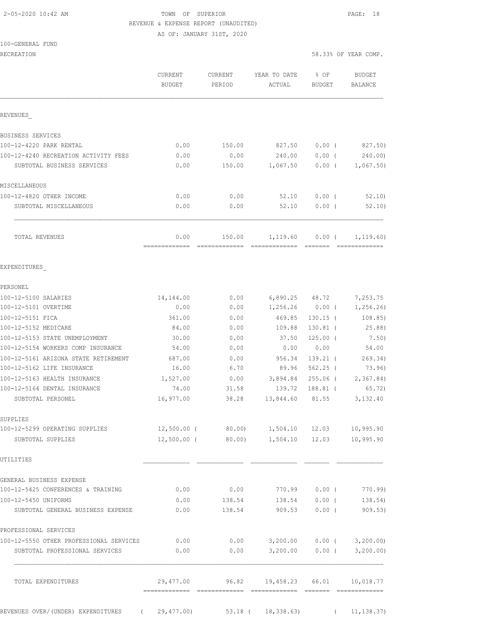# 2-05-2020 10:42 AM TOWN OF SUPERIOR PAGE: 18 REVENUE & EXPENSE REPORT (UNAUDITED)

AS OF: JANUARY 31ST, 2020

#### 100-GENERAL FUND

| RECREATION                                          |                          |                   |                                                                                | 58.33% OF YEAR COMP.                 |                                |  |
|-----------------------------------------------------|--------------------------|-------------------|--------------------------------------------------------------------------------|--------------------------------------|--------------------------------|--|
|                                                     | CURRENT<br><b>BUDGET</b> | CURRENT<br>PERIOD | YEAR TO DATE<br>ACTUAL                                                         | % OF<br><b>BUDGET</b>                | <b>BUDGET</b><br>BALANCE       |  |
| REVENUES                                            |                          |                   |                                                                                |                                      |                                |  |
| BUSINESS SERVICES                                   |                          |                   |                                                                                |                                      |                                |  |
| 100-12-4220 PARK RENTAL                             | 0.00                     | 150.00            | 827.50                                                                         | $0.00$ (                             | 827.50)                        |  |
| 100-12-4240 RECREATION ACTIVITY FEES                | 0.00                     | 0.00              | 240.00                                                                         | $0.00$ (                             | 240.00                         |  |
| SUBTOTAL BUSINESS SERVICES                          | 0.00                     | 150.00            | 1,067.50                                                                       | $0.00$ (                             | 1,067.50                       |  |
| MISCELLANEOUS                                       |                          |                   |                                                                                |                                      |                                |  |
| 100-12-4820 OTHER INCOME                            | 0.00                     | 0.00              | 52.10                                                                          | $0.00$ (                             | 52.10                          |  |
| SUBTOTAL MISCELLANEOUS                              | 0.00                     | 0.00              | 52.10                                                                          | $0.00$ (                             | 52.10                          |  |
| TOTAL REVENUES                                      | 0.00<br>=============    | 150.00            | 1,119.60<br>=============                                                      | 0.00(<br>$=$ $=$ $=$ $=$ $=$ $=$ $=$ | 1, 119.60)<br>=============    |  |
| EXPENDITURES                                        |                          |                   |                                                                                |                                      |                                |  |
| PERSONEL                                            |                          |                   |                                                                                |                                      |                                |  |
| 100-12-5100 SALARIES                                | 14,144.00                | 0.00              |                                                                                | 6,890.25 48.72                       | 7,253.75                       |  |
| 100-12-5101 OVERTIME                                | 0.00                     | 0.00              | 1,256.26                                                                       | $0.00$ (                             | 1,256.26)                      |  |
| 100-12-5151 FICA                                    | 361.00                   | 0.00              | 469.85                                                                         | $130.15$ (                           | 108.85)                        |  |
| 100-12-5152 MEDICARE                                | 84.00                    | 0.00              | 109.88                                                                         | $130.81$ (                           | 25.88)                         |  |
| 100-12-5153 STATE UNEMPLOYMENT                      | 30.00                    | 0.00              | 37.50                                                                          | $125.00$ (                           | 7.50)                          |  |
| 100-12-5154 WORKERS COMP INSURANCE                  | 54.00                    | 0.00              | 0.00                                                                           | 0.00                                 | 54.00                          |  |
| 100-12-5161 ARIZONA STATE RETIREMENT                | 687.00                   | 0.00              | 956.34                                                                         | $139.21$ (                           | 269.34)                        |  |
| 100-12-5162 LIFE INSURANCE                          | 16.00                    | 6.70              | 89.96                                                                          | $562.25$ (                           | 73.96)                         |  |
| 100-12-5163 HEALTH INSURANCE                        | 1,527.00                 | 0.00              | 3,894.84                                                                       | $255.06$ (                           | 2,367.84)                      |  |
| 100-12-5164 DENTAL INSURANCE                        | 74.00                    | 31.58             | 139.72                                                                         | 188.81 (                             | 65.72)                         |  |
| SUBTOTAL PERSONEL                                   | 16,977.00                | 38.28             | 13,844.60                                                                      | 81.55                                | 3,132.40                       |  |
| SUPPLIES                                            |                          |                   |                                                                                |                                      |                                |  |
| 100-12-5299 OPERATING SUPPLIES<br>SUBTOTAL SUPPLIES |                          |                   | 12,500.00 (80.00) 1,504.10 12.03<br>$12,500.00$ ( $80.00$ ) $1,504.10$ $12.03$ |                                      | 10,995.90<br>10,995.90         |  |
| UTILITIES                                           |                          |                   |                                                                                |                                      |                                |  |
| GENERAL BUSINESS EXPENSE                            |                          |                   |                                                                                |                                      |                                |  |
| 100-12-5425 CONFERENCES & TRAINING                  | 0.00                     | 0.00              | 770.99                                                                         | $0.00$ (                             | 770.99)                        |  |
| 100-12-5450 UNIFORMS                                | 0.00                     | 138.54            | 138.54                                                                         | $0.00$ (                             | 138.54)                        |  |
| SUBTOTAL GENERAL BUSINESS EXPENSE                   | 0.00                     | 138.54            | 909.53                                                                         | $0.00$ (                             | 909.53)                        |  |
| PROFESSIONAL SERVICES                               |                          |                   |                                                                                |                                      |                                |  |
| 100-12-5550 OTHER PROFESSIONAL SERVICES             | 0.00                     |                   | $0.00$ $3,200.00$ $0.00$ $($ $3,200.00)$                                       |                                      |                                |  |
| SUBTOTAL PROFESSIONAL SERVICES                      | 0.00                     | 0.00              |                                                                                |                                      | $3,200.00$ 0.00 ( $3,200.00$ ) |  |
| TOTAL EXPENDITURES                                  | 29,477.00                |                   | 96.82 19,458.23 66.01                                                          |                                      | 10,018.77                      |  |
|                                                     |                          |                   |                                                                                |                                      |                                |  |

REVENUES OVER/(UNDER) EXPENDITURES ( 29,477.00) 53.18 ( 18,338.63) ( 11,138.37)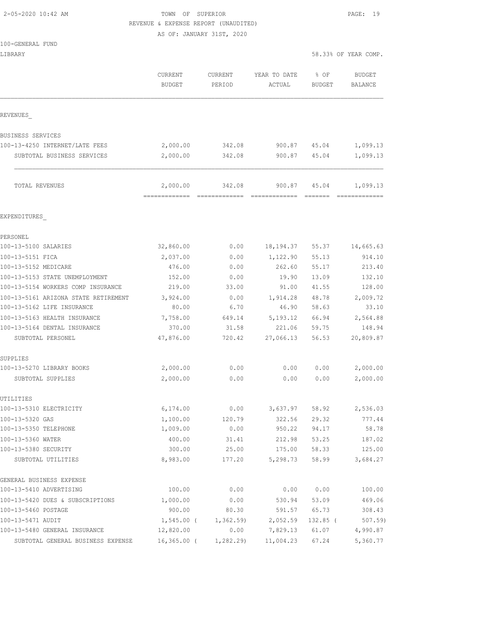| 2-05-2020 10:42 AM |  |  |
|--------------------|--|--|

TOWN OF SUPERIOR **PAGE:** 19 REVENUE & EXPENSE REPORT (UNAUDITED)

AS OF: JANUARY 31ST, 2020

| LIBRARY                              |                          |                   |                        | 58.33% OF YEAR COMP.  |                          |  |
|--------------------------------------|--------------------------|-------------------|------------------------|-----------------------|--------------------------|--|
|                                      | CURRENT<br><b>BUDGET</b> | CURRENT<br>PERIOD | YEAR TO DATE<br>ACTUAL | % OF<br><b>BUDGET</b> | <b>BUDGET</b><br>BALANCE |  |
| REVENUES                             |                          |                   |                        |                       |                          |  |
| BUSINESS SERVICES                    |                          |                   |                        |                       |                          |  |
| 100-13-4250 INTERNET/LATE FEES       | 2,000.00                 | 342.08            | 900.87                 | 45.04                 | 1,099.13                 |  |
| SUBTOTAL BUSINESS SERVICES           | 2,000.00                 | 342.08            | 900.87                 | 45.04                 | 1,099.13                 |  |
| TOTAL REVENUES                       | 2,000.00                 | 342.08            | 900.87                 | 45.04                 | 1,099.13                 |  |
| EXPENDITURES                         |                          |                   |                        |                       |                          |  |
| PERSONEL                             |                          |                   |                        |                       |                          |  |
| 100-13-5100 SALARIES                 | 32,860.00                | 0.00              | 18, 194. 37            | 55.37                 | 14,665.63                |  |
| 100-13-5151 FICA                     | 2,037.00                 | 0.00              | 1,122.90               | 55.13                 | 914.10                   |  |
| 100-13-5152 MEDICARE                 | 476.00                   | 0.00              | 262.60                 | 55.17                 | 213.40                   |  |
| 100-13-5153 STATE UNEMPLOYMENT       | 152.00                   | 0.00              | 19.90                  | 13.09                 | 132.10                   |  |
| 100-13-5154 WORKERS COMP INSURANCE   | 219.00                   | 33.00             | 91.00                  | 41.55                 | 128.00                   |  |
| 100-13-5161 ARIZONA STATE RETIREMENT | 3,924.00                 | 0.00              | 1,914.28               | 48.78                 | 2,009.72                 |  |
| 100-13-5162 LIFE INSURANCE           | 80.00                    | 6.70              | 46.90                  | 58.63                 | 33.10                    |  |
| 100-13-5163 HEALTH INSURANCE         | 7,758.00                 | 649.14            | 5,193.12               | 66.94                 | 2,564.88                 |  |
| 100-13-5164 DENTAL INSURANCE         | 370.00                   | 31.58             | 221.06                 | 59.75                 | 148.94                   |  |
| SUBTOTAL PERSONEL                    | 47,876.00                | 720.42            | 27,066.13              | 56.53                 | 20,809.87                |  |
| SUPPLIES                             |                          |                   |                        |                       |                          |  |
| 100-13-5270 LIBRARY BOOKS            | 2,000.00                 | 0.00              | 0.00                   | 0.00                  | 2,000.00                 |  |
| SUBTOTAL SUPPLIES                    | 2,000.00                 | 0.00              | 0.00                   | 0.00                  | 2,000.00                 |  |
| UTILITIES                            |                          |                   |                        |                       |                          |  |
| 100-13-5310 ELECTRICITY              | 6,174.00                 | 0.00              | 3,637.97               | 58.92                 | 2,536.03                 |  |
| 100-13-5320 GAS                      | 1,100.00                 | 120.79            | 322.56                 | 29.32                 | 777.44                   |  |
| 100-13-5350 TELEPHONE                | 1,009.00                 | 0.00              | 950.22                 | 94.17                 | 58.78                    |  |
| 100-13-5360 WATER                    | 400.00                   | 31.41             | 212.98                 | 53.25                 | 187.02                   |  |
| 100-13-5380 SECURITY                 | 300.00                   | 25.00             | 175.00                 | 58.33                 | 125.00                   |  |
| SUBTOTAL UTILITIES                   | 8,983.00                 | 177.20            | 5,298.73               | 58.99                 | 3,684.27                 |  |
| GENERAL BUSINESS EXPENSE             |                          |                   |                        |                       |                          |  |
| 100-13-5410 ADVERTISING              | 100.00                   | 0.00              | 0.00                   | 0.00                  | 100.00                   |  |
| 100-13-5420 DUES & SUBSCRIPTIONS     | 1,000.00                 | 0.00              | 530.94                 | 53.09                 | 469.06                   |  |
| 100-13-5460 POSTAGE                  | 900.00                   | 80.30             | 591.57                 | 65.73                 | 308.43                   |  |
| 100-13-5471 AUDIT                    | $1,545.00$ (             | 1,362.59          | 2,052.59               | $132.85$ (            | $507.59$ )               |  |
| 100-13-5480 GENERAL INSURANCE        | 12,820.00                | 0.00              | 7,829.13               | 61.07                 | 4,990.87                 |  |
| SUBTOTAL GENERAL BUSINESS EXPENSE    | $16, 365.00$ (           | 1,282.29          | 11,004.23              | 67.24                 | 5,360.77                 |  |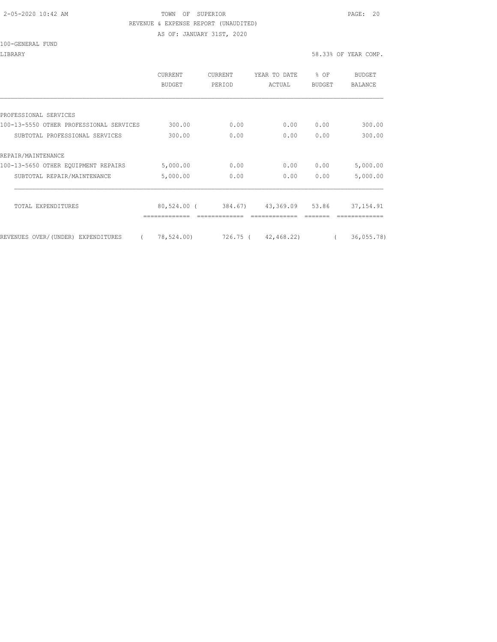#### 2-05-2020 10:42 AM TOWN OF SUPERIOR PAGE: 20 REVENUE & EXPENSE REPORT (UNAUDITED)

AS OF: JANUARY 31ST, 2020

100-GENERAL FUND

#### LIBRARY 58.33% OF YEAR COMP.

|                                         | <b>CURRENT</b><br><b>BUDGET</b> | CURRENT<br>PERIOD  | YEAR TO DATE<br>ACTUAL | % OF<br><b>BUDGET</b> | BUDGET<br>BALANCE |
|-----------------------------------------|---------------------------------|--------------------|------------------------|-----------------------|-------------------|
|                                         |                                 |                    |                        |                       |                   |
| PROFESSIONAL SERVICES                   |                                 |                    |                        |                       |                   |
| 100-13-5550 OTHER PROFESSIONAL SERVICES | 300.00                          | 0.00               | 0.00                   | 0.00                  | 300.00            |
| SUBTOTAL PROFESSIONAL SERVICES          | 300.00                          | 0.00               | 0.00                   | 0.00                  | 300.00            |
| REPAIR/MAINTENANCE                      |                                 |                    |                        |                       |                   |
| 100-13-5650 OTHER EOUIPMENT REPAIRS     | 5,000.00                        | 0.00               | 0.00                   | 0.00                  | 5,000.00          |
| SUBTOTAL REPAIR/MAINTENANCE             | 5,000.00                        | 0.00               | 0.00                   | 0.00                  | 5,000.00          |
| TOTAL EXPENDITURES                      |                                 | 80,524.00 (384.67) | 43,369.09              | 53.86                 | 37, 154.91        |
| REVENUES OVER/(UNDER) EXPENDITURES      | 78,524.00)                      |                    | 726.75 ( 42,468.22)    |                       | 36,055.78)        |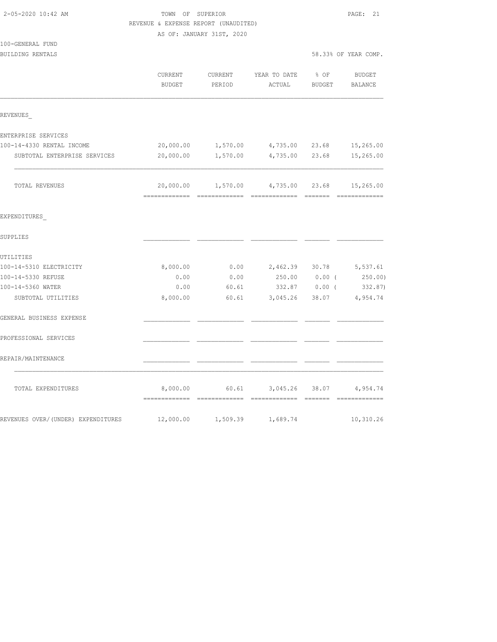| REVENUE & EXPENSE REPORT (UNAUDITED) |                                 |                           |                                        |                       |                      |  |  |
|--------------------------------------|---------------------------------|---------------------------|----------------------------------------|-----------------------|----------------------|--|--|
|                                      |                                 | AS OF: JANUARY 31ST, 2020 |                                        |                       |                      |  |  |
| 100-GENERAL FUND                     |                                 |                           |                                        |                       |                      |  |  |
| BUILDING RENTALS                     |                                 |                           |                                        |                       | 58.33% OF YEAR COMP. |  |  |
|                                      | CURRENT<br><b>BUDGET</b>        | CURRENT<br>PERIOD         | YEAR TO DATE<br>ACTUAL                 | % OF<br><b>BUDGET</b> | BUDGET<br>BALANCE    |  |  |
|                                      |                                 |                           |                                        |                       |                      |  |  |
| REVENUES                             |                                 |                           |                                        |                       |                      |  |  |
| ENTERPRISE SERVICES                  |                                 |                           |                                        |                       |                      |  |  |
| 100-14-4330 RENTAL INCOME            | 20,000.00                       |                           | 1,570.00 4,735.00 23.68                |                       | 15,265.00            |  |  |
| SUBTOTAL ENTERPRISE SERVICES         | 20,000.00                       | 1,570.00                  | 4,735.00                               | 23.68                 | 15,265.00            |  |  |
| TOTAL REVENUES                       | 20,000.00                       | 1,570.00                  | 4,735.00 23.68                         |                       | 15,265.00            |  |  |
| EXPENDITURES                         |                                 |                           |                                        |                       |                      |  |  |
| SUPPLIES                             |                                 |                           |                                        |                       |                      |  |  |
| UTILITIES                            |                                 |                           |                                        |                       |                      |  |  |
| 100-14-5310 ELECTRICITY              | 8,000.00                        | 0.00                      | 2,462.39 30.78 5,537.61                |                       |                      |  |  |
| 100-14-5330 REFUSE                   | 0.00                            | 0.00                      |                                        | 250.00 0.00 (         | 250.00)              |  |  |
| 100-14-5360 WATER                    | 0.00                            | 60.61                     | 332.87 0.00 (                          |                       | 332.87)              |  |  |
| SUBTOTAL UTILITIES                   | 8,000.00                        | 60.61                     | 3,045.26                               | 38.07                 | 4,954.74             |  |  |
| GENERAL BUSINESS EXPENSE             |                                 |                           |                                        |                       |                      |  |  |
| PROFESSIONAL SERVICES                |                                 |                           |                                        |                       |                      |  |  |
| REPAIR/MAINTENANCE                   |                                 |                           |                                        |                       |                      |  |  |
| TOTAL EXPENDITURES                   | =============================== |                           | 8,000.00 60.61 3,045.26 38.07 4,954.74 |                       |                      |  |  |
| REVENUES OVER/(UNDER) EXPENDITURES   | 12,000.00                       | 1,509.39                  | 1,689.74                               |                       | 10,310.26            |  |  |

2-05-2020 10:42 AM TOWN OF SUPERIOR PAGE: 21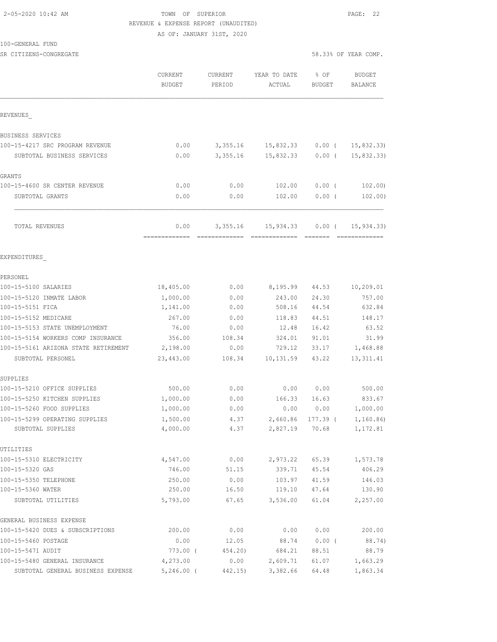# 2-05-2020 10:42 AM TOWN OF SUPERIOR PAGE: 22 REVENUE & EXPENSE REPORT (UNAUDITED)

AS OF: JANUARY 31ST, 2020

#### 100-GENERAL FUND

SR CITIZENS-CONGREGATE 58.33% OF YEAR COMP.

|                                      | CURRENT<br><b>BUDGET</b> | CURRENT<br>PERIOD | YEAR TO DATE<br>ACTUAL | % OF<br>BUDGET | <b>BUDGET</b><br>BALANCE |
|--------------------------------------|--------------------------|-------------------|------------------------|----------------|--------------------------|
| REVENUES                             |                          |                   |                        |                |                          |
| BUSINESS SERVICES                    |                          |                   |                        |                |                          |
| 100-15-4217 SRC PROGRAM REVENUE      | 0.00                     |                   | 3, 355.16 15, 832.33   | $0.00$ (       | 15,832.33)               |
| SUBTOTAL BUSINESS SERVICES           | 0.00                     | 3,355.16          | 15,832.33 0.00 (       |                | 15,832.33)               |
| GRANTS                               |                          |                   |                        |                |                          |
| 100-15-4600 SR CENTER REVENUE        | 0.00                     | 0.00              | 102.00                 | $0.00$ (       | 102.00)                  |
| SUBTOTAL GRANTS                      | 0.00                     | 0.00              | 102.00                 | 0.00(          | 102.00)                  |
| TOTAL REVENUES                       | 0.00                     | 3,355.16          | 15,934.33              | $0.00$ (       | 15, 934.33)              |
| EXPENDITURES                         |                          |                   |                        |                |                          |
| PERSONEL                             |                          |                   |                        |                |                          |
| 100-15-5100 SALARIES                 | 18,405.00                | 0.00              | 8,195.99               | 44.53          | 10,209.01                |
| 100-15-5120 INMATE LABOR             | 1,000.00                 | 0.00              | 243.00                 | 24.30          | 757.00                   |
| 100-15-5151 FICA                     | 1,141.00                 | 0.00              | 508.16                 | 44.54          | 632.84                   |
| 100-15-5152 MEDICARE                 | 267.00                   | 0.00              | 118.83                 | 44.51          | 148.17                   |
| 100-15-5153 STATE UNEMPLOYMENT       | 76.00                    | 0.00              | 12.48                  | 16.42          | 63.52                    |
| 100-15-5154 WORKERS COMP INSURANCE   | 356.00                   | 108.34            | 324.01                 | 91.01          | 31.99                    |
| 100-15-5161 ARIZONA STATE RETIREMENT | 2,198.00                 | 0.00              | 729.12                 | 33.17          | 1,468.88                 |
| SUBTOTAL PERSONEL                    | 23,443.00                | 108.34            | 10,131.59              | 43.22          | 13, 311.41               |
| SUPPLIES                             |                          |                   |                        |                |                          |
| 100-15-5210 OFFICE SUPPLIES          | 500.00                   | 0.00              | 0.00                   | 0.00           | 500.00                   |
| 100-15-5250 KITCHEN SUPPLIES         | 1,000.00                 | 0.00              | 166.33                 | 16.63          | 833.67                   |
| 100-15-5260 FOOD SUPPLIES            | 1,000.00                 | 0.00              | 0.00                   | 0.00           | 1,000.00                 |
| 100-15-5299 OPERATING SUPPLIES       | 1,500.00                 | 4.37              | 2,660.86               | 177.39 (       | 1,160.86                 |
| SUBTOTAL SUPPLIES                    | 4,000.00                 | 4.37              | 2,827.19               | 70.68          | 1,172.81                 |
| UTILITIES                            |                          |                   |                        |                |                          |
| 100-15-5310 ELECTRICITY              | 4,547.00                 | 0.00              | 2,973.22               | 65.39          | 1,573.78                 |
| 100-15-5320 GAS                      | 746.00                   | 51.15             | 339.71                 | 45.54          | 406.29                   |
| 100-15-5350 TELEPHONE                | 250.00                   | 0.00              | 103.97                 | 41.59          | 146.03                   |
| 100-15-5360 WATER                    | 250.00                   | 16.50             | 119.10                 | 47.64          | 130.90                   |
| SUBTOTAL UTILITIES                   | 5,793.00                 | 67.65             | 3,536.00               | 61.04          | 2,257.00                 |
| GENERAL BUSINESS EXPENSE             |                          |                   |                        |                |                          |
| 100-15-5420 DUES & SUBSCRIPTIONS     | 200.00                   | 0.00              | 0.00                   | 0.00           | 200.00                   |
| 100-15-5460 POSTAGE                  | 0.00                     | 12.05             | 88.74                  | $0.00$ (       | 88.74)                   |
| 100-15-5471 AUDIT                    | $773.00$ (               | 454.20)           | 684.21                 | 88.51          | 88.79                    |
| 100-15-5480 GENERAL INSURANCE        | 4,273.00                 | 0.00              | 2,609.71               | 61.07          | 1,663.29                 |
| SUBTOTAL GENERAL BUSINESS EXPENSE    | $5,246.00$ (             | 442.15)           | 3,382.66               | 64.48          | 1,863.34                 |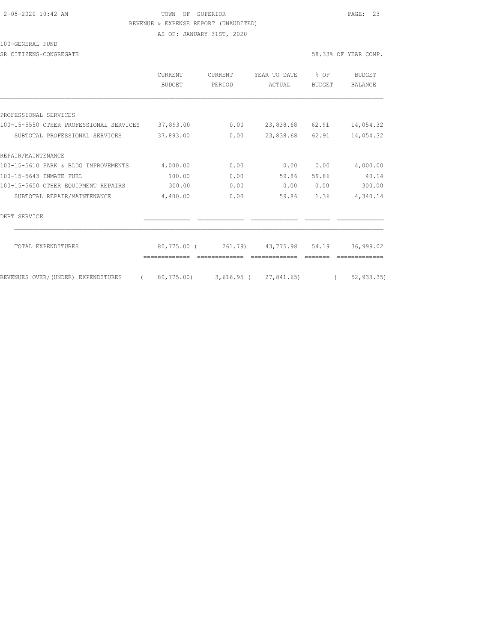#### 2-05-2020 10:42 AM TOWN OF SUPERIOR PAGE: 23 REVENUE & EXPENSE REPORT (UNAUDITED)

AS OF: JANUARY 31ST, 2020

## 100-GENERAL FUND

SR CITIZENS-CONGREGATE SALL ASSOCIATE SERVICE SERVICE SOME SERVICE SOME SERVICE SERVICE SERVICE SERVICE SERVICE

|                                         | <b>CURRENT</b><br><b>BUDGET</b> | CURRENT<br>PERIOD | YEAR TO DATE<br>ACTUAL | % OF<br><b>BUDGET</b> | BUDGET<br><b>BALANCE</b> |
|-----------------------------------------|---------------------------------|-------------------|------------------------|-----------------------|--------------------------|
|                                         |                                 |                   |                        |                       |                          |
| PROFESSIONAL SERVICES                   |                                 |                   |                        |                       |                          |
| 100-15-5550 OTHER PROFESSIONAL SERVICES | 37,893.00                       | 0.00              | 23,838.68              | 62.91                 | 14,054.32                |
| SUBTOTAL PROFESSIONAL SERVICES          | 37,893.00                       | 0.00              | 23,838.68              | 62.91                 | 14,054.32                |
| REPAIR/MAINTENANCE                      |                                 |                   |                        |                       |                          |
| 100-15-5610 PARK & BLDG IMPROVEMENTS    | 4,000.00                        | 0.00              | 0.00                   | 0.00                  | 4,000.00                 |
| 100-15-5643 INMATE FUEL                 | 100.00                          | 0.00              | 59.86                  | 59.86                 | 40.14                    |
| 100-15-5650 OTHER EQUIPMENT REPAIRS     | 300.00                          | 0.00              | 0.00                   | 0.00                  | 300.00                   |
| SUBTOTAL REPAIR/MAINTENANCE             | 4,400.00                        | 0.00              | 59.86                  | 1.36                  | 4,340.14                 |
| DEBT SERVICE                            |                                 |                   |                        |                       |                          |
| TOTAL EXPENDITURES                      | $80,775.00$ (                   | 261.79)           | 43,775.98 54.19        |                       | 36,999.02                |
| REVENUES OVER/(UNDER) EXPENDITURES      | 80,775.00)                      | $3,616.95$ (      | 27,841.65)             |                       | 52, 933.35               |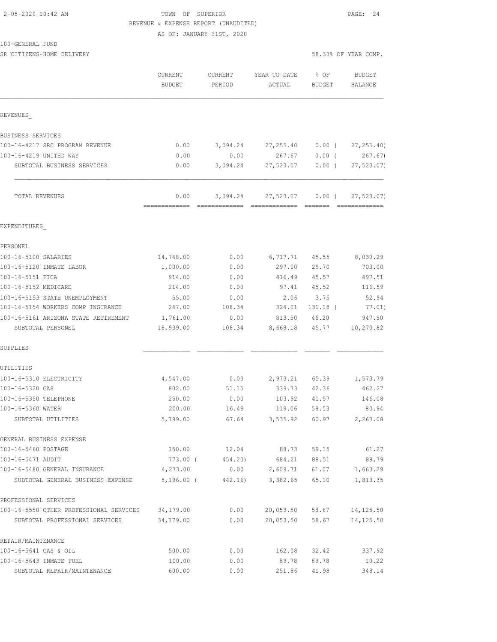### TOWN OF SUPERIOR PAGE: 24 REVENUE & EXPENSE REPORT (UNAUDITED)

AS OF: JANUARY 31ST, 2020

#### 100-GENERAL FUND

| SR CITIZENS-HOME DELIVERY                                          |                          |                                                                                                                                                                                                                                                                                                                                                                                                                                                                              |                             | 58.33% OF YEAR COMP.  |                      |
|--------------------------------------------------------------------|--------------------------|------------------------------------------------------------------------------------------------------------------------------------------------------------------------------------------------------------------------------------------------------------------------------------------------------------------------------------------------------------------------------------------------------------------------------------------------------------------------------|-----------------------------|-----------------------|----------------------|
|                                                                    | CURRENT<br><b>BUDGET</b> | CURRENT<br>PERIOD                                                                                                                                                                                                                                                                                                                                                                                                                                                            | YEAR TO DATE<br>ACTUAL      | % OF<br><b>BUDGET</b> | BUDGET<br>BALANCE    |
| REVENUES                                                           |                          |                                                                                                                                                                                                                                                                                                                                                                                                                                                                              |                             |                       |                      |
| BUSINESS SERVICES                                                  |                          |                                                                                                                                                                                                                                                                                                                                                                                                                                                                              |                             |                       |                      |
| 100-16-4217 SRC PROGRAM REVENUE                                    | 0.00                     | 3,094.24                                                                                                                                                                                                                                                                                                                                                                                                                                                                     | 27, 255.40                  | $0.00$ (              | 27, 255.40           |
| 100-16-4219 UNITED WAY                                             | 0.00                     | 0.00                                                                                                                                                                                                                                                                                                                                                                                                                                                                         | 267.67                      | $0.00$ (              | 267.67)              |
| SUBTOTAL BUSINESS SERVICES                                         | 0.00                     | 3,094.24                                                                                                                                                                                                                                                                                                                                                                                                                                                                     | 27,523.07                   | $0.00$ (              | 27, 523.07)          |
| TOTAL REVENUES                                                     | 0.00<br>=============    | 3,094.24<br>$\begin{array}{c} \multicolumn{2}{c} {\textbf{2.4}} & \multicolumn{2}{c} {\textbf{2.5}} & \multicolumn{2}{c} {\textbf{2.6}} \\ \multicolumn{2}{c} {\textbf{2.6}} & \multicolumn{2}{c} {\textbf{2.6}} & \multicolumn{2}{c} {\textbf{2.6}} \\ \multicolumn{2}{c} {\textbf{2.6}} & \multicolumn{2}{c} {\textbf{2.6}} & \multicolumn{2}{c} {\textbf{2.6}} \\ \multicolumn{2}{c} {\textbf{2.6}} & \multicolumn{2}{c} {\textbf{2.6}} & \multicolumn{2}{c} {\textbf{2.$ | 27,523.07<br>-------------- | $0.00$ (<br>--------  | 27, 523.07           |
| EXPENDITURES                                                       |                          |                                                                                                                                                                                                                                                                                                                                                                                                                                                                              |                             |                       |                      |
| PERSONEL                                                           |                          |                                                                                                                                                                                                                                                                                                                                                                                                                                                                              |                             |                       |                      |
| 100-16-5100 SALARIES                                               | 14,748.00                | 0.00                                                                                                                                                                                                                                                                                                                                                                                                                                                                         | 6,717.71                    | 45.55                 | 8,030.29             |
| 100-16-5120 INMATE LABOR                                           | 1,000.00                 | 0.00                                                                                                                                                                                                                                                                                                                                                                                                                                                                         | 297.00                      | 29.70                 | 703.00               |
| 100-16-5151 FICA                                                   | 914.00                   | 0.00                                                                                                                                                                                                                                                                                                                                                                                                                                                                         | 416.49                      | 45.57                 | 497.51               |
| 100-16-5152 MEDICARE                                               | 214.00                   | 0.00                                                                                                                                                                                                                                                                                                                                                                                                                                                                         | 97.41                       | 45.52                 | 116.59               |
| 100-16-5153 STATE UNEMPLOYMENT                                     | 55.00                    | 0.00                                                                                                                                                                                                                                                                                                                                                                                                                                                                         | 2.06                        | 3.75                  | 52.94                |
| 100-16-5154 WORKERS COMP INSURANCE                                 | 247.00                   | 108.34                                                                                                                                                                                                                                                                                                                                                                                                                                                                       | 324.01                      | 131.18 (              | 77.01)               |
| 100-16-5161 ARIZONA STATE RETIREMENT                               | 1,761.00                 | 0.00                                                                                                                                                                                                                                                                                                                                                                                                                                                                         | 813.50                      | 46.20                 | 947.50               |
| SUBTOTAL PERSONEL                                                  | 18,939.00                | 108.34                                                                                                                                                                                                                                                                                                                                                                                                                                                                       | 8,668.18                    | 45.77                 | 10,270.82            |
| SUPPLIES                                                           |                          |                                                                                                                                                                                                                                                                                                                                                                                                                                                                              |                             |                       |                      |
| UTILITIES                                                          |                          |                                                                                                                                                                                                                                                                                                                                                                                                                                                                              |                             |                       |                      |
| 100-16-5310 ELECTRICITY                                            | 4,547.00                 | 0.00                                                                                                                                                                                                                                                                                                                                                                                                                                                                         | 2,973.21                    | 65.39                 | 1,573.79             |
| 100-16-5320 GAS                                                    | 802.00                   | 51.15                                                                                                                                                                                                                                                                                                                                                                                                                                                                        | 339.73                      | 42.36                 | 462.27               |
| 100-16-5350 TELEPHONE                                              | 250.00                   | 0.00                                                                                                                                                                                                                                                                                                                                                                                                                                                                         | 103.92                      | 41.57                 | 146.08               |
| 100-16-5360 WATER                                                  | 200.00                   | 16.49                                                                                                                                                                                                                                                                                                                                                                                                                                                                        | 119.06                      | 59.53                 | 80.94                |
| SUBTOTAL UTILITIES                                                 | 5,799.00                 | 67.64                                                                                                                                                                                                                                                                                                                                                                                                                                                                        |                             | 3,535.92 60.97        | 2,263.08             |
| GENERAL BUSINESS EXPENSE                                           |                          |                                                                                                                                                                                                                                                                                                                                                                                                                                                                              |                             |                       |                      |
| 100-16-5460 POSTAGE                                                | 150.00                   | 12.04                                                                                                                                                                                                                                                                                                                                                                                                                                                                        | 88.73                       | 59.15                 | 61.27                |
| 100-16-5471 AUDIT                                                  |                          |                                                                                                                                                                                                                                                                                                                                                                                                                                                                              | 773.00 (454.20) 684.21      | 88.51                 | 88.79                |
| 100-16-5480 GENERAL INSURANCE<br>SUBTOTAL GENERAL BUSINESS EXPENSE | 4,273.00<br>5,196.00 (   | 0.00<br>442.16)                                                                                                                                                                                                                                                                                                                                                                                                                                                              | 2,609.71<br>3,382.65        | 61.07<br>65.10        | 1,663.29<br>1,813.35 |
| PROFESSIONAL SERVICES                                              |                          |                                                                                                                                                                                                                                                                                                                                                                                                                                                                              |                             |                       |                      |
| 100-16-5550 OTHER PROFESSIONAL SERVICES                            | 34,179.00                | 0.00                                                                                                                                                                                                                                                                                                                                                                                                                                                                         | 20,053.50                   | 58.67                 | 14,125.50            |
| SUBTOTAL PROFESSIONAL SERVICES                                     | 34,179.00                | 0.00                                                                                                                                                                                                                                                                                                                                                                                                                                                                         | 20,053.50                   | 58.67                 | 14,125.50            |
| REPAIR/MAINTENANCE                                                 |                          |                                                                                                                                                                                                                                                                                                                                                                                                                                                                              |                             |                       |                      |
| 100-16-5641 GAS & OIL                                              | 500.00                   | 0.00                                                                                                                                                                                                                                                                                                                                                                                                                                                                         | 162.08                      | 32.42                 | 337.92               |
| 100-16-5643 INMATE FUEL                                            | 100.00                   | 0.00                                                                                                                                                                                                                                                                                                                                                                                                                                                                         | 89.78                       | 89.78                 | 10.22                |
| SUBTOTAL REPAIR/MAINTENANCE                                        | 600.00                   | 0.00                                                                                                                                                                                                                                                                                                                                                                                                                                                                         | 251.86                      | 41.98                 | 348.14               |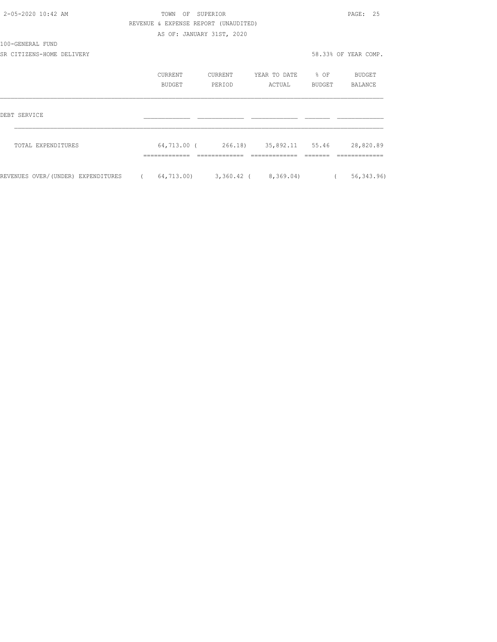| 2-05-2020 10:42 AM                 |            | TOWN OF SUPERIOR                     |                           |                                    |                | PAGE: 25             |
|------------------------------------|------------|--------------------------------------|---------------------------|------------------------------------|----------------|----------------------|
|                                    |            | REVENUE & EXPENSE REPORT (UNAUDITED) |                           |                                    |                |                      |
|                                    |            |                                      | AS OF: JANUARY 31ST, 2020 |                                    |                |                      |
| 100-GENERAL FUND                   |            |                                      |                           |                                    |                |                      |
| SR CITIZENS-HOME DELIVERY          |            |                                      |                           |                                    |                | 58.33% OF YEAR COMP. |
|                                    |            | CURRENT                              | CURRENT                   | YEAR TO DATE 8 OF                  |                | BUDGET               |
|                                    |            | <b>BUDGET</b>                        | PERIOD                    | ACTUAL                             | BUDGET         | BALANCE              |
| DEBT SERVICE                       |            |                                      |                           |                                    |                |                      |
| TOTAL EXPENDITURES                 |            |                                      |                           | 64,713.00 (266.18) 35,892.11 55.46 |                | 28,820.89            |
|                                    |            |                                      |                           |                                    |                |                      |
| REVENUES OVER/(UNDER) EXPENDITURES | $\sqrt{2}$ |                                      |                           | 64,713.00) 3,360.42 ( 8,369.04)    | $\overline{a}$ | 56, 343.96)          |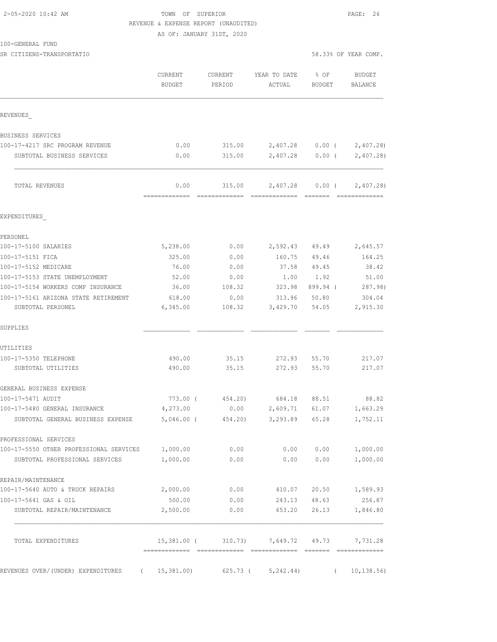### 2-05-2020 10:42 AM TOWN OF SUPERIOR PAGE: 26 REVENUE & EXPENSE REPORT (UNAUDITED)

AS OF: JANUARY 31ST, 2020

100-GENERAL FUND

|                                         | CURRENT<br><b>BUDGET</b> | CURRENT<br>PERIOD   | YEAR TO DATE<br>ACTUAL | % OF<br><b>BUDGET</b> | <b>BUDGET</b><br>BALANCE    |
|-----------------------------------------|--------------------------|---------------------|------------------------|-----------------------|-----------------------------|
| REVENUES                                |                          |                     |                        |                       |                             |
| <b>BUSINESS SERVICES</b>                |                          |                     |                        |                       |                             |
| 100-17-4217 SRC PROGRAM REVENUE         | 0.00                     | 315.00              |                        |                       | $2,407.28$ 0.00 ( 2,407.28) |
| SUBTOTAL BUSINESS SERVICES              | 0.00                     | 315.00              |                        | $2,407.28$ 0.00 (     | 2,407.28                    |
| TOTAL REVENUES                          | 0.00                     | 315.00              |                        | 2,407.28 0.00 (       | 2,407.28                    |
| EXPENDITURES                            |                          |                     |                        |                       |                             |
| PERSONEL                                |                          |                     |                        |                       |                             |
| 100-17-5100 SALARIES                    | 5,238.00                 | 0.00                | 2,592.43 49.49         |                       | 2,645.57                    |
| 100-17-5151 FICA                        | 325.00                   | 0.00                | 160.75 49.46           |                       | 164.25                      |
| 100-17-5152 MEDICARE                    | 76.00                    | 0.00                | 37.58                  | 49.45                 | 38.42                       |
| 100-17-5153 STATE UNEMPLOYMENT          | 52.00                    | 0.00                |                        | 1.00 1.92             | 51.00                       |
| 100-17-5154 WORKERS COMP INSURANCE      | 36.00                    | 108.32              | 323.98                 | 899.94 (              | 287.98)                     |
| 100-17-5161 ARIZONA STATE RETIREMENT    | 618.00                   | 0.00                | 313.96                 | 50.80                 | 304.04                      |
| SUBTOTAL PERSONEL                       | 6,345.00                 | 108.32              | 3,429.70               | 54.05                 | 2,915.30                    |
| SUPPLIES                                |                          |                     |                        |                       |                             |
| UTILITIES                               |                          |                     |                        |                       |                             |
| 100-17-5350 TELEPHONE                   | 490.00                   | 35.15               |                        | 272.93 55.70          | 217.07                      |
| SUBTOTAL UTILITIES                      | 490.00                   | 35.15               | 272.93                 | 55.70                 | 217.07                      |
| GENERAL BUSINESS EXPENSE                |                          |                     |                        |                       |                             |
| 100-17-5471 AUDIT                       | 773.00 (                 |                     | 454.20) 684.18 88.51   |                       | 88.82                       |
| 100-17-5480 GENERAL INSURANCE           | 4,273.00                 | 0.00                | 2,609.71               | 61.07                 | 1,663.29                    |
| SUBTOTAL GENERAL BUSINESS EXPENSE       |                          | 5,046.00 ( 454.20)  | 3,293.89               | 65.28                 | 1,752.11                    |
| PROFESSIONAL SERVICES                   |                          |                     |                        |                       |                             |
| 100-17-5550 OTHER PROFESSIONAL SERVICES | 1,000.00                 | 0.00                | 0.00                   | 0.00                  | 1,000.00                    |
| SUBTOTAL PROFESSIONAL SERVICES          | 1,000.00                 | 0.00                | 0.00                   | 0.00                  | 1,000.00                    |
| REPAIR/MAINTENANCE                      |                          |                     |                        |                       |                             |
| 100-17-5640 AUTO & TRUCK REPAIRS        | 2,000.00                 | 0.00                | 410.07                 | 20.50                 | 1,589.93                    |
| 100-17-5641 GAS & OIL                   | 500.00                   | 0.00                | 243.13                 | 48.63                 | 256.87                      |
| SUBTOTAL REPAIR/MAINTENANCE             | 2,500.00                 | 0.00                | 653.20                 | 26.13                 | 1,846.80                    |
| TOTAL EXPENDITURES                      | $15,381.00$ (            | 310.73)<br>======== | 7,649.72               | 49.73<br>=======      | 7,731.28<br>========        |
| REVENUES OVER/(UNDER) EXPENDITURES      | 15,381.00)               | 625.73 (            | 5, 242.44)             |                       | 10, 138.56                  |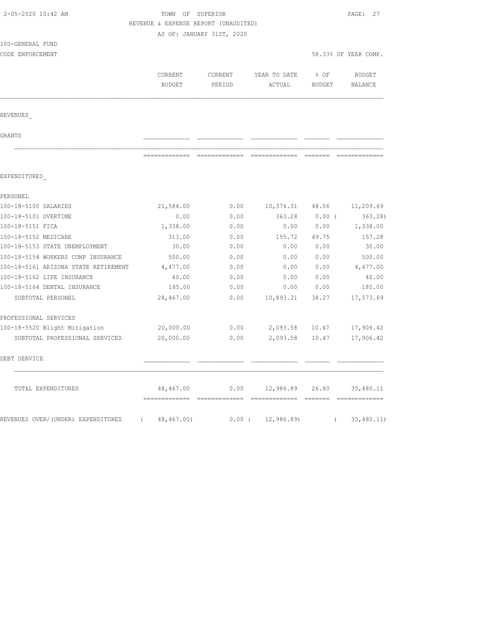| 2-05-2020 10:42 AM                   |                        | TOWN OF SUPERIOR<br>REVENUE & EXPENSE REPORT (UNAUDITED)<br>AS OF: JANUARY 31ST, 2020 |               |                                                                  |                        |  |
|--------------------------------------|------------------------|---------------------------------------------------------------------------------------|---------------|------------------------------------------------------------------|------------------------|--|
| 100-GENERAL FUND<br>CODE ENFORCEMENT |                        |                                                                                       |               |                                                                  | 58.33% OF YEAR COMP.   |  |
|                                      | CURRENT                | CURRENT                                                                               | YEAR TO DATE  | % OF                                                             | <b>BUDGET</b>          |  |
|                                      | <b>BUDGET</b>          | PERIOD                                                                                | ACTUAL        | BUDGET                                                           | <b>BALANCE</b>         |  |
| REVENUES                             |                        |                                                                                       |               |                                                                  |                        |  |
| GRANTS                               |                        |                                                                                       |               |                                                                  |                        |  |
|                                      | =============          | =============                                                                         | ============= | $\qquad \qquad \equiv \equiv \equiv \equiv \equiv \equiv \equiv$ |                        |  |
| EXPENDITURES                         |                        |                                                                                       |               |                                                                  |                        |  |
| PERSONEL                             |                        |                                                                                       |               |                                                                  |                        |  |
| 100-18-5100 SALARIES                 | 21,584.00              | 0.00                                                                                  | 10,374.31     | 48.06                                                            | 11,209.69              |  |
| 100-18-5101 OVERTIME                 | 0.00                   | 0.00                                                                                  | 363.28        | $0.00$ (                                                         | 363.28)                |  |
| 100-18-5151 FICA                     | 1,338.00               | 0.00                                                                                  | 0.00          | 0.00                                                             | 1,338.00               |  |
| 100-18-5152 MEDICARE                 | 313.00                 | 0.00                                                                                  | 155.72        | 49.75                                                            | 157.28                 |  |
| 100-18-5153 STATE UNEMPLOYMENT       | 30.00                  | 0.00                                                                                  | 0.00          | 0.00                                                             | 30.00                  |  |
| 100-18-5154 WORKERS COMP INSURANCE   | 500.00                 | 0.00                                                                                  | 0.00          | 0.00                                                             | 500.00                 |  |
| 100-18-5161 ARIZONA STATE RETIREMENT | 4,477.00               | 0.00                                                                                  | 0.00          | 0.00                                                             | 4,477.00               |  |
| 100-18-5162 LIFE INSURANCE           | 40.00                  | 0.00                                                                                  | 0.00          | 0.00                                                             | 40.00                  |  |
| 100-18-5164 DENTAL INSURANCE         | 185.00                 | 0.00                                                                                  | 0.00          | 0.00                                                             | 185.00                 |  |
| SUBTOTAL PERSONEL                    | 28,467.00              | 0.00                                                                                  | 10,893.31     | 38.27                                                            | 17,573.69              |  |
| PROFESSIONAL SERVICES                |                        |                                                                                       |               |                                                                  |                        |  |
| 100-18-5520 Blight Mitigation        | 20,000.00              | 0.00                                                                                  | 2,093.58      | 10.47                                                            | 17,906.42              |  |
| SUBTOTAL PROFESSIONAL SERVICES       | 20,000.00              | 0.00                                                                                  | 2,093.58      | 10.47                                                            | 17,906.42              |  |
| DEBT SERVICE                         |                        |                                                                                       |               |                                                                  |                        |  |
| TOTAL EXPENDITURES                   | 48,467.00              | 0.00                                                                                  | 12,986.89     | 26.80<br>____ _____                                              | 35,480.11              |  |
| REVENUES OVER/(UNDER) EXPENDITURES   | 48,467.00)<br>$\left($ | $0.00$ (                                                                              | 12,986.89     |                                                                  | 35,480.11)<br>$\left($ |  |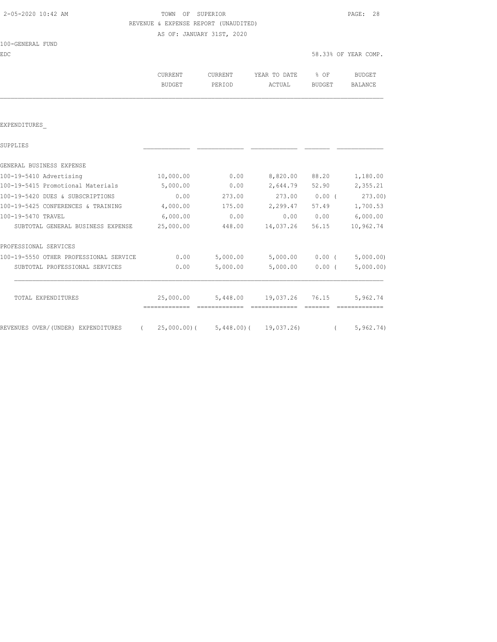# TOWN OF SUPERIOR **10:42 AM TOWN OF SUPERIOR** REVENUE & EXPENSE REPORT (UNAUDITED)

AS OF: JANUARY 31ST, 2020

|  | 100-GENERAL FUND |  |
|--|------------------|--|
|  |                  |  |

| 100-GENERAL FUND                   |                          |                          |                        |                       |                                 |
|------------------------------------|--------------------------|--------------------------|------------------------|-----------------------|---------------------------------|
| <b>EDC</b>                         |                          |                          |                        |                       | 58.33% OF YEAR COMP.            |
|                                    | CURRENT<br><b>BUDGET</b> | <b>CURRENT</b><br>PERIOD | YEAR TO DATE<br>ACTUAL | % OF<br><b>BUDGET</b> | <b>BUDGET</b><br><b>BALANCE</b> |
|                                    |                          |                          |                        |                       |                                 |
| EXPENDITURES                       |                          |                          |                        |                       |                                 |
| SUPPLIES                           |                          |                          |                        |                       |                                 |
| GENERAL BUSINESS EXPENSE           |                          |                          |                        |                       |                                 |
| 100-19-5410 Advertising            | 10,000.00                | 0.00                     | 8,820.00               | 88.20                 | 1,180.00                        |
| 100-19-5415 Promotional Materials  | 5,000.00                 | 0.00                     | 2,644.79               | 52.90                 | 2,355.21                        |
| 100-19-5420 DUES & SUBSCRIPTIONS   | 0.00                     | 273.00                   | 273.00                 | $0.00$ (              | 273.00)                         |
| 100-19-5425 CONFERENCES & TRAINING | 4,000.00                 | 175.00                   | 2,299.47               | 57.49                 | 1,700.53                        |

| TOTAL EXPENDITURES                     | 25,000.00 | 5,448.00 | 19,037.26 | 76.15 | 5,962.74  |
|----------------------------------------|-----------|----------|-----------|-------|-----------|
|                                        |           |          |           |       |           |
| SUBTOTAL PROFESSIONAL SERVICES         | 0.00      | 5,000.00 | 5,000.00  | 0.00  | 5,000.00) |
| 100-19-5550 OTHER PROFESSIONAL SERVICE | 0.00      | 5,000.00 | 5,000.00  | 0.00  | 5,000.00) |
| PROFESSIONAL SERVICES                  |           |          |           |       |           |
|                                        |           |          |           |       |           |

100-19-5470 TRAVEL 6,000.00 0.00 0.00 0.00 6,000.00 SUBTOTAL GENERAL BUSINESS EXPENSE 25,000.00 448.00 14,037.26 56.15 10,962.74

REVENUES OVER/(UNDER) EXPENDITURES ( 25,000.00)( 5,448.00)( 19,037.26) ( 5,962.74)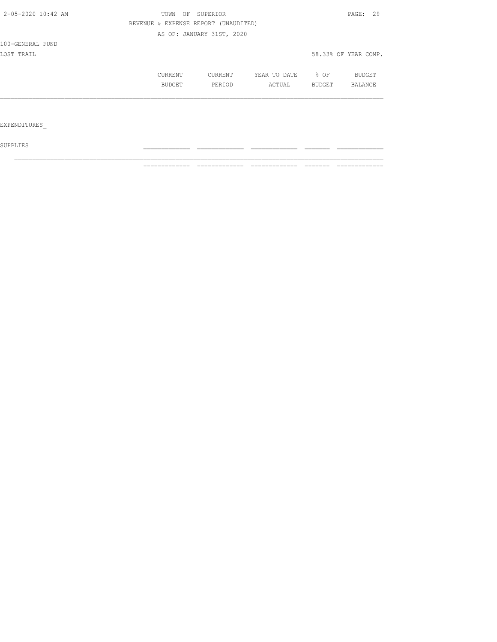| 2-05-2020 10:42 AM | TOWN                                 | OF SUPERIOR               |              |        |                      |  |  |
|--------------------|--------------------------------------|---------------------------|--------------|--------|----------------------|--|--|
|                    | REVENUE & EXPENSE REPORT (UNAUDITED) |                           |              |        |                      |  |  |
|                    |                                      | AS OF: JANUARY 31ST, 2020 |              |        |                      |  |  |
| 100-GENERAL FUND   |                                      |                           |              |        |                      |  |  |
| LOST TRAIL         |                                      |                           |              |        | 58.33% OF YEAR COMP. |  |  |
|                    | CURRENT                              | CURRENT                   | YEAR TO DATE | % OF   | BUDGET               |  |  |
|                    | BUDGET                               | PERIOD                    | ACTUAL       | BUDGET | <b>BALANCE</b>       |  |  |
|                    |                                      |                           |              |        |                      |  |  |
|                    |                                      |                           |              |        |                      |  |  |
| EXPENDITURES       |                                      |                           |              |        |                      |  |  |

 ${\tt SUPPLIES}$ 

============= ============= ============= ======= =============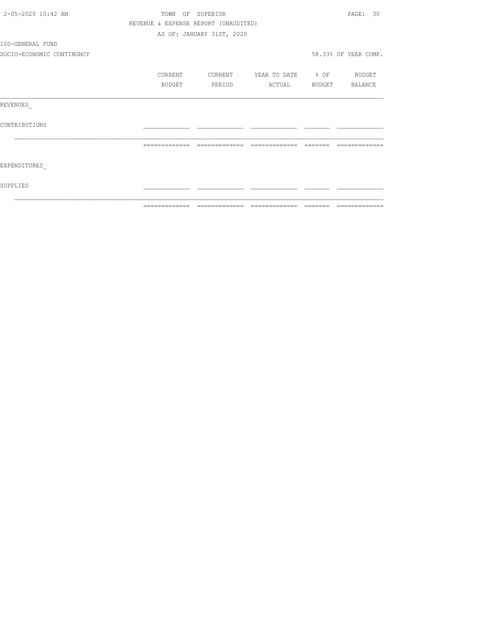| 2-05-2020 10:42 AM        | TOWN          | OF SUPERIOR                          |                   |                                                                                                                                                                                                                                                                                                                                                                                                                                                                                            | PAGE: 30              |
|---------------------------|---------------|--------------------------------------|-------------------|--------------------------------------------------------------------------------------------------------------------------------------------------------------------------------------------------------------------------------------------------------------------------------------------------------------------------------------------------------------------------------------------------------------------------------------------------------------------------------------------|-----------------------|
|                           |               | REVENUE & EXPENSE REPORT (UNAUDITED) |                   |                                                                                                                                                                                                                                                                                                                                                                                                                                                                                            |                       |
|                           |               | AS OF: JANUARY 31ST, 2020            |                   |                                                                                                                                                                                                                                                                                                                                                                                                                                                                                            |                       |
| 100-GENERAL FUND          |               |                                      |                   |                                                                                                                                                                                                                                                                                                                                                                                                                                                                                            |                       |
| SOCIO-ECONOMIC CONTINGNCY |               |                                      |                   |                                                                                                                                                                                                                                                                                                                                                                                                                                                                                            | 58.33% OF YEAR COMP.  |
|                           | CURRENT       | CURRENT                              | YEAR TO DATE % OF |                                                                                                                                                                                                                                                                                                                                                                                                                                                                                            | <b>BUDGET</b>         |
|                           | BUDGET        | PERIOD                               |                   |                                                                                                                                                                                                                                                                                                                                                                                                                                                                                            | ACTUAL BUDGET BALANCE |
| REVENUES                  |               |                                      |                   |                                                                                                                                                                                                                                                                                                                                                                                                                                                                                            |                       |
| CONTRIBUTIONS             |               |                                      |                   |                                                                                                                                                                                                                                                                                                                                                                                                                                                                                            |                       |
|                           | ============= | =============                        | -------------     | $\qquad \qquad \qquad =\qquad \qquad =\qquad \qquad =\qquad \qquad =\qquad \qquad =\qquad \qquad =\qquad \qquad =\qquad \qquad =\qquad \qquad =\qquad \qquad =\qquad \qquad =\qquad \qquad =\qquad \qquad =\qquad \qquad =\qquad \qquad =\qquad \qquad =\qquad \qquad =\qquad \qquad =\qquad \qquad =\qquad \qquad =\qquad \qquad =\qquad \qquad =\qquad \qquad =\qquad \qquad =\qquad \qquad =\qquad \qquad =\qquad \qquad =\qquad \qquad =\qquad \qquad =\qquad \qquad =\qquad \qquad =$ |                       |
| EXPENDITURES              |               |                                      |                   |                                                                                                                                                                                                                                                                                                                                                                                                                                                                                            |                       |
| SUPPLIES                  |               |                                      |                   |                                                                                                                                                                                                                                                                                                                                                                                                                                                                                            |                       |
|                           | ------------- |                                      |                   |                                                                                                                                                                                                                                                                                                                                                                                                                                                                                            |                       |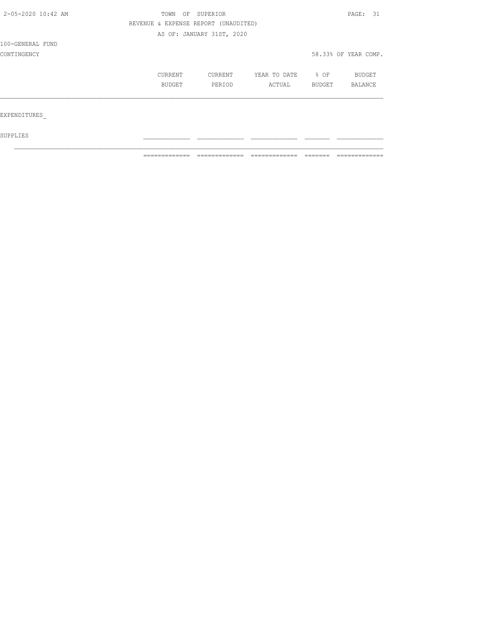| 2-05-2020 10:42 AM | TOWN OF                              | SUPERIOR                  |              |        |                |  |
|--------------------|--------------------------------------|---------------------------|--------------|--------|----------------|--|
|                    | REVENUE & EXPENSE REPORT (UNAUDITED) |                           |              |        |                |  |
|                    |                                      | AS OF: JANUARY 31ST, 2020 |              |        |                |  |
| 100-GENERAL FUND   |                                      |                           |              |        |                |  |
| CONTINGENCY        |                                      |                           |              |        |                |  |
|                    | CURRENT                              | CURRENT                   | YEAR TO DATE | % OF   | <b>BUDGET</b>  |  |
|                    | BUDGET                               | PERIOD                    | ACTUAL       | BUDGET | <b>BALANCE</b> |  |
|                    |                                      |                           |              |        |                |  |
| EXPENDITURES       |                                      |                           |              |        |                |  |
| SUPPLIES           |                                      |                           |              |        |                |  |

 $\mathcal{L}_\text{max}$ 

============= ============= ============= ======= =============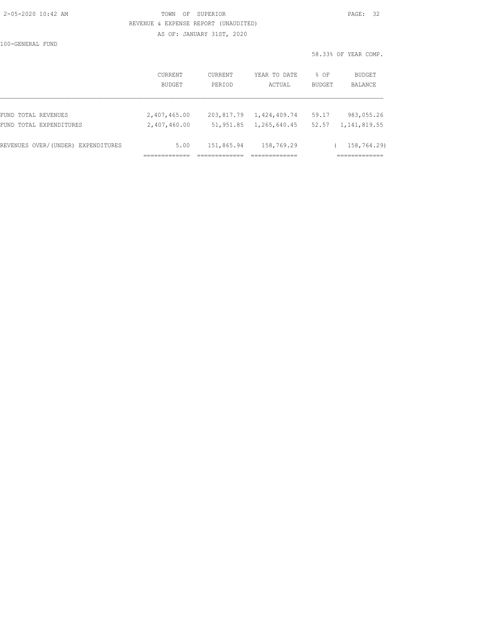# 2-05-2020 10:42 AM TOWN OF SUPERIOR PAGE: 32 REVENUE & EXPENSE REPORT (UNAUDITED)

AS OF: JANUARY 31ST, 2020

100-GENERAL FUND

| 58.33% OF YEAR COMP. |
|----------------------|
|                      |

|                                    | <b>CURRENT</b><br>BUDGET | <b>CURRENT</b><br>PERIOD | YEAR TO DATE<br>ACTUAL | % OF<br><b>BUDGET</b> | BUDGET<br>BALANCE |
|------------------------------------|--------------------------|--------------------------|------------------------|-----------------------|-------------------|
|                                    |                          |                          |                        |                       |                   |
| FUND TOTAL REVENUES                | 2,407,465.00             | 203,817.79               | 1,424,409.74           | 59.17                 | 983,055.26        |
| FUND TOTAL EXPENDITURES            | 2,407,460.00             | 51,951.85                | 1,265,640.45           | 52.57                 | 1, 141, 819.55    |
| REVENUES OVER/(UNDER) EXPENDITURES | 5.00                     | 151,865.94               | 158,769.29             |                       | 158,764.29)       |
|                                    |                          |                          |                        |                       |                   |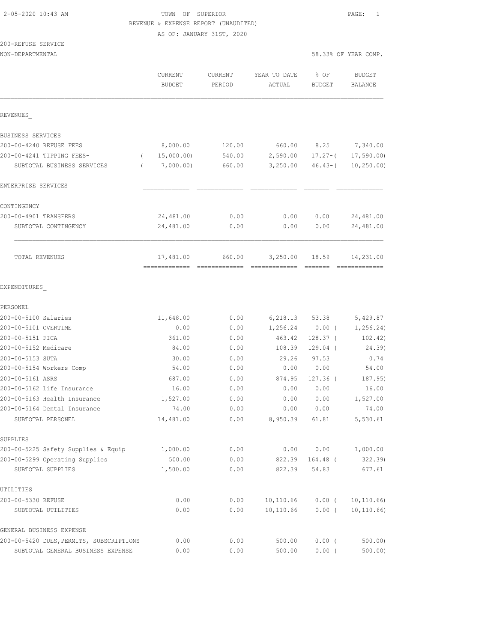# 2-05-2020 10:43 AM TOWN OF SUPERIOR PAGE: 1 REVENUE & EXPENSE REPORT (UNAUDITED)

AS OF: JANUARY 31ST, 2020

# 200-REFUSE SERVICE

|                                          | CURRENT<br><b>BUDGET</b>   | CURRENT<br>PERIOD | YEAR TO DATE<br>ACTUAL | % OF<br><b>BUDGET</b> | <b>BUDGET</b><br>BALANCE |
|------------------------------------------|----------------------------|-------------------|------------------------|-----------------------|--------------------------|
| REVENUES                                 |                            |                   |                        |                       |                          |
| BUSINESS SERVICES                        |                            |                   |                        |                       |                          |
| 200-00-4240 REFUSE FEES                  | 8,000.00                   | 120.00            | 660.00                 | 8.25                  | 7,340.00                 |
| 200-00-4241 TIPPING FEES-<br>$\left($    | 15,000.00)                 | 540.00            | 2,590.00               | $17.27 - ($           | 17,590.00                |
| SUBTOTAL BUSINESS SERVICES<br>$\left($   | 7,000.00)                  | 660.00            | 3,250.00               | $46.43-$ (            | 10, 250.00               |
| ENTERPRISE SERVICES                      |                            |                   |                        |                       |                          |
| CONTINGENCY                              |                            |                   |                        |                       |                          |
| 200-00-4901 TRANSFERS                    | 24,481.00                  | 0.00              | 0.00                   | 0.00                  | 24,481.00                |
| SUBTOTAL CONTINGENCY                     | 24,481.00                  | 0.00              | 0.00                   | 0.00                  | 24,481.00                |
| TOTAL REVENUES                           | 17,481.00<br>============= | 660.00            | 3,250.00               | 18.59                 | 14,231.00<br>=========== |
| EXPENDITURES                             |                            |                   |                        |                       |                          |
| PERSONEL                                 |                            |                   |                        |                       |                          |
| 200-00-5100 Salaries                     | 11,648.00                  | 0.00              | 6, 218.13              | 53.38                 | 5,429.87                 |
| 200-00-5101 OVERTIME                     | 0.00                       | 0.00              | 1,256.24               | $0.00$ (              | 1,256.24)                |
| 200-00-5151 FICA                         | 361.00                     | 0.00              | 463.42                 | $128.37$ (            | 102.42)                  |
| 200-00-5152 Medicare                     | 84.00                      | 0.00              | 108.39                 | $129.04$ (            | 24.39)                   |
| 200-00-5153 SUTA                         | 30.00                      | 0.00              | 29.26                  | 97.53                 | 0.74                     |
| 200-00-5154 Workers Comp                 | 54.00                      | 0.00              | 0.00                   | 0.00                  | 54.00                    |
| 200-00-5161 ASRS                         | 687.00                     | 0.00              | 874.95                 | $127.36$ (            | 187.95)                  |
| 200-00-5162 Life Insurance               | 16.00                      | 0.00              | 0.00                   | 0.00                  | 16.00                    |
| 200-00-5163 Health Insurance             | 1,527.00                   | 0.00              | 0.00                   | 0.00                  | 1,527.00                 |
| 200-00-5164 Dental Insurance             | 74.00                      | 0.00              | 0.00                   | 0.00                  | 74.00                    |
| SUBTOTAL PERSONEL                        | 14,481.00                  | 0.00              | 8,950.39               | 61.81                 | 5,530.61                 |
| SUPPLIES                                 |                            |                   |                        |                       |                          |
| 200-00-5225 Safety Supplies & Equip      | 1,000.00                   | 0.00              | 0.00                   | 0.00                  | 1,000.00                 |
| 200-00-5299 Operating Supplies           | 500.00                     | 0.00              | 822.39                 | 164.48 (              | 322.39)                  |
| SUBTOTAL SUPPLIES                        | 1,500.00                   | 0.00              | 822.39                 | 54.83                 | 677.61                   |
| UTILITIES                                |                            |                   |                        |                       |                          |
| 200-00-5330 REFUSE                       | 0.00                       | 0.00              | 10,110.66              | 0.00(                 | 10, 110.66               |
| SUBTOTAL UTILITIES                       | 0.00                       | 0.00              | 10,110.66              | $0.00$ (              | 10, 110.66)              |
| GENERAL BUSINESS EXPENSE                 |                            |                   |                        |                       |                          |
| 200-00-5420 DUES, PERMITS, SUBSCRIPTIONS | 0.00                       | 0.00              | 500.00                 | $0.00$ (              | 500.00                   |
| SUBTOTAL GENERAL BUSINESS EXPENSE        | 0.00                       | 0.00              | 500.00                 | $0.00$ (              | $500.00$ )               |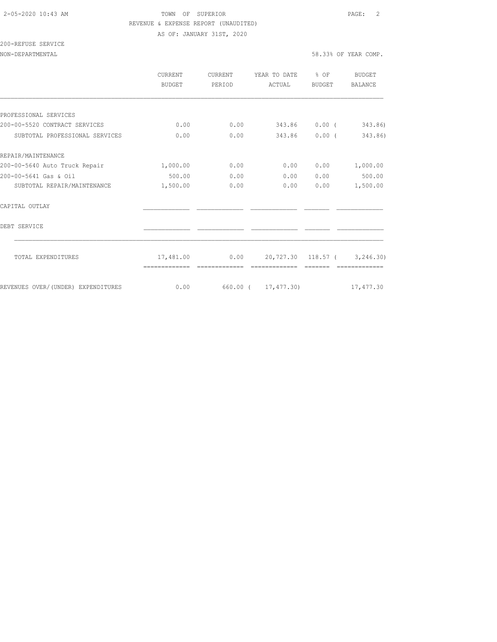## 2-05-2020 10:43 AM TOWN OF SUPERIOR PAGE: 2 REVENUE & EXPENSE REPORT (UNAUDITED)

AS OF: JANUARY 31ST, 2020

# 200-REFUSE SERVICE

NON-DEPARTMENTAL 58.33% OF YEAR COMP.

|                                    | <b>CURRENT</b><br>BUDGET | <b>CURRENT</b><br>PERIOD | YEAR TO DATE<br>ACTUAL | $8$ OF<br><b>BUDGET</b> | <b>BUDGET</b><br><b>BALANCE</b> |
|------------------------------------|--------------------------|--------------------------|------------------------|-------------------------|---------------------------------|
|                                    |                          |                          |                        |                         |                                 |
| PROFESSIONAL SERVICES              |                          |                          |                        |                         |                                 |
| 200-00-5520 CONTRACT SERVICES      | 0.00                     | 0.00                     | 343.86                 | $0.00$ (                | 343.86)                         |
| SUBTOTAL PROFESSIONAL SERVICES     | 0.00                     | 0.00                     | 343.86                 | 0.00(                   | 343.86)                         |
| REPAIR/MAINTENANCE                 |                          |                          |                        |                         |                                 |
| 200-00-5640 Auto Truck Repair      | 1,000.00                 | 0.00                     | 0.00                   | 0.00                    | 1,000.00                        |
| 200-00-5641 Gas & Oil              | 500.00                   | 0.00                     | 0.00                   | 0.00                    | 500.00                          |
| SUBTOTAL REPAIR/MAINTENANCE        | 1,500.00                 | 0.00                     | 0.00                   | 0.00                    | 1,500.00                        |
| CAPITAL OUTLAY                     |                          |                          |                        |                         |                                 |
| DEBT SERVICE                       |                          |                          |                        |                         |                                 |
| TOTAL EXPENDITURES                 | 17,481.00                | 0.00                     |                        |                         | 20,727.30 118.57 ( 3,246.30)    |
|                                    | =============            |                          |                        |                         |                                 |
| REVENUES OVER/(UNDER) EXPENDITURES | 0.00                     |                          | 660.00 ( 17,477.30)    |                         | 17,477.30                       |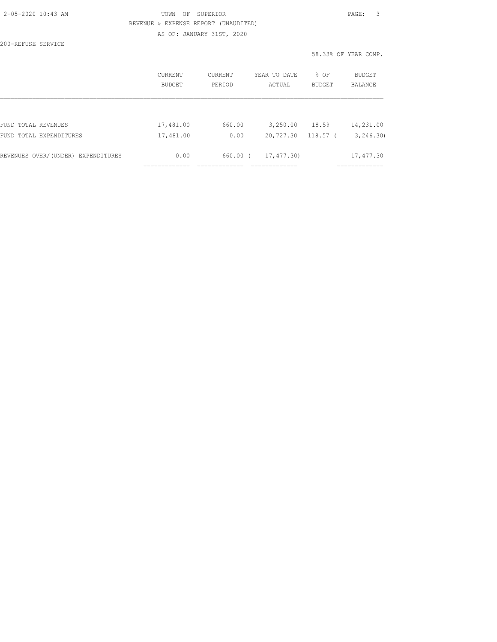| 2-05-2020 10:43 AM |  |
|--------------------|--|

# TOWN OF SUPERIOR **Example 20:43** PAGE: 3 REVENUE & EXPENSE REPORT (UNAUDITED) AS OF: JANUARY 31ST, 2020

200-REFUSE SERVICE

58.33% OF YEAR COMP.

|                                    | CURRENT<br>BUDGET | CURRENT<br>PERIOD | YEAR TO DATE<br>ACTUAL | % OF<br><b>BUDGET</b> | <b>BUDGET</b><br>BALANCE |
|------------------------------------|-------------------|-------------------|------------------------|-----------------------|--------------------------|
|                                    |                   |                   |                        |                       |                          |
| FUND TOTAL REVENUES                | 17,481.00         | 660.00            | 3,250.00               | 18.59                 | 14,231.00                |
| FUND TOTAL EXPENDITURES            | 17,481.00         | 0.00              | 20,727.30              | $118.57$ (            | 3, 246, 30               |
| REVENUES OVER/(UNDER) EXPENDITURES | 0.00              | 660.00 (          | 17,477.30)             |                       | 17,477.30                |
|                                    |                   |                   |                        |                       |                          |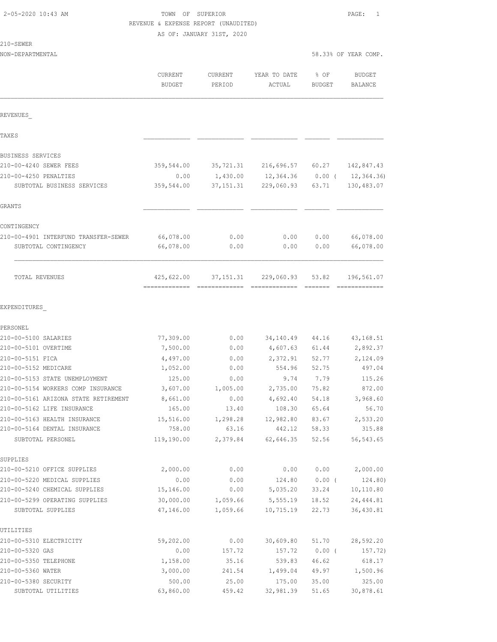# TOWN OF SUPERIOR **10:43 AM TOWN OF SUPERIOR** REVENUE & EXPENSE REPORT (UNAUDITED)

AS OF: JANUARY 31ST, 2020

| 21.<br>-SEWE<br>u |
|-------------------|
|-------------------|

| NON-DEPARTMENTAL                                  |                          |                   |                        |                       | 58.33% OF YEAR COMP.     |
|---------------------------------------------------|--------------------------|-------------------|------------------------|-----------------------|--------------------------|
|                                                   | CURRENT<br><b>BUDGET</b> | CURRENT<br>PERIOD | YEAR TO DATE<br>ACTUAL | % OF<br><b>BUDGET</b> | <b>BUDGET</b><br>BALANCE |
| REVENUES                                          |                          |                   |                        |                       |                          |
| TAXES                                             |                          |                   |                        |                       |                          |
| BUSINESS SERVICES                                 |                          |                   |                        |                       |                          |
| 210-00-4240 SEWER FEES                            | 359,544.00               | 35,721.31         | 216,696.57             | 60.27                 | 142,847.43               |
| 210-00-4250 PENALTIES                             | 0.00                     | 1,430.00          | 12,364.36              | $0.00$ (              | 12, 364.36               |
| SUBTOTAL BUSINESS SERVICES                        | 359,544.00               | 37, 151.31        | 229,060.93             | 63.71                 | 130,483.07               |
| GRANTS                                            |                          |                   |                        |                       |                          |
| CONTINGENCY                                       |                          |                   |                        |                       |                          |
| 210-00-4901 INTERFUND TRANSFER-SEWER              | 66,078.00                | 0.00              | 0.00                   | 0.00                  | 66,078.00                |
| SUBTOTAL CONTINGENCY                              | 66,078.00                | 0.00              | 0.00                   | 0.00                  | 66,078.00                |
| TOTAL REVENUES                                    | 425,622.00               | 37, 151.31        | 229,060.93             | 53.82                 | 196,561.07               |
| EXPENDITURES                                      |                          |                   |                        |                       |                          |
| PERSONEL                                          |                          |                   |                        |                       |                          |
| 210-00-5100 SALARIES                              | 77,309.00                | 0.00              | 34,140.49              | 44.16                 | 43, 168.51               |
| 210-00-5101 OVERTIME                              | 7,500.00                 | 0.00              | 4,607.63               | 61.44                 | 2,892.37                 |
| 210-00-5151 FICA                                  | 4,497.00                 | 0.00              | 2,372.91               | 52.77                 | 2,124.09                 |
| 210-00-5152 MEDICARE                              | 1,052.00                 | 0.00              | 554.96                 | 52.75                 | 497.04                   |
| 210-00-5153 STATE UNEMPLOYMENT                    | 125.00                   | 0.00              | 9.74                   | 7.79                  | 115.26                   |
| 210-00-5154 WORKERS COMP INSURANCE                | 3,607.00                 | 1,005.00          | 2,735.00               | 75.82                 | 872.00                   |
| 210-00-5161 ARIZONA STATE RETIREMENT              | 8,661.00                 | 0.00              | 4,692.40               | 54.18                 | 3,968.60                 |
| 210-00-5162 LIFE INSURANCE                        | 165.00                   | 13.40             | 108.30                 | 65.64                 | 56.70                    |
| 210-00-5163 HEALTH INSURANCE                      | 15,516.00                | 1,298.28          | 12,982.80              | 83.67                 | 2,533.20                 |
| 210-00-5164 DENTAL INSURANCE<br>SUBTOTAL PERSONEL | 758.00<br>119,190.00     | 63.16<br>2,379.84 | 442.12<br>62,646.35    | 58.33<br>52.56        | 315.88<br>56, 543.65     |
|                                                   |                          |                   |                        |                       |                          |
| SUPPLIES                                          |                          |                   |                        |                       |                          |
| 210-00-5210 OFFICE SUPPLIES                       | 2,000.00                 | 0.00              | 0.00                   | 0.00                  | 2,000.00                 |
| 210-00-5220 MEDICAL SUPPLIES                      | 0.00                     | 0.00              | 124.80                 | $0.00$ (              | 124.80)                  |
| 210-00-5240 CHEMICAL SUPPLIES                     | 15,146.00                | 0.00              | 5,035.20               | 33.24                 | 10,110.80                |
| 210-00-5299 OPERATING SUPPLIES                    | 30,000.00                | 1,059.66          | 5,555.19               | 18.52                 | 24, 444.81               |
| SUBTOTAL SUPPLIES                                 | 47,146.00                | 1,059.66          | 10,715.19              | 22.73                 | 36,430.81                |
| UTILITIES                                         |                          |                   |                        |                       |                          |
| 210-00-5310 ELECTRICITY                           | 59,202.00                | 0.00              | 30,609.80              | 51.70                 | 28,592.20                |
| 210-00-5320 GAS                                   | 0.00                     | 157.72            | 157.72                 | $0.00$ (              | 157.72)                  |
| 210-00-5350 TELEPHONE                             | 1,158.00                 | 35.16             | 539.83                 | 46.62                 | 618.17                   |

210-00-5360 WATER 3,000.00 241.54 1,499.04 49.97 1,500.96 210-00-5380 SECURITY 500.00 25.00 175.00 35.00 325.00 SUBTOTAL UTILITIES 63,860.00 459.42 32,981.39 51.65 30,878.61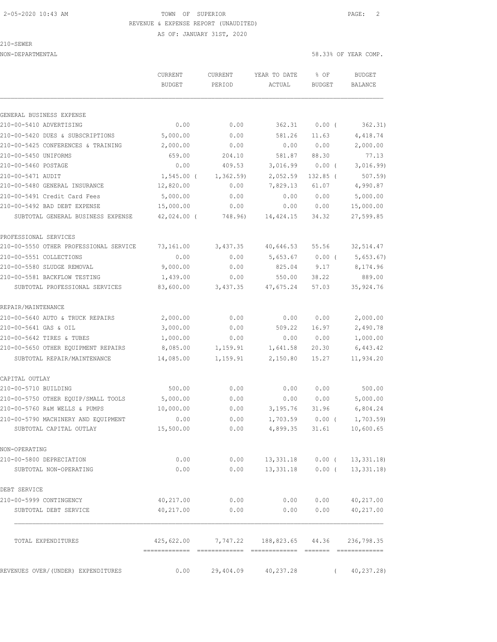AS OF: JANUARY 31ST, 2020

210-SEWER

|                                        | <b>CURRENT</b><br><b>BUDGET</b> | <b>CURRENT</b><br>PERIOD | YEAR TO DATE<br>ACTUAL                          | % OF<br>BUDGET   | <b>BUDGET</b><br>BALANCE |
|----------------------------------------|---------------------------------|--------------------------|-------------------------------------------------|------------------|--------------------------|
| GENERAL BUSINESS EXPENSE               |                                 |                          |                                                 |                  |                          |
| 210-00-5410 ADVERTISING                | 0.00                            | 0.00                     | 362.31                                          | $0.00$ (         | 362.31)                  |
| 210-00-5420 DUES & SUBSCRIPTIONS       | 5,000.00                        | 0.00                     | 581.26                                          | 11.63            | 4,418.74                 |
| 210-00-5425 CONFERENCES & TRAINING     | 2,000.00                        | 0.00                     | 0.00                                            | 0.00             | 2,000.00                 |
| 210-00-5450 UNIFORMS                   | 659.00                          | 204.10                   | 581.87                                          | 88.30            | 77.13                    |
| 210-00-5460 POSTAGE                    | 0.00                            | 409.53                   | 3,016.99                                        | $0.00$ (         | 3,016.99)                |
| 210-00-5471 AUDIT                      | $1,545.00$ (                    | 1,362.59                 | 2,052.59                                        | 132.85 (         | $507.59$ )               |
| 210-00-5480 GENERAL INSURANCE          | 12,820.00                       | 0.00                     | 7,829.13                                        | 61.07            | 4,990.87                 |
| 210-00-5491 Credit Card Fees           | 5,000.00                        | 0.00                     | 0.00                                            | 0.00             | 5,000.00                 |
| 210-00-5492 BAD DEBT EXPENSE           | 15,000.00                       | 0.00                     | 0.00                                            | 0.00             | 15,000.00                |
| SUBTOTAL GENERAL BUSINESS EXPENSE      | 42,024.00 (                     | 748.96)                  | 14,424.15                                       | 34.32            | 27,599.85                |
| PROFESSIONAL SERVICES                  |                                 |                          |                                                 |                  |                          |
| 210-00-5550 OTHER PROFESSIONAL SERVICE | 73,161.00                       | 3,437.35                 | 40,646.53                                       | 55.56            | 32, 514.47               |
| 210-00-5551 COLLECTIONS                | 0.00                            | 0.00                     | 5,653.67                                        | $0.00$ (         | 5,653.67)                |
| 210-00-5580 SLUDGE REMOVAL             | 9,000.00                        | 0.00                     | 825.04                                          | 9.17             | 8,174.96                 |
| 210-00-5581 BACKFLOW TESTING           | 1,439.00                        | 0.00                     | 550.00                                          | 38.22            | 889.00                   |
| SUBTOTAL PROFESSIONAL SERVICES         | 83,600.00                       | 3,437.35                 | 47,675.24                                       | 57.03            | 35, 924.76               |
| REPAIR/MAINTENANCE                     |                                 |                          |                                                 |                  |                          |
| 210-00-5640 AUTO & TRUCK REPAIRS       | 2,000.00                        | 0.00                     | 0.00                                            | 0.00             | 2,000.00                 |
| 210-00-5641 GAS & OIL                  | 3,000.00                        | 0.00                     | 509.22                                          | 16.97            | 2,490.78                 |
| 210-00-5642 TIRES & TUBES              | 1,000.00                        | 0.00                     | 0.00                                            | 0.00             | 1,000.00                 |
| 210-00-5650 OTHER EQUIPMENT REPAIRS    | 8,085.00                        | 1,159.91                 | 1,641.58                                        | 20.30            | 6,443.42                 |
| SUBTOTAL REPAIR/MAINTENANCE            | 14,085.00                       | 1,159.91                 | 2,150.80                                        | 15.27            | 11,934.20                |
| CAPITAL OUTLAY                         |                                 |                          |                                                 |                  |                          |
| 210-00-5710 BUILDING                   | 500.00                          | 0.00                     | 0.00                                            | 0.00             | 500.00                   |
| 210-00-5750 OTHER EOUIP/SMALL TOOLS    | 5,000.00                        | 0.00                     | 0.00                                            | 0.00             | 5,000.00                 |
| 210-00-5760 R&M WELLS & PUMPS          | 10,000.00                       | 0.00                     | 3,195.76                                        | 31.96            | 6,804.24                 |
| 210-00-5790 MACHINERY AND EQUIPMENT    | 0.00                            | 0.00                     | 1,703.59                                        | 0.00(            | 1,703.59                 |
| SUBTOTAL CAPITAL OUTLAY                | 15,500.00                       | 0.00                     | 4,899.35                                        | 31.61            | 10,600.65                |
| NON-OPERATING                          |                                 |                          |                                                 |                  |                          |
| 210-00-5800 DEPRECIATION               | 0.00                            | 0.00                     | 13,331.18 0.00 (                                |                  | 13, 331.18               |
| SUBTOTAL NON-OPERATING                 | 0.00                            | 0.00                     |                                                 | 13,331.18 0.00 ( | 13,331.18                |
| DEBT SERVICE                           |                                 |                          |                                                 |                  |                          |
| 210-00-5999 CONTINGENCY                | 40,217.00                       | 0.00                     |                                                 | 0.00 0.00        | 40,217.00                |
| SUBTOTAL DEBT SERVICE                  | 40,217.00                       | 0.00                     | 0.00                                            | 0.00             | 40,217.00                |
| TOTAL EXPENDITURES                     |                                 |                          | 425,622.00 7,747.22 188,823.65 44.36 236,798.35 |                  |                          |
| REVENUES OVER/(UNDER) EXPENDITURES     | 0.00                            | 29,404.09                | 40,237.28                                       |                  | 40,237.28)               |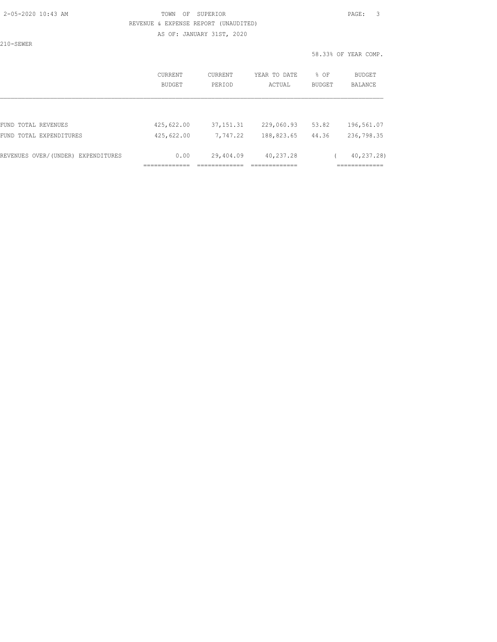AS OF: JANUARY 31ST, 2020

210-SEWER

| CURRENT<br>BUDGET                     | CURRENT<br>PERIOD                   | YEAR TO DATE<br>ACTUAL                     | % OF<br>BUDGET | BUDGET<br>BALANCE                          |
|---------------------------------------|-------------------------------------|--------------------------------------------|----------------|--------------------------------------------|
|                                       |                                     |                                            |                |                                            |
| 425,622.00                            | 37, 151.31                          | 229,060.93                                 | 53.82          | 196,561.07                                 |
| 425,622.00                            | 7,747.22                            | 188,823.65                                 | 44.36          | 236,798.35                                 |
| 0.00<br>_____________<br>------------ | 29,404.09<br>__________<br>________ | 40,237.28<br>_____________<br>------------ |                | 40,237.28)<br>____________<br>------------ |
|                                       |                                     |                                            |                |                                            |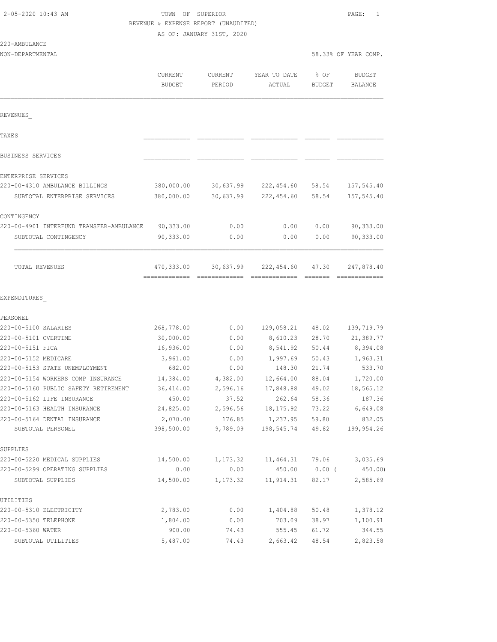## TOWN OF SUPERIOR **Example 20:43 AM TOWN OF SUPERIOR** REVENUE & EXPENSE REPORT (UNAUDITED)

AS OF: JANUARY 31ST, 2020

### 220-AMBULANCE

| ZZU-AMBULANCE                            |                          |                   |                        |                       |                          |
|------------------------------------------|--------------------------|-------------------|------------------------|-----------------------|--------------------------|
| NON-DEPARTMENTAL                         |                          |                   |                        |                       | 58.33% OF YEAR COMP.     |
|                                          | CURRENT<br><b>BUDGET</b> | CURRENT<br>PERIOD | YEAR TO DATE<br>ACTUAL | % OF<br><b>BUDGET</b> | <b>BUDGET</b><br>BALANCE |
| REVENUES                                 |                          |                   |                        |                       |                          |
| TAXE S                                   |                          |                   |                        |                       |                          |
| BUSINESS SERVICES                        |                          |                   |                        |                       |                          |
| ENTERPRISE SERVICES                      |                          |                   |                        |                       |                          |
| 220-00-4310 AMBULANCE BILLINGS           | 380,000.00               | 30,637.99         | 222,454.60             | 58.54                 | 157,545.40               |
| SUBTOTAL ENTERPRISE SERVICES             | 380,000.00               | 30,637.99         | 222,454.60             | 58.54                 | 157,545.40               |
|                                          |                          |                   |                        |                       |                          |
| CONTINGENCY                              |                          |                   |                        |                       |                          |
| 220-00-4901 INTERFUND TRANSFER-AMBULANCE | 90,333.00                | 0.00              | 0.00                   | 0.00                  | 90,333.00                |
| SUBTOTAL CONTINGENCY                     | 90,333.00                | 0.00              | 0.00                   | 0.00                  | 90,333.00                |
|                                          |                          |                   |                        |                       |                          |
| TOTAL REVENUES                           | 470,333.00               | 30,637.99         | 222,454.60             | 47.30                 | 247,878.40               |
|                                          |                          |                   |                        |                       |                          |
|                                          |                          |                   |                        |                       |                          |
| EXPENDITURES                             |                          |                   |                        |                       |                          |
| PERSONEL                                 |                          |                   |                        |                       |                          |
| 220-00-5100 SALARIES                     | 268,778.00               | 0.00              | 129,058.21 48.02       |                       | 139,719.79               |
| 220-00-5101 OVERTIME                     | 30,000.00                | 0.00              | 8,610.23               | 28.70                 | 21,389.77                |
| 220-00-5151 FICA                         | 16,936.00                | 0.00              | 8,541.92               | 50.44                 | 8,394.08                 |
| 220-00-5152 MEDICARE                     | 3,961.00                 | 0.00              | 1,997.69               | 50.43                 | 1,963.31                 |
| 220-00-5153 STATE UNEMPLOYMENT           | 682.00                   | 0.00              | 148.30                 | 21.74                 | 533.70                   |
| 220-00-5154 WORKERS COMP INSURANCE       | 14,384.00                | 4,382.00          | 12,664.00              | 88.04                 | 1,720.00                 |
| 220-00-5160 PUBLIC SAFETY RETIREMENT     | 36,414.00                | 2,596.16          | 17,848.88              | 49.02                 | 18,565.12                |
| 220-00-5162 LIFE INSURANCE               | 450.00                   | 37.52             | 262.64                 | 58.36                 | 187.36                   |
| 220-00-5163 HEALTH INSURANCE             | 24,825.00                | 2,596.56          | 18,175.92              | 73.22                 | 6,649.08                 |
| 220-00-5164 DENTAL INSURANCE             | 2,070.00                 | 176.85            | 1,237.95               | 59.80                 | 832.05                   |
| SUBTOTAL PERSONEL                        | 398,500.00               | 9,789.09          | 198,545.74             | 49.82                 | 199, 954.26              |
| SUPPLIES                                 |                          |                   |                        |                       |                          |
| 220-00-5220 MEDICAL SUPPLIES             | 14,500.00                | 1,173.32          | 11,464.31              | 79.06                 | 3,035.69                 |
| 220-00-5299 OPERATING SUPPLIES           | 0.00                     | 0.00              | 450.00                 | $0.00$ (              | 450.00                   |
| SUBTOTAL SUPPLIES                        | 14,500.00                | 1,173.32          | 11,914.31              | 82.17                 | 2,585.69                 |
| UTILITIES                                |                          |                   |                        |                       |                          |
| 220-00-5310 ELECTRICITY                  | 2,783.00                 | 0.00              | 1,404.88               | 50.48                 | 1,378.12                 |
| 220-00-5350 TELEPHONE                    | 1,804.00                 | 0.00              | 703.09                 | 38.97                 | 1,100.91                 |
| 220-00-5360 WATER                        | 900.00                   | 74.43             | 555.45                 | 61.72                 | 344.55                   |
| SUBTOTAL UTILITIES                       | 5,487.00                 | 74.43             | 2,663.42               | 48.54                 | 2,823.58                 |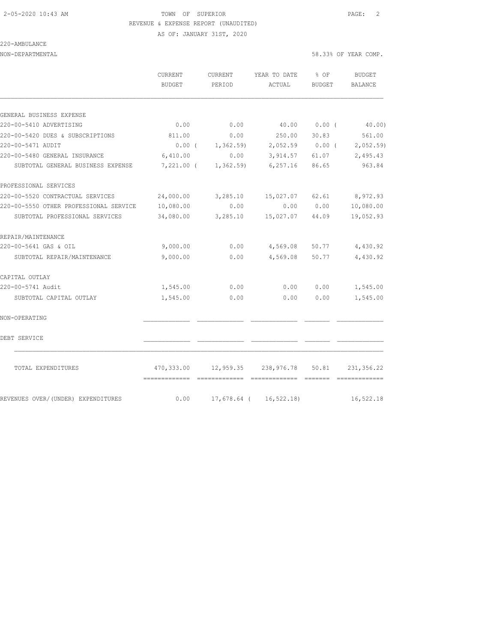AS OF: JANUARY 31ST, 2020

### 220-AMBULANCE

| NON-DEPARTMENTAL | 58.33% OF YEAR COMP.<br>. |
|------------------|---------------------------|
|                  |                           |

|                                                     | CURRENT<br><b>BUDGET</b>    | CURRENT<br>PERIOD | YEAR TO DATE<br>ACTUAL       | $8$ OF<br><b>BUDGET</b> | <b>BUDGET</b><br><b>BALANCE</b> |
|-----------------------------------------------------|-----------------------------|-------------------|------------------------------|-------------------------|---------------------------------|
|                                                     |                             |                   |                              |                         |                                 |
| GENERAL BUSINESS EXPENSE<br>220-00-5410 ADVERTISING | 0.00                        | 0.00              | 40.00                        | 0.00(                   | 40.00)                          |
| 220-00-5420 DUES & SUBSCRIPTIONS                    | 811.00                      | 0.00              | 250.00                       | 30.83                   | 561.00                          |
| 220-00-5471 AUDIT                                   | $0.00$ (                    | 1,362.59          |                              |                         | $2,052.59$ 0.00 ( 2,052.59)     |
| 220-00-5480 GENERAL INSURANCE                       | 6,410.00                    | 0.00              | 3, 914.57                    | 61.07                   | 2,495.43                        |
| SUBTOTAL GENERAL BUSINESS EXPENSE                   | 7,221.00 (                  | 1,362.59          | 6, 257, 16                   | 86.65                   | 963.84                          |
| PROFESSIONAL SERVICES                               |                             |                   |                              |                         |                                 |
| 220-00-5520 CONTRACTUAL SERVICES                    | 24,000.00                   | 3,285.10          | 15,027.07                    | 62.61                   | 8,972.93                        |
| 220-00-5550 OTHER PROFESSIONAL SERVICE              | 10,080.00                   | 0.00              | 0.00                         | 0.00                    | 10,080.00                       |
| SUBTOTAL PROFESSIONAL SERVICES                      | 34,080.00                   | 3,285.10          | 15,027.07                    | 44.09                   | 19,052.93                       |
| REPAIR/MAINTENANCE                                  |                             |                   |                              |                         |                                 |
| 220-00-5641 GAS & OIL                               | 9,000.00                    | 0.00              | 4,569.08                     | 50.77                   | 4,430.92                        |
| SUBTOTAL REPAIR/MAINTENANCE                         | 9,000.00                    | 0.00              | 4,569.08                     | 50.77                   | 4,430.92                        |
| CAPITAL OUTLAY                                      |                             |                   |                              |                         |                                 |
| 220-00-5741 Audit                                   | 1,545.00                    | 0.00              | 0.00                         | 0.00                    | 1,545.00                        |
| SUBTOTAL CAPITAL OUTLAY                             | 1,545.00                    | 0.00              | 0.00                         | 0.00                    | 1,545.00                        |
| NON-OPERATING                                       |                             |                   |                              |                         |                                 |
| DEBT SERVICE                                        |                             |                   |                              |                         |                                 |
| TOTAL EXPENDITURES                                  | 470,333.00<br>============= | 12,959.35         | 238,976.78<br>-------------- | 50.81<br>--------       | 231, 356.22                     |
| REVENUES OVER/(UNDER) EXPENDITURES                  | 0.00                        | $17,678.64$ (     | 16,522.18)                   |                         | 16,522.18                       |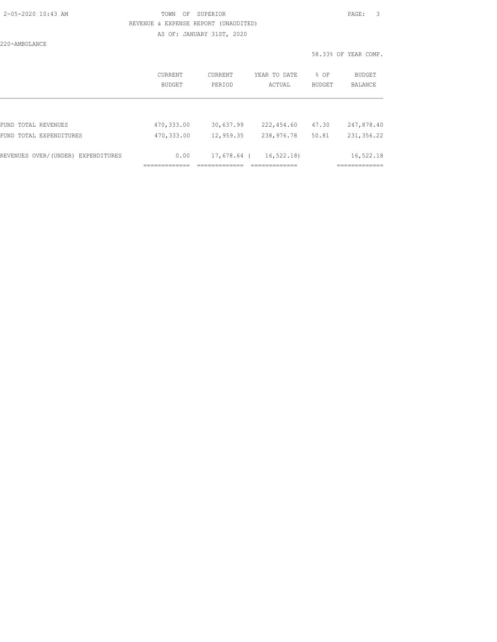AS OF: JANUARY 31ST, 2020

220-AMBULANCE

|                                    | CURRENT<br><b>BUDGET</b> | <b>CURRENT</b><br>PERIOD | YEAR TO DATE<br>ACTUAL | % OF<br><b>BUDGET</b> | BUDGET<br><b>BALANCE</b> |
|------------------------------------|--------------------------|--------------------------|------------------------|-----------------------|--------------------------|
|                                    |                          |                          |                        |                       |                          |
| FUND TOTAL REVENUES                | 470,333.00               | 30,637.99                | 222,454.60             | 47.30                 | 247,878.40               |
| FUND TOTAL EXPENDITURES            | 470,333.00               | 12,959.35                | 238,976.78             | 50.81                 | 231, 356.22              |
| REVENUES OVER/(UNDER) EXPENDITURES | 0.00                     | 17,678.64 (              | 16, 522, 18            |                       | 16,522.18                |
|                                    |                          |                          |                        |                       |                          |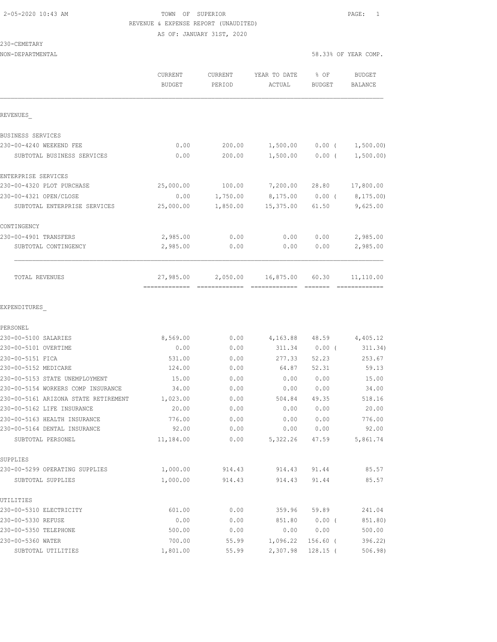AS OF: JANUARY 31ST, 2020

### 230-CEMETARY

NON-DEPARTMENTAL 58.33% OF YEAR COMP.

|                                          | CURRENT<br><b>BUDGET</b>                  | CURRENT<br>PERIOD | YEAR TO DATE<br>ACTUAL                                                                                                                                                                                                                                                                                                                                                                                                                                                                              | % OF<br><b>BUDGET</b>                                                                                                                                                                                                                                                                                                                                                                                                                                                                           | <b>BUDGET</b><br><b>BALANCE</b> |
|------------------------------------------|-------------------------------------------|-------------------|-----------------------------------------------------------------------------------------------------------------------------------------------------------------------------------------------------------------------------------------------------------------------------------------------------------------------------------------------------------------------------------------------------------------------------------------------------------------------------------------------------|-------------------------------------------------------------------------------------------------------------------------------------------------------------------------------------------------------------------------------------------------------------------------------------------------------------------------------------------------------------------------------------------------------------------------------------------------------------------------------------------------|---------------------------------|
| REVENUES                                 |                                           |                   |                                                                                                                                                                                                                                                                                                                                                                                                                                                                                                     |                                                                                                                                                                                                                                                                                                                                                                                                                                                                                                 |                                 |
| BUSINESS SERVICES                        |                                           |                   |                                                                                                                                                                                                                                                                                                                                                                                                                                                                                                     |                                                                                                                                                                                                                                                                                                                                                                                                                                                                                                 |                                 |
| 230-00-4240 WEEKEND FEE                  | 0.00                                      | 200.00            | 1,500.00                                                                                                                                                                                                                                                                                                                                                                                                                                                                                            | $0.00$ (                                                                                                                                                                                                                                                                                                                                                                                                                                                                                        | 1,500.00)                       |
| SUBTOTAL BUSINESS SERVICES               | 0.00                                      | 200.00            | 1,500.00                                                                                                                                                                                                                                                                                                                                                                                                                                                                                            | 0.00(                                                                                                                                                                                                                                                                                                                                                                                                                                                                                           | 1,500.00)                       |
| ENTERPRISE SERVICES                      |                                           |                   |                                                                                                                                                                                                                                                                                                                                                                                                                                                                                                     |                                                                                                                                                                                                                                                                                                                                                                                                                                                                                                 |                                 |
| 230-00-4320 PLOT PURCHASE                | 25,000.00                                 | 100.00            | 7,200.00                                                                                                                                                                                                                                                                                                                                                                                                                                                                                            | 28.80                                                                                                                                                                                                                                                                                                                                                                                                                                                                                           | 17,800.00                       |
| 230-00-4321 OPEN/CLOSE                   | 0.00                                      | 1,750.00          | 8,175.00                                                                                                                                                                                                                                                                                                                                                                                                                                                                                            | $0.00$ (                                                                                                                                                                                                                                                                                                                                                                                                                                                                                        | 8,175.00)                       |
| SUBTOTAL ENTERPRISE SERVICES             | 25,000.00                                 | 1,850.00          | 15,375.00                                                                                                                                                                                                                                                                                                                                                                                                                                                                                           | 61.50                                                                                                                                                                                                                                                                                                                                                                                                                                                                                           | 9,625.00                        |
| CONTINGENCY                              |                                           |                   |                                                                                                                                                                                                                                                                                                                                                                                                                                                                                                     |                                                                                                                                                                                                                                                                                                                                                                                                                                                                                                 |                                 |
| 230-00-4901 TRANSFERS                    | 2,985.00                                  | 0.00              | 0.00                                                                                                                                                                                                                                                                                                                                                                                                                                                                                                | 0.00                                                                                                                                                                                                                                                                                                                                                                                                                                                                                            | 2,985.00                        |
| SUBTOTAL CONTINGENCY                     | 2,985.00                                  | 0.00              | 0.00                                                                                                                                                                                                                                                                                                                                                                                                                                                                                                | 0.00                                                                                                                                                                                                                                                                                                                                                                                                                                                                                            | 2,985.00                        |
| TOTAL REVENUES                           | 27,985.00<br>-------------- ------------- | 2,050.00          | 16,875.00<br>$\begin{array}{cccccccccc} \multicolumn{2}{c}{} & \multicolumn{2}{c}{} & \multicolumn{2}{c}{} & \multicolumn{2}{c}{} & \multicolumn{2}{c}{} & \multicolumn{2}{c}{} & \multicolumn{2}{c}{} & \multicolumn{2}{c}{} & \multicolumn{2}{c}{} & \multicolumn{2}{c}{} & \multicolumn{2}{c}{} & \multicolumn{2}{c}{} & \multicolumn{2}{c}{} & \multicolumn{2}{c}{} & \multicolumn{2}{c}{} & \multicolumn{2}{c}{} & \multicolumn{2}{c}{} & \multicolumn{2}{c}{} & \multicolumn{2}{c}{} & \mult$ | 60.30<br>$\begin{array}{cccccccccc} \multicolumn{2}{c}{} & \multicolumn{2}{c}{} & \multicolumn{2}{c}{} & \multicolumn{2}{c}{} & \multicolumn{2}{c}{} & \multicolumn{2}{c}{} & \multicolumn{2}{c}{} & \multicolumn{2}{c}{} & \multicolumn{2}{c}{} & \multicolumn{2}{c}{} & \multicolumn{2}{c}{} & \multicolumn{2}{c}{} & \multicolumn{2}{c}{} & \multicolumn{2}{c}{} & \multicolumn{2}{c}{} & \multicolumn{2}{c}{} & \multicolumn{2}{c}{} & \multicolumn{2}{c}{} & \multicolumn{2}{c}{} & \mult$ | 11,110.00<br>=============      |
| EXPENDITURES                             |                                           |                   |                                                                                                                                                                                                                                                                                                                                                                                                                                                                                                     |                                                                                                                                                                                                                                                                                                                                                                                                                                                                                                 |                                 |
| PERSONEL                                 |                                           |                   |                                                                                                                                                                                                                                                                                                                                                                                                                                                                                                     |                                                                                                                                                                                                                                                                                                                                                                                                                                                                                                 |                                 |
| 230-00-5100 SALARIES                     | 8,569.00                                  | 0.00              | 4,163.88                                                                                                                                                                                                                                                                                                                                                                                                                                                                                            | 48.59                                                                                                                                                                                                                                                                                                                                                                                                                                                                                           | 4,405.12                        |
| 230-00-5101 OVERTIME                     | 0.00                                      | 0.00              | 311.34                                                                                                                                                                                                                                                                                                                                                                                                                                                                                              | 0.00(                                                                                                                                                                                                                                                                                                                                                                                                                                                                                           | 311.34)                         |
| 230-00-5151 FICA<br>230-00-5152 MEDICARE | 531.00<br>124.00                          | 0.00<br>0.00      | 277.33<br>64.87                                                                                                                                                                                                                                                                                                                                                                                                                                                                                     | 52.23<br>52.31                                                                                                                                                                                                                                                                                                                                                                                                                                                                                  | 253.67<br>59.13                 |
| 230-00-5153 STATE UNEMPLOYMENT           | 15.00                                     | 0.00              | 0.00                                                                                                                                                                                                                                                                                                                                                                                                                                                                                                | 0.00                                                                                                                                                                                                                                                                                                                                                                                                                                                                                            | 15.00                           |
| 230-00-5154 WORKERS COMP INSURANCE       | 34.00                                     | 0.00              | 0.00                                                                                                                                                                                                                                                                                                                                                                                                                                                                                                | 0.00                                                                                                                                                                                                                                                                                                                                                                                                                                                                                            | 34.00                           |
| 230-00-5161 ARIZONA STATE RETIREMENT     | 1,023.00                                  | 0.00              | 504.84                                                                                                                                                                                                                                                                                                                                                                                                                                                                                              | 49.35                                                                                                                                                                                                                                                                                                                                                                                                                                                                                           | 518.16                          |
| 230-00-5162 LIFE INSURANCE               | 20.00                                     | 0.00              | 0.00                                                                                                                                                                                                                                                                                                                                                                                                                                                                                                | 0.00                                                                                                                                                                                                                                                                                                                                                                                                                                                                                            | 20.00                           |
| 230-00-5163 HEALTH INSURANCE             | 776.00                                    | 0.00              | 0.00                                                                                                                                                                                                                                                                                                                                                                                                                                                                                                | 0.00                                                                                                                                                                                                                                                                                                                                                                                                                                                                                            | 776.00                          |
| 230-00-5164 DENTAL INSURANCE             | 92.00                                     | 0.00              | 0.00                                                                                                                                                                                                                                                                                                                                                                                                                                                                                                | 0.00                                                                                                                                                                                                                                                                                                                                                                                                                                                                                            | 92.00                           |
| SUBTOTAL PERSONEL                        | 11,184.00                                 | 0.00              | 5,322.26                                                                                                                                                                                                                                                                                                                                                                                                                                                                                            | 47.59                                                                                                                                                                                                                                                                                                                                                                                                                                                                                           | 5,861.74                        |
| SUPPLIES                                 |                                           |                   |                                                                                                                                                                                                                                                                                                                                                                                                                                                                                                     |                                                                                                                                                                                                                                                                                                                                                                                                                                                                                                 |                                 |
| 230-00-5299 OPERATING SUPPLIES           | 1,000.00                                  | 914.43            | 914.43                                                                                                                                                                                                                                                                                                                                                                                                                                                                                              | 91.44                                                                                                                                                                                                                                                                                                                                                                                                                                                                                           | 85.57                           |
| SUBTOTAL SUPPLIES                        | 1,000.00                                  | 914.43            | 914.43                                                                                                                                                                                                                                                                                                                                                                                                                                                                                              | 91.44                                                                                                                                                                                                                                                                                                                                                                                                                                                                                           | 85.57                           |
| UTILITIES                                |                                           |                   |                                                                                                                                                                                                                                                                                                                                                                                                                                                                                                     |                                                                                                                                                                                                                                                                                                                                                                                                                                                                                                 |                                 |
| 230-00-5310 ELECTRICITY                  | 601.00                                    | 0.00              | 359.96                                                                                                                                                                                                                                                                                                                                                                                                                                                                                              | 59.89                                                                                                                                                                                                                                                                                                                                                                                                                                                                                           | 241.04                          |
| 230-00-5330 REFUSE                       | 0.00                                      | 0.00              | 851.80                                                                                                                                                                                                                                                                                                                                                                                                                                                                                              | 0.00(                                                                                                                                                                                                                                                                                                                                                                                                                                                                                           | 851.80)                         |
| 230-00-5350 TELEPHONE                    | 500.00                                    | 0.00              | 0.00                                                                                                                                                                                                                                                                                                                                                                                                                                                                                                | 0.00                                                                                                                                                                                                                                                                                                                                                                                                                                                                                            | 500.00                          |
| 230-00-5360 WATER                        | 700.00                                    | 55.99             |                                                                                                                                                                                                                                                                                                                                                                                                                                                                                                     | 1,096.22 156.60 (                                                                                                                                                                                                                                                                                                                                                                                                                                                                               | 396.22)                         |

SUBTOTAL UTILITIES 1,801.00 55.99 2,307.98 128.15 ( 506.98)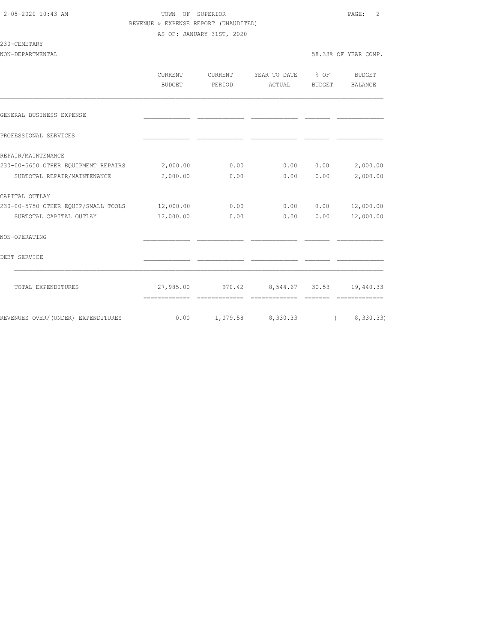AS OF: JANUARY 31ST, 2020

### 230-CEMETARY

|                                     | <b>CURRENT</b><br>BUDGET | CURRENT<br>PERIOD | YEAR TO DATE % OF<br>ACTUAL | BUDGET | BUDGET<br>BALANCE |
|-------------------------------------|--------------------------|-------------------|-----------------------------|--------|-------------------|
| GENERAL BUSINESS EXPENSE            |                          |                   |                             |        |                   |
| PROFESSIONAL SERVICES               |                          |                   |                             |        |                   |
| REPAIR/MAINTENANCE                  |                          |                   |                             |        |                   |
| 230-00-5650 OTHER EQUIPMENT REPAIRS | 2,000.00                 | 0.00              | 0.00                        | 0.00   | 2,000.00          |
| SUBTOTAL REPAIR/MAINTENANCE         | 2,000.00                 | 0.00              | 0.00                        | 0.00   | 2,000.00          |
| CAPITAL OUTLAY                      |                          |                   |                             |        |                   |
| 230-00-5750 OTHER EQUIP/SMALL TOOLS | 12,000.00                | 0.00              | 0.00                        | 0.00   | 12,000.00         |
| SUBTOTAL CAPITAL OUTLAY             | 12,000.00                | 0.00              | 0.00                        | 0.00   | 12,000.00         |
| NON-OPERATING                       |                          |                   |                             |        |                   |
| DEBT SERVICE                        |                          |                   |                             |        |                   |
| TOTAL EXPENDITURES                  | 27,985.00                |                   | 970.42 8,544.67 30.53       |        | 19,440.33         |
|                                     | =============            | =============     | =============               |        | =============     |
| REVENUES OVER/(UNDER) EXPENDITURES  | 0.00                     |                   | 1,079.58 8,330.33           |        | (8, 330.33)       |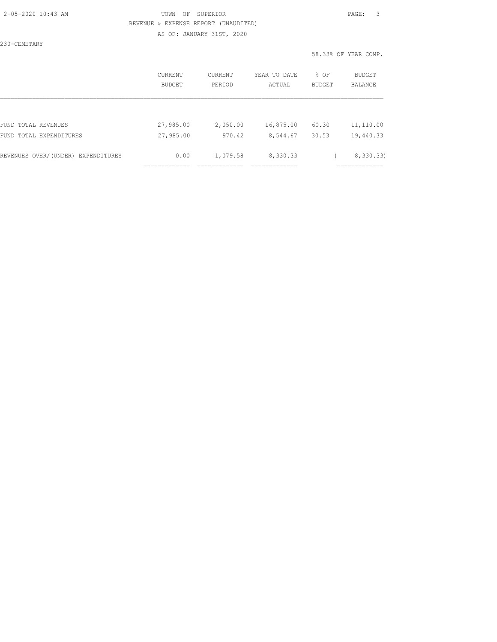AS OF: JANUARY 31ST, 2020

230-CEMETARY

|                                    | CURRENT<br>BUDGET | CURRENT<br>PERIOD | YEAR TO DATE<br>ACTUAL | % OF<br>BUDGET | BUDGET<br><b>BALANCE</b> |
|------------------------------------|-------------------|-------------------|------------------------|----------------|--------------------------|
|                                    |                   |                   |                        |                |                          |
| FUND TOTAL REVENUES                | 27,985.00         | 2,050.00          | 16,875.00              | 60.30          | 11,110.00                |
| FUND TOTAL EXPENDITURES            | 27,985.00         | 970.42            | 8,544.67               | 30.53          | 19,440.33                |
| REVENUES OVER/(UNDER) EXPENDITURES | 0.00              | 1,079.58          | 8,330.33               |                | 8,330.33)                |
|                                    |                   |                   |                        |                |                          |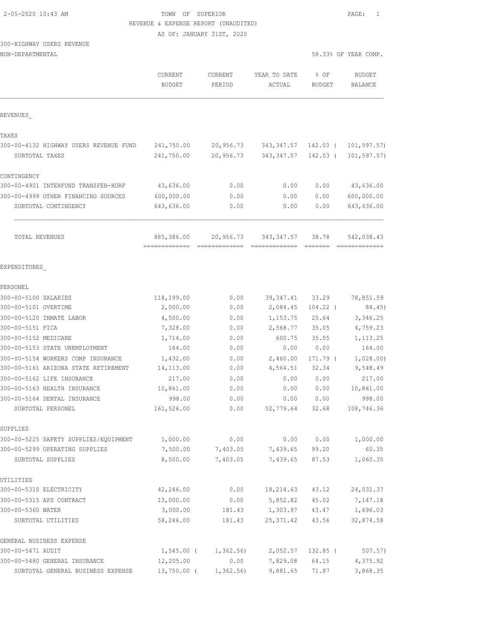### TOWN OF SUPERIOR **10:43 AM TOWN OF SUPERIOR** REVENUE & EXPENSE REPORT (UNAUDITED)

AS OF: JANUARY 31ST, 2020

## 300-HIGHWAY USERS REVENUE

NON-DEPARTMENTAL 58.33% OF YEAR COMP.

|                                        | CURRENT<br><b>BUDGET</b> | <b>CURRENT</b><br>PERIOD | YEAR TO DATE<br>ACTUAL | % OF<br><b>BUDGET</b> | <b>BUDGET</b><br>BALANCE |
|----------------------------------------|--------------------------|--------------------------|------------------------|-----------------------|--------------------------|
| REVENUES                               |                          |                          |                        |                       |                          |
| TAXES                                  |                          |                          |                        |                       |                          |
| 300-00-4132 HIGHWAY USERS REVENUE FUND | 241,750.00               | 20,956.73                | 343, 347.57            | 142.03 (              | 101, 597.57)             |
| SUBTOTAL TAXES                         | 241,750.00               | 20,956.73                | 343, 347.57            | 142.03 (              | 101, 597.57)             |
| CONTINGENCY                            |                          |                          |                        |                       |                          |
| 300-00-4901 INTERFUND TRANSFER-HURF    | 43,636.00                | 0.00                     | 0.00                   | 0.00                  | 43,636.00                |
| 300-00-4999 OTHER FINANCING SOURCES    | 600,000.00               | 0.00                     | 0.00                   | 0.00                  | 600,000.00               |
| SUBTOTAL CONTINGENCY                   | 643,636.00               | 0.00                     | 0.00                   | 0.00                  | 643,636.00               |
| TOTAL REVENUES                         | 885,386.00               | 20,956.73                | 343, 347.57            | 38.78                 | 542,038.43               |
| EXPENDITURES                           |                          |                          |                        |                       |                          |
| PERSONEL                               |                          |                          |                        |                       |                          |
| 300-00-5100 SALARIES                   | 118,199.00               | 0.00                     | 39, 347.41             | 33.29                 | 78,851.59                |
| 300-00-5101 OVERTIME                   | 2,000.00                 | 0.00                     | 2,084.45               | $104.22$ (            | 84.45)                   |
| 300-00-5120 INMATE LABOR               | 4,500.00                 | 0.00                     | 1,153.75               | 25.64                 | 3,346.25                 |
| 300-00-5151 FICA                       | 7,328.00                 | 0.00                     | 2,568.77               | 35.05                 | 4,759.23                 |
| 300-00-5152 MEDICARE                   | 1,714.00                 | 0.00                     | 600.75                 | 35.05                 | 1,113.25                 |
| 300-00-5153 STATE UNEMPLOYMENT         | 164.00                   | 0.00                     | 0.00                   | 0.00                  | 164.00                   |
| 300-00-5154 WORKERS COMP INSURANCE     | 1,432.00                 | 0.00                     | 2,460.00               | 171.79 (              | 1,028.00)                |
| 300-00-5161 ARIZONA STATE RETIREMENT   | 14, 113.00               | 0.00                     | 4,564.51               | 32.34                 | 9,548.49                 |
| 300-00-5162 LIFE INSURANCE             | 217.00                   | 0.00                     | 0.00                   | 0.00                  | 217.00                   |
| 300-00-5163 HEALTH INSURANCE           | 10,861.00                | 0.00                     | 0.00                   | 0.00                  | 10,861.00                |
| 300-00-5164 DENTAL INSURANCE           | 998.00                   | 0.00                     | 0.00                   | 0.00                  | 998.00                   |
| SUBTOTAL PERSONEL                      | 161,526.00               | 0.00                     | 52,779.64              | 32.68                 | 108,746.36               |
| SUPPLIES                               |                          |                          |                        |                       |                          |
| 300-00-5225 SAFETY SUPPLIES/EQUIPMENT  | 1,000.00                 | 0.00                     | 0.00                   | 0.00                  | 1,000.00                 |
| 300-00-5299 OPERATING SUPPLIES         | 7,500.00                 | 7,403.05                 | 7,439.65               | 99.20                 | 60.35                    |
| SUBTOTAL SUPPLIES                      | 8,500.00                 | 7,403.05                 | 7,439.65               | 87.53                 | 1,060.35                 |
| UTILITIES                              |                          |                          |                        |                       |                          |
| 300-00-5310 ELECTRICITY                | 42,246.00                | 0.00                     | 18, 214.63             | 43.12                 | 24,031.37                |
| 300-00-5315 APS CONTRACT               | 13,000.00                | 0.00                     | 5,852.82               | 45.02                 | 7,147.18                 |
| 300-00-5360 WATER                      | 3,000.00                 | 181.43                   | 1,303.97               | 43.47                 | 1,696.03                 |
| SUBTOTAL UTILITIES                     | 58,246.00                | 181.43                   | 25, 371.42             | 43.56                 | 32,874.58                |
| GENERAL BUSINESS EXPENSE               |                          |                          |                        |                       |                          |
| 300-00-5471 AUDIT                      | $1,545.00$ (             | 1,362.56                 | 2,052.57               | $132.85$ (            | 507.57)                  |
| 300-00-5480 GENERAL INSURANCE          | 12,205.00                | 0.00                     | 7,829.08               | 64.15                 | 4,375.92                 |
| SUBTOTAL GENERAL BUSINESS EXPENSE      | $13,750.00$ (            | 1,362.56                 | 9,881.65               | 71.87                 | 3,868.35                 |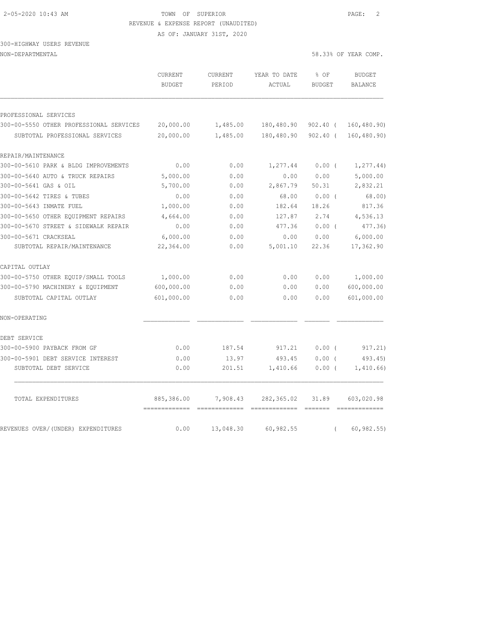AS OF: JANUARY 31ST, 2020

# 300-HIGHWAY USERS REVENUE

| NON-DEPARTMENTAL |  |
|------------------|--|
|------------------|--|

|                                                                           | CURRENT<br><b>BUDGET</b> | <b>CURRENT</b><br>PERIOD | YEAR TO DATE<br>ACTUAL   | % OF<br><b>BUDGET</b>    | <b>BUDGET</b><br><b>BALANCE</b> |
|---------------------------------------------------------------------------|--------------------------|--------------------------|--------------------------|--------------------------|---------------------------------|
|                                                                           |                          |                          |                          |                          |                                 |
| PROFESSIONAL SERVICES                                                     |                          |                          |                          |                          |                                 |
| 300-00-5550 OTHER PROFESSIONAL SERVICES<br>SUBTOTAL PROFESSIONAL SERVICES | 20,000.00<br>20,000.00   | 1,485.00<br>1,485.00     | 180,480.90<br>180,480.90 | $902.40$ (<br>$902.40$ ( | 160, 480.90)<br>160,480.90)     |
| REPAIR/MAINTENANCE                                                        |                          |                          |                          |                          |                                 |
| 300-00-5610 PARK & BLDG IMPROVEMENTS                                      | 0.00                     | 0.00                     | 1,277.44                 | $0.00$ (                 | 1, 277.44)                      |
| 300-00-5640 AUTO & TRUCK REPAIRS                                          | 5,000.00                 | 0.00                     | 0.00                     | 0.00                     | 5,000.00                        |
| 300-00-5641 GAS & OIL                                                     | 5,700.00                 | 0.00                     | 2,867.79                 | 50.31                    | 2,832.21                        |
| 300-00-5642 TIRES & TUBES                                                 | 0.00                     | 0.00                     | 68.00                    | 0.00(                    | 68.00)                          |
| 300-00-5643 INMATE FUEL                                                   | 1,000.00                 | 0.00                     | 182.64                   | 18.26                    | 817.36                          |
| 300-00-5650 OTHER EQUIPMENT REPAIRS                                       | 4,664.00                 | 0.00                     | 127.87                   | 2.74                     | 4,536.13                        |
| 300-00-5670 STREET & SIDEWALK REPAIR                                      | 0.00                     | 0.00                     | 477.36                   | 0.00(                    | 477.36)                         |
| 300-00-5671 CRACKSEAL                                                     | 6,000.00                 | 0.00                     | 0.00                     | 0.00                     | 6,000.00                        |
| SUBTOTAL REPAIR/MAINTENANCE                                               | 22,364.00                | 0.00                     | 5,001.10                 | 22.36                    | 17,362.90                       |
| CAPITAL OUTLAY                                                            |                          |                          |                          |                          |                                 |
| 300-00-5750 OTHER EQUIP/SMALL TOOLS                                       | 1,000.00                 | 0.00                     | 0.00                     | 0.00                     | 1,000.00                        |
| 300-00-5790 MACHINERY & EQUIPMENT                                         | 600,000.00               | 0.00                     | 0.00                     | 0.00                     | 600,000.00                      |
| SUBTOTAL CAPITAL OUTLAY                                                   | 601,000.00               | 0.00                     | 0.00                     | 0.00                     | 601,000.00                      |
| NON-OPERATING                                                             |                          |                          |                          |                          |                                 |
| DEBT SERVICE                                                              |                          |                          |                          |                          |                                 |
| 300-00-5900 PAYBACK FROM GF                                               | 0.00                     | 187.54                   | 917.21                   | 0.00(                    | 917.21)                         |
| 300-00-5901 DEBT SERVICE INTEREST                                         | 0.00                     | 13.97                    | 493.45                   | $0.00$ (                 | 493.45                          |
| SUBTOTAL DEBT SERVICE                                                     | 0.00                     | 201.51                   | 1,410.66                 | $0.00$ (                 | 1,410.66                        |
| TOTAL EXPENDITURES                                                        | 885,386.00               | 7,908.43                 | 282, 365.02              | 31.89                    | 603,020.98                      |
| REVENUES OVER/(UNDER) EXPENDITURES                                        | 0.00                     | 13,048.30                | 60,982.55                | $\left($                 | 60, 982, 55)                    |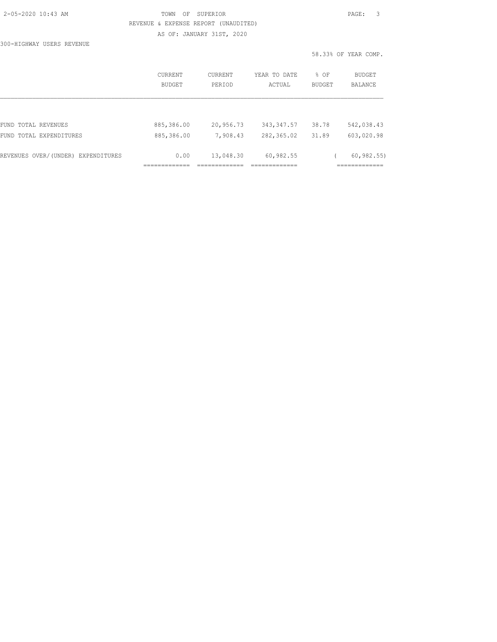| 2-05-2020 10:43 AM |  |
|--------------------|--|
|                    |  |

# TOWN OF SUPERIOR **10:43 AM TOWN OF SUPERIOR** REVENUE & EXPENSE REPORT (UNAUDITED)

AS OF: JANUARY 31ST, 2020

300-HIGHWAY USERS REVENUE

|                                    | <b>CURRENT</b><br><b>BUDGET</b> | CURRENT<br>PERIOD | YEAR TO DATE<br>ACTUAL | % OF<br><b>BUDGET</b> | <b>BUDGET</b><br><b>BALANCE</b> |
|------------------------------------|---------------------------------|-------------------|------------------------|-----------------------|---------------------------------|
|                                    |                                 |                   |                        |                       |                                 |
| FUND TOTAL REVENUES                | 885,386.00                      | 20,956.73         | 343, 347.57            | 38.78                 | 542,038.43                      |
| FUND TOTAL EXPENDITURES            | 885,386.00                      | 7,908.43          | 282,365.02             | 31.89                 | 603,020.98                      |
| REVENUES OVER/(UNDER) EXPENDITURES | 0.00                            | 13,048.30         | 60,982.55              |                       | 60, 982, 55)                    |
|                                    |                                 |                   |                        |                       | ------------                    |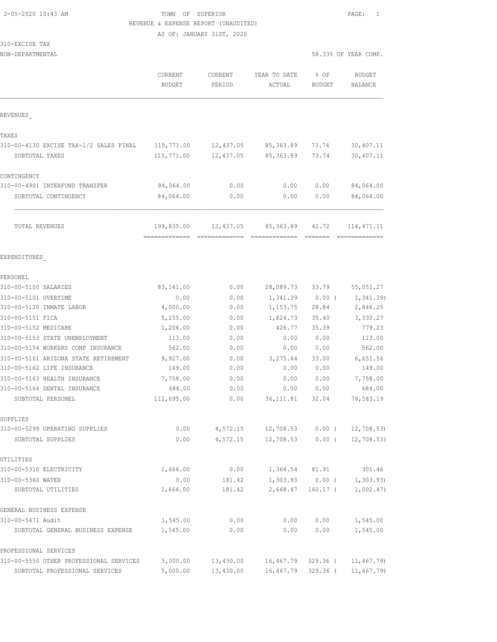| NON-DEPARTMENTAL                        |                                       |                   |                        |                                                                                                                                                                                                                                                                                                                                                                                                                                                                                        | 58.33% OF YEAR COMP.     |
|-----------------------------------------|---------------------------------------|-------------------|------------------------|----------------------------------------------------------------------------------------------------------------------------------------------------------------------------------------------------------------------------------------------------------------------------------------------------------------------------------------------------------------------------------------------------------------------------------------------------------------------------------------|--------------------------|
|                                         | <b>CURRENT</b><br><b>BUDGET</b>       | CURRENT<br>PERIOD | YEAR TO DATE<br>ACTUAL | % OF<br><b>BUDGET</b>                                                                                                                                                                                                                                                                                                                                                                                                                                                                  | <b>BUDGET</b><br>BALANCE |
| REVENUES                                |                                       |                   |                        |                                                                                                                                                                                                                                                                                                                                                                                                                                                                                        |                          |
| TAXES                                   |                                       |                   |                        |                                                                                                                                                                                                                                                                                                                                                                                                                                                                                        |                          |
| 310-00-4130 EXCISE TAX-1/2 SALES PINAL  | 115,771.00                            | 12,437.05         | 85,363.89              | 73.74                                                                                                                                                                                                                                                                                                                                                                                                                                                                                  | 30,407.11                |
| SUBTOTAL TAXES                          | 115,771.00                            | 12,437.05         | 85, 363.89             | 73.74                                                                                                                                                                                                                                                                                                                                                                                                                                                                                  | 30,407.11                |
| CONTINGENCY                             |                                       |                   |                        |                                                                                                                                                                                                                                                                                                                                                                                                                                                                                        |                          |
| 310-00-4901 INTERFUND TRANSFER          | 84,064.00                             | 0.00              | 0.00                   | 0.00                                                                                                                                                                                                                                                                                                                                                                                                                                                                                   | 84,064.00                |
| SUBTOTAL CONTINGENCY                    | 84,064.00                             | 0.00              | 0.00                   | 0.00                                                                                                                                                                                                                                                                                                                                                                                                                                                                                   | 84,064.00                |
| TOTAL REVENUES                          | 199,835.00<br>======================= | 12,437.05         | 85, 363.89 42.72       | $\begin{array}{cccccccccc} \multicolumn{2}{c}{} & \multicolumn{2}{c}{} & \multicolumn{2}{c}{} & \multicolumn{2}{c}{} & \multicolumn{2}{c}{} & \multicolumn{2}{c}{} & \multicolumn{2}{c}{} & \multicolumn{2}{c}{} & \multicolumn{2}{c}{} & \multicolumn{2}{c}{} & \multicolumn{2}{c}{} & \multicolumn{2}{c}{} & \multicolumn{2}{c}{} & \multicolumn{2}{c}{} & \multicolumn{2}{c}{} & \multicolumn{2}{c}{} & \multicolumn{2}{c}{} & \multicolumn{2}{c}{} & \multicolumn{2}{c}{} & \mult$ | 114, 471.11              |
| EXPENDITURES                            |                                       |                   |                        |                                                                                                                                                                                                                                                                                                                                                                                                                                                                                        |                          |
| PERSONEL                                |                                       |                   |                        |                                                                                                                                                                                                                                                                                                                                                                                                                                                                                        |                          |
| 310-00-5100 SALARIES                    | 83,141.00                             | 0.00              | 28,089.73              | 33.79                                                                                                                                                                                                                                                                                                                                                                                                                                                                                  | 55,051.27                |
| 310-00-5101 OVERTIME                    | 0.00                                  | 0.00              | 1,341.39               | $0.00$ (                                                                                                                                                                                                                                                                                                                                                                                                                                                                               | 1,341.39                 |
| 310-00-5120 INMATE LABOR                | 4,000.00                              | 0.00              | 1,153.75               | 28.84                                                                                                                                                                                                                                                                                                                                                                                                                                                                                  | 2,846.25                 |
| 310-00-5151 FICA                        | 5,155.00                              | 0.00              | 1,824.73               | 35.40                                                                                                                                                                                                                                                                                                                                                                                                                                                                                  | 3,330.27                 |
| 310-00-5152 MEDICARE                    | 1,206.00                              | 0.00              | 426.77                 | 35.39                                                                                                                                                                                                                                                                                                                                                                                                                                                                                  | 779.23                   |
| 310-00-5153 STATE UNEMPLOYMENT          | 113.00                                | 0.00              | 0.00                   | 0.00                                                                                                                                                                                                                                                                                                                                                                                                                                                                                   | 113.00                   |
| 310-00-5154 WORKERS COMP INSURANCE      | 562.00                                | 0.00              | 0.00                   | 0.00                                                                                                                                                                                                                                                                                                                                                                                                                                                                                   | 562.00                   |
| 310-00-5161 ARIZONA STATE RETIREMENT    | 9,927.00                              | 0.00              | 3,275.44               | 33.00                                                                                                                                                                                                                                                                                                                                                                                                                                                                                  | 6,651.56                 |
| 310-00-5162 LIFE INSURANCE              | 149.00                                | 0.00              | 0.00                   | 0.00                                                                                                                                                                                                                                                                                                                                                                                                                                                                                   | 149.00                   |
| 310-00-5163 HEALTH INSURANCE            | 7,758.00                              | 0.00              | 0.00                   | 0.00                                                                                                                                                                                                                                                                                                                                                                                                                                                                                   | 7,758.00                 |
| 310-00-5164 DENTAL INSURANCE            | 684.00                                | 0.00              | 0.00                   | 0.00                                                                                                                                                                                                                                                                                                                                                                                                                                                                                   | 684.00                   |
| SUBTOTAL PERSONEL                       | 112,695.00                            | 0.00              | 36, 111.81             | 32.04                                                                                                                                                                                                                                                                                                                                                                                                                                                                                  | 76,583.19                |
| SUPPLIES                                |                                       |                   |                        |                                                                                                                                                                                                                                                                                                                                                                                                                                                                                        |                          |
| 310-00-5299 OPERATING SUPPLIES          | 0.00                                  | 4,572.15          | 12,708.53              | $0.00$ (                                                                                                                                                                                                                                                                                                                                                                                                                                                                               | 12,708.53                |
| SUBTOTAL SUPPLIES                       | 0.00                                  | 4,572.15          | 12,708.53              | $0.00$ (                                                                                                                                                                                                                                                                                                                                                                                                                                                                               | 12,708.53                |
| UTILITIES                               |                                       |                   |                        |                                                                                                                                                                                                                                                                                                                                                                                                                                                                                        |                          |
| 310-00-5310 ELECTRICITY                 | 1,666.00                              | 0.00              | 1,364.54               | 81.91                                                                                                                                                                                                                                                                                                                                                                                                                                                                                  | 301.46                   |
| 310-00-5360 WATER                       | 0.00                                  | 181.42            | 1,303.93               | 0.00(                                                                                                                                                                                                                                                                                                                                                                                                                                                                                  | 1,303.93)                |
| SUBTOTAL UTILITIES                      | 1,666.00                              | 181.42            | 2,668.47               | $160.17$ (                                                                                                                                                                                                                                                                                                                                                                                                                                                                             | 1,002.47)                |
| GENERAL BUSINESS EXPENSE                |                                       |                   |                        |                                                                                                                                                                                                                                                                                                                                                                                                                                                                                        |                          |
| 310-00-5471 Audit                       | 1,545.00                              | 0.00              | 0.00                   | 0.00                                                                                                                                                                                                                                                                                                                                                                                                                                                                                   | 1,545.00                 |
| SUBTOTAL GENERAL BUSINESS EXPENSE       | 1,545.00                              | 0.00              | 0.00                   | 0.00                                                                                                                                                                                                                                                                                                                                                                                                                                                                                   | 1,545.00                 |
| PROFESSIONAL SERVICES                   |                                       |                   |                        |                                                                                                                                                                                                                                                                                                                                                                                                                                                                                        |                          |
| 310-00-5550 OTHER PROFESSIONAL SERVICES | 5,000.00                              | 13,430.00         | 16,467.79              | 329.36 (                                                                                                                                                                                                                                                                                                                                                                                                                                                                               | 11, 467.79               |
| SUBTOTAL PROFESSIONAL SERVICES          | 5,000.00                              | 13,430.00         | 16,467.79              | 329.36 (                                                                                                                                                                                                                                                                                                                                                                                                                                                                               | 11,467.79)               |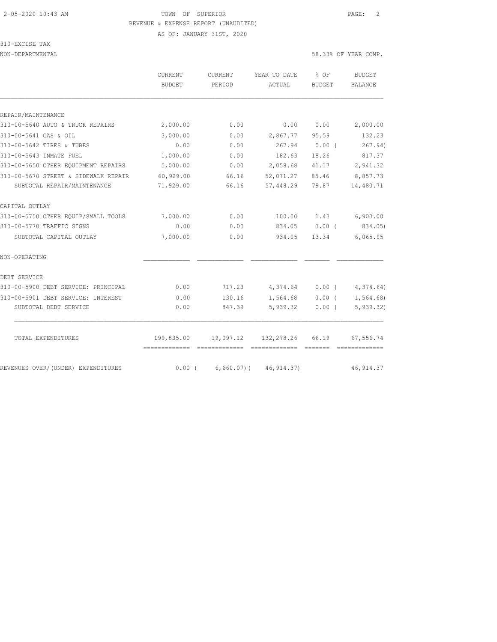AS OF: JANUARY 31ST, 2020

### 310-EXCISE TAX

NON-DEPARTMENTAL 58.33% OF YEAR COMP.

|                                      | CURRENT<br>BUDGET | CURRENT<br>PERIOD | YEAR TO DATE<br>ACTUAL | $8$ OF<br>BUDGET | <b>BUDGET</b><br>BALANCE |
|--------------------------------------|-------------------|-------------------|------------------------|------------------|--------------------------|
|                                      |                   |                   |                        |                  |                          |
| REPAIR/MAINTENANCE                   |                   |                   |                        |                  |                          |
| 310-00-5640 AUTO & TRUCK REPAIRS     | 2,000.00          | 0.00              | 0.00                   | 0.00             | 2,000.00                 |
| 310-00-5641 GAS & OIL                | 3,000.00          | 0.00              | 2,867.77               | 95.59            | 132.23                   |
| 310-00-5642 TIRES & TUBES            | 0.00              | 0.00              | 267.94                 | 0.00(            | 267.94)                  |
| 310-00-5643 INMATE FUEL              | 1,000.00          | 0.00              | 182.63                 | 18.26            | 817.37                   |
| 310-00-5650 OTHER EQUIPMENT REPAIRS  | 5,000.00          | 0.00              | 2,058.68               | 41.17            | 2,941.32                 |
| 310-00-5670 STREET & SIDEWALK REPAIR | 60,929.00         | 66.16             | 52,071.27              | 85.46            | 8,857.73                 |
| SUBTOTAL REPAIR/MAINTENANCE          | 71,929.00         | 66.16             | 57,448.29              | 79.87            | 14,480.71                |
| CAPITAL OUTLAY                       |                   |                   |                        |                  |                          |
| 310-00-5750 OTHER EQUIP/SMALL TOOLS  | 7,000.00          | 0.00              | 100.00                 | 1.43             | 6,900.00                 |
| 310-00-5770 TRAFFIC SIGNS            | 0.00              | 0.00              | 834.05                 | $0.00$ (         | 834.05)                  |
| SUBTOTAL CAPITAL OUTLAY              | 7,000.00          | 0.00              | 934.05                 | 13.34            | 6,065.95                 |
| NON-OPERATING                        |                   |                   |                        |                  |                          |
| DEBT SERVICE                         |                   |                   |                        |                  |                          |
| 310-00-5900 DEBT SERVICE: PRINCIPAL  | 0.00              | 717.23            | 4,374.64               | 0.00(            | 4,374.64)                |
| 310-00-5901 DEBT SERVICE: INTEREST   | 0.00              | 130.16            | 1,564.68               | $0.00$ (         | 1,564.68)                |
| SUBTOTAL DEBT SERVICE                | 0.00              | 847.39            | 5,939.32               | $0.00$ (         | 5, 939.32                |
| TOTAL EXPENDITURES                   | 199,835.00        | 19,097.12         | 132,278.26             | 66.19            | 67,556.74                |
|                                      |                   |                   |                        |                  |                          |
| REVENUES OVER/(UNDER) EXPENDITURES   | $0.00$ (          | $6,660.07$ ) (    | 46, 914.37             |                  | 46, 914.37               |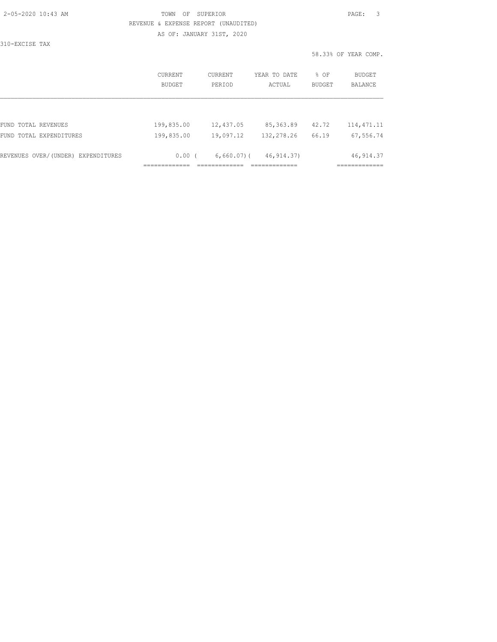| 2-05-2020 10:43 AM |  |
|--------------------|--|
|                    |  |

# TOWN OF SUPERIOR **Example 20:43** PAGE: 3 REVENUE & EXPENSE REPORT (UNAUDITED)

AS OF: JANUARY 31ST, 2020

310-EXCISE TAX

|                                    | CURRENT<br><b>BUDGET</b> | CURRENT<br>PERIOD | YEAR TO DATE<br>ACTUAL | % OF<br><b>BUDGET</b> | BUDGET<br><b>BALANCE</b> |
|------------------------------------|--------------------------|-------------------|------------------------|-----------------------|--------------------------|
|                                    |                          |                   |                        |                       |                          |
| FUND TOTAL REVENUES                | 199,835.00               | 12,437.05         | 85, 363.89             | 42.72                 | 114, 471.11              |
| FUND TOTAL EXPENDITURES            | 199,835.00               | 19,097.12         | 132,278.26             | 66.19                 | 67,556.74                |
| REVENUES OVER/(UNDER) EXPENDITURES | $0.00$ (                 | $6,660.07$ ) (    | 46, 914, 37)           |                       | 46, 914.37               |
|                                    |                          |                   |                        |                       |                          |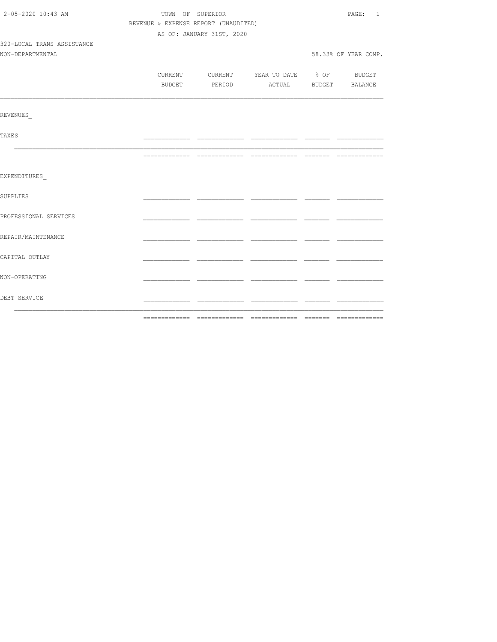| 2-05-2020 10:43 AM         | TOWN OF SUPERIOR                     |                                          |  |                      |  |
|----------------------------|--------------------------------------|------------------------------------------|--|----------------------|--|
|                            | REVENUE & EXPENSE REPORT (UNAUDITED) |                                          |  |                      |  |
|                            | AS OF: JANUARY 31ST, 2020            |                                          |  |                      |  |
| 320-LOCAL TRANS ASSISTANCE |                                      |                                          |  |                      |  |
| NON-DEPARTMENTAL           |                                      |                                          |  | 58.33% OF YEAR COMP. |  |
|                            |                                      |                                          |  |                      |  |
|                            |                                      | CURRENT CURRENT YEAR TO DATE % OF BUDGET |  |                      |  |
|                            |                                      | BUDGET PERIOD ACTUAL BUDGET BALANCE      |  |                      |  |
| REVENUES                   |                                      |                                          |  |                      |  |
|                            |                                      |                                          |  |                      |  |
| <b>TAXES</b>               |                                      |                                          |  |                      |  |
|                            |                                      |                                          |  |                      |  |
| EXPENDITURES               |                                      |                                          |  |                      |  |
| SUPPLIES                   |                                      |                                          |  |                      |  |
| PROFESSIONAL SERVICES      |                                      |                                          |  |                      |  |
| REPAIR/MAINTENANCE         |                                      |                                          |  |                      |  |
| CAPITAL OUTLAY             |                                      |                                          |  |                      |  |
| NON-OPERATING              |                                      |                                          |  |                      |  |
| DEBT SERVICE               |                                      |                                          |  |                      |  |
|                            |                                      |                                          |  |                      |  |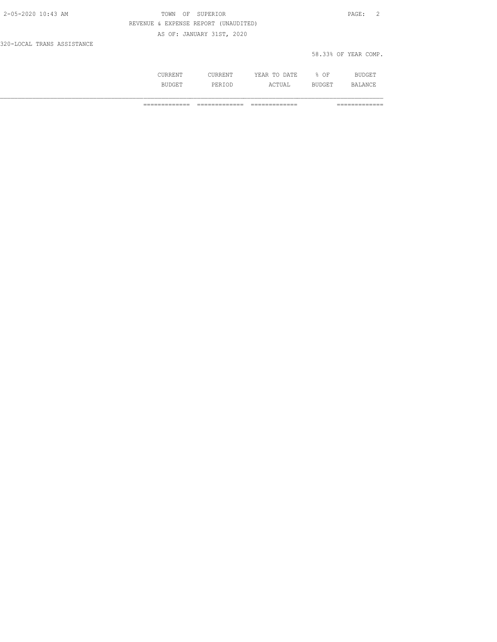| 2-05-2020 10:43 AM         | TOWN OF SUPERIOR                     | PAGE: 2              |
|----------------------------|--------------------------------------|----------------------|
|                            | REVENUE & EXPENSE REPORT (UNAUDITED) |                      |
|                            | AS OF: JANUARY 31ST, 2020            |                      |
| 320-LOCAL TRANS ASSISTANCE |                                      |                      |
|                            |                                      | 58.33% OF YEAR COMP. |

| .         | .  | יידי בו.<br>m.<br>-----<br>----- | ΟF<br>$\sim$ | ום |
|-----------|----|----------------------------------|--------------|----|
| $\cdot$ . | DΕ |                                  |              |    |

============= ============= ============= =============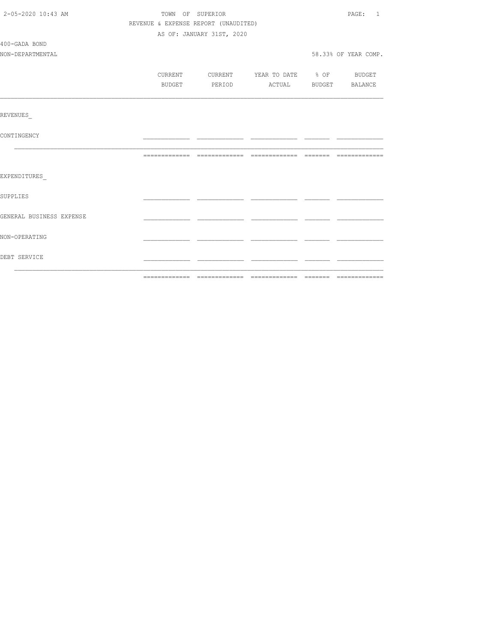| 2-05-2020 10:43 AM       | TOWN OF SUPERIOR                     | PAGE: 1                   |                          |  |                       |
|--------------------------|--------------------------------------|---------------------------|--------------------------|--|-----------------------|
|                          | REVENUE & EXPENSE REPORT (UNAUDITED) |                           |                          |  |                       |
|                          |                                      | AS OF: JANUARY 31ST, 2020 |                          |  |                       |
| 400-GADA BOND            |                                      |                           |                          |  |                       |
| NON-DEPARTMENTAL         |                                      |                           |                          |  | 58.33% OF YEAR COMP.  |
|                          |                                      |                           |                          |  |                       |
|                          | CURRENT                              | CURRENT                   | YEAR TO DATE % OF BUDGET |  |                       |
|                          | BUDGET                               | PERIOD                    |                          |  | ACTUAL BUDGET BALANCE |
|                          |                                      |                           |                          |  |                       |
| REVENUES                 |                                      |                           |                          |  |                       |
| CONTINGENCY              |                                      |                           |                          |  |                       |
|                          |                                      |                           |                          |  |                       |
| EXPENDITURES             |                                      |                           |                          |  |                       |
| <b>SUPPLIES</b>          |                                      |                           |                          |  |                       |
| GENERAL BUSINESS EXPENSE |                                      |                           |                          |  |                       |
| NON-OPERATING            |                                      |                           |                          |  |                       |
| DEBT SERVICE             |                                      |                           |                          |  |                       |
|                          |                                      |                           |                          |  |                       |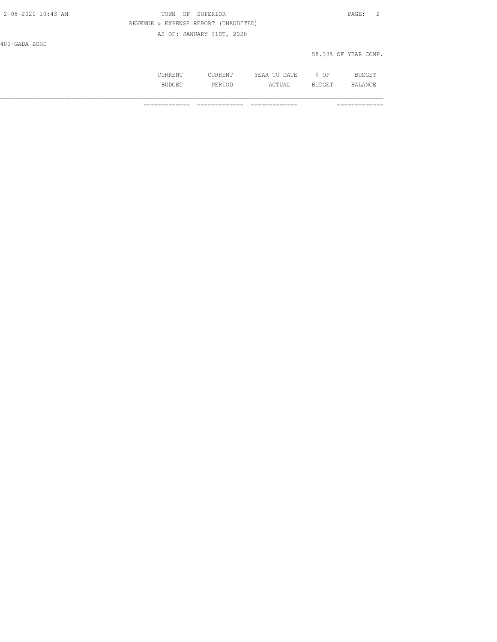| 2-05-2020 10:43 AM | TOWN<br>OF SUPERIOR                  | -2<br>PAGE:          |
|--------------------|--------------------------------------|----------------------|
|                    | REVENUE & EXPENSE REPORT (UNAUDITED) |                      |
|                    | AS OF: JANUARY 31ST, 2020            |                      |
|                    |                                      |                      |
|                    |                                      | 58.33% OF YEAR COMP. |
| 400-GADA BOND      |                                      |                      |

|                    | ----<br>. .<br>. | <b>ATF</b> د،<br>. .<br>$\cdots$<br><u>.</u><br>----- | OF<br>u.<br>-         | ---                |
|--------------------|------------------|-------------------------------------------------------|-----------------------|--------------------|
| .5TT<br>mп<br>∼⊔⊥⊥ | DFR<br>REKTOD    | $\sim$ $\sim$ $\sim$ $\sim$<br>⊹⊥∪A⊥                  | .<br>$H - H$<br>. רחר | $\mathsf{R}$<br>ΔN |

============= ============= ============= =============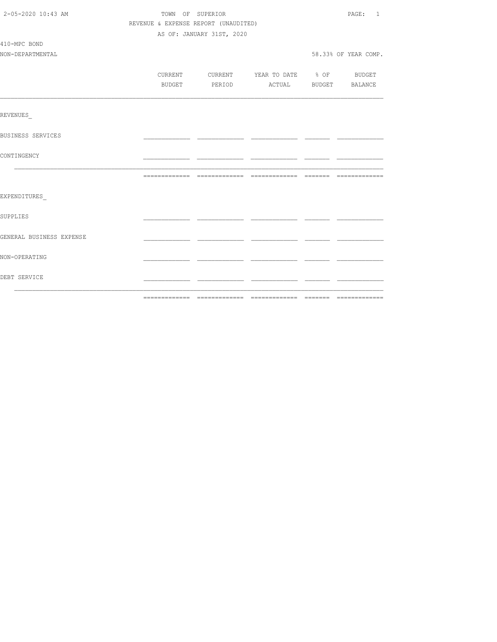| 2-05-2020 10:43 AM       |                                      | TOWN OF SUPERIOR |                           |                                          |  |                      |  |
|--------------------------|--------------------------------------|------------------|---------------------------|------------------------------------------|--|----------------------|--|
|                          | REVENUE & EXPENSE REPORT (UNAUDITED) |                  |                           |                                          |  |                      |  |
|                          |                                      |                  | AS OF: JANUARY 31ST, 2020 |                                          |  |                      |  |
| 410-MPC BOND             |                                      |                  |                           |                                          |  |                      |  |
| NON-DEPARTMENTAL         |                                      |                  |                           |                                          |  | 58.33% OF YEAR COMP. |  |
|                          |                                      |                  |                           |                                          |  |                      |  |
|                          |                                      |                  |                           | CURRENT CURRENT YEAR TO DATE % OF BUDGET |  |                      |  |
|                          |                                      |                  |                           | BUDGET PERIOD ACTUAL BUDGET BALANCE      |  |                      |  |
|                          |                                      |                  |                           |                                          |  |                      |  |
| REVENUES                 |                                      |                  |                           |                                          |  |                      |  |
| BUSINESS SERVICES        |                                      |                  |                           |                                          |  |                      |  |
| CONTINGENCY              |                                      |                  |                           |                                          |  |                      |  |
|                          |                                      |                  |                           |                                          |  |                      |  |
| EXPENDITURES             |                                      |                  |                           |                                          |  |                      |  |
| SUPPLIES                 |                                      |                  |                           |                                          |  |                      |  |
| GENERAL BUSINESS EXPENSE |                                      |                  |                           |                                          |  |                      |  |
| NON-OPERATING            |                                      |                  |                           |                                          |  |                      |  |
| DEBT SERVICE             |                                      |                  |                           |                                          |  |                      |  |
|                          |                                      |                  |                           |                                          |  |                      |  |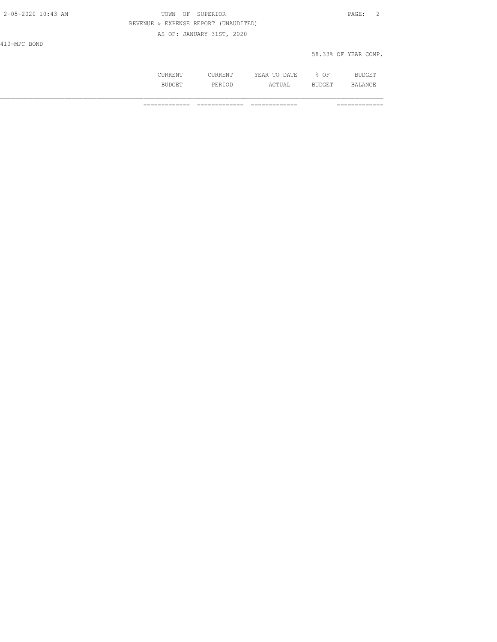| 2-05-2020 10:43 AM | TOWN<br>OF                           | SUPERIOR                  |              |      | PAGE:<br>$\overline{2}$ |
|--------------------|--------------------------------------|---------------------------|--------------|------|-------------------------|
|                    | REVENUE & EXPENSE REPORT (UNAUDITED) |                           |              |      |                         |
|                    |                                      | AS OF: JANUARY 31ST, 2020 |              |      |                         |
| 410-MPC BOND       |                                      |                           |              |      |                         |
|                    |                                      |                           |              |      | 58.33% OF YEAR COMP.    |
|                    |                                      |                           |              |      |                         |
|                    | CURRENT                              | CURRENT                   | YEAR TO DATE | % OF | <b>BUDGET</b>           |

BUDGET PERIOD ACTUAL BUDGET BALANCE

============= ============= ============= =============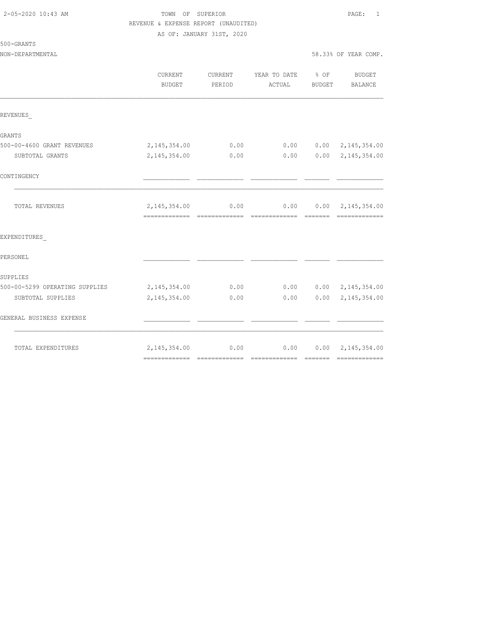| 2-05-2020 10:43 AM |  |  |
|--------------------|--|--|
|                    |  |  |

# TOWN OF SUPERIOR **Example 20:43 AM TOWN OF SUPERIOR** REVENUE & EXPENSE REPORT (UNAUDITED)

| CURRENT<br><b>BUDGET</b>        | CURRENT<br>PERIOD | ACTUAL                                                                                                                                                                                                                                                                                                                                                                                                                                                                                 | <b>BUDGET</b> | <b>BUDGET</b><br>BALANCE                      |
|---------------------------------|-------------------|----------------------------------------------------------------------------------------------------------------------------------------------------------------------------------------------------------------------------------------------------------------------------------------------------------------------------------------------------------------------------------------------------------------------------------------------------------------------------------------|---------------|-----------------------------------------------|
|                                 |                   |                                                                                                                                                                                                                                                                                                                                                                                                                                                                                        |               |                                               |
|                                 |                   |                                                                                                                                                                                                                                                                                                                                                                                                                                                                                        |               |                                               |
| 2, 145, 354.00                  | 0.00              | 0.00                                                                                                                                                                                                                                                                                                                                                                                                                                                                                   |               | $0.00 \quad 2,145,354.00$                     |
| 2, 145, 354.00                  | 0.00              | 0.00                                                                                                                                                                                                                                                                                                                                                                                                                                                                                   |               | $0.00 \quad 2,145,354.00$                     |
|                                 |                   |                                                                                                                                                                                                                                                                                                                                                                                                                                                                                        |               |                                               |
| 2, 145, 354.00<br>------------- | 0.00              | -------------                                                                                                                                                                                                                                                                                                                                                                                                                                                                          |               | $0.00 \quad 2,145,354.00$<br>-------------    |
|                                 |                   |                                                                                                                                                                                                                                                                                                                                                                                                                                                                                        |               |                                               |
|                                 |                   |                                                                                                                                                                                                                                                                                                                                                                                                                                                                                        |               |                                               |
|                                 |                   |                                                                                                                                                                                                                                                                                                                                                                                                                                                                                        |               |                                               |
| 2,145,354.00                    | 0.00              |                                                                                                                                                                                                                                                                                                                                                                                                                                                                                        |               | $0.00 \quad 2,145,354.00$                     |
| 2, 145, 354.00                  | 0.00              | 0.00                                                                                                                                                                                                                                                                                                                                                                                                                                                                                   | 0.00          | 2, 145, 354.00                                |
|                                 |                   |                                                                                                                                                                                                                                                                                                                                                                                                                                                                                        |               |                                               |
| 2, 145, 354.00                  | 0.00              | 0.00                                                                                                                                                                                                                                                                                                                                                                                                                                                                                   |               | $0.00 \quad 2,145,354.00$                     |
|                                 |                   | $\begin{array}{cccccccccccccc} \multicolumn{2}{c}{} & \multicolumn{2}{c}{} & \multicolumn{2}{c}{} & \multicolumn{2}{c}{} & \multicolumn{2}{c}{} & \multicolumn{2}{c}{} & \multicolumn{2}{c}{} & \multicolumn{2}{c}{} & \multicolumn{2}{c}{} & \multicolumn{2}{c}{} & \multicolumn{2}{c}{} & \multicolumn{2}{c}{} & \multicolumn{2}{c}{} & \multicolumn{2}{c}{} & \multicolumn{2}{c}{} & \multicolumn{2}{c}{} & \multicolumn{2}{c}{} & \multicolumn{2}{c}{} & \multicolumn{2}{c}{} & \$ |               | YEAR TO DATE % OF<br>0.00<br>--------<br>0.00 |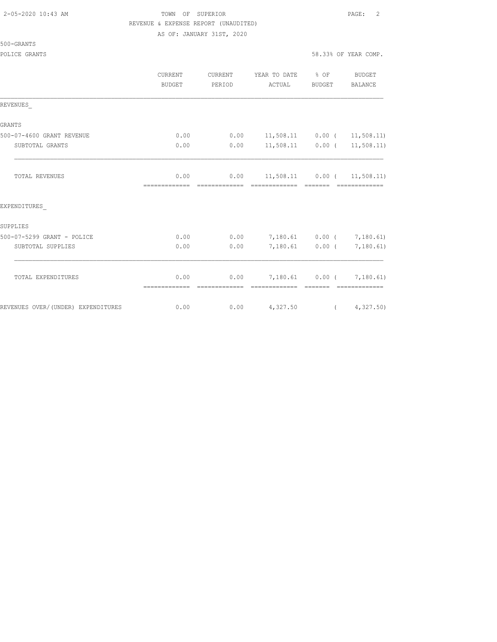|                                    | CURRENT<br><b>BUDGET</b> | CURRENT<br>PERIOD      | YEAR TO DATE % OF<br>ACTUAL                                                                                                                                                                                                                                                                                                                                                                                                                                                                                             | BUDGET                                                                                                                                                                                                                                                                                                                                                                                                                                                                               | BUDGET<br>BALANCE                             |
|------------------------------------|--------------------------|------------------------|-------------------------------------------------------------------------------------------------------------------------------------------------------------------------------------------------------------------------------------------------------------------------------------------------------------------------------------------------------------------------------------------------------------------------------------------------------------------------------------------------------------------------|--------------------------------------------------------------------------------------------------------------------------------------------------------------------------------------------------------------------------------------------------------------------------------------------------------------------------------------------------------------------------------------------------------------------------------------------------------------------------------------|-----------------------------------------------|
| REVENUES                           |                          |                        |                                                                                                                                                                                                                                                                                                                                                                                                                                                                                                                         |                                                                                                                                                                                                                                                                                                                                                                                                                                                                                      |                                               |
| <b>GRANTS</b>                      |                          |                        |                                                                                                                                                                                                                                                                                                                                                                                                                                                                                                                         |                                                                                                                                                                                                                                                                                                                                                                                                                                                                                      |                                               |
| 500-07-4600 GRANT REVENUE          | 0.00                     | 0.00                   | $11,508.11$ 0.00 ( 11,508.11)                                                                                                                                                                                                                                                                                                                                                                                                                                                                                           |                                                                                                                                                                                                                                                                                                                                                                                                                                                                                      |                                               |
| SUBTOTAL GRANTS                    | 0.00                     | 0.00                   | $11,508.11$ 0.00 ( 11,508.11)                                                                                                                                                                                                                                                                                                                                                                                                                                                                                           |                                                                                                                                                                                                                                                                                                                                                                                                                                                                                      |                                               |
| <b>TOTAL REVENUES</b>              | 0.00                     | 0.00<br>-------------- | $11,508.11$ 0.00 ( 11,508.11)<br>$\begin{array}{cccccccccccccc} \multicolumn{2}{c}{} & \multicolumn{2}{c}{} & \multicolumn{2}{c}{} & \multicolumn{2}{c}{} & \multicolumn{2}{c}{} & \multicolumn{2}{c}{} & \multicolumn{2}{c}{} & \multicolumn{2}{c}{} & \multicolumn{2}{c}{} & \multicolumn{2}{c}{} & \multicolumn{2}{c}{} & \multicolumn{2}{c}{} & \multicolumn{2}{c}{} & \multicolumn{2}{c}{} & \multicolumn{2}{c}{} & \multicolumn{2}{c}{} & \multicolumn{2}{c}{} & \multicolumn{2}{c}{} & \multicolumn{2}{c}{} & \$ | $=$ $=$ $=$ $=$ $=$ $=$                                                                                                                                                                                                                                                                                                                                                                                                                                                              |                                               |
| EXPENDITURES                       |                          |                        |                                                                                                                                                                                                                                                                                                                                                                                                                                                                                                                         |                                                                                                                                                                                                                                                                                                                                                                                                                                                                                      |                                               |
| SUPPLIES                           |                          |                        |                                                                                                                                                                                                                                                                                                                                                                                                                                                                                                                         |                                                                                                                                                                                                                                                                                                                                                                                                                                                                                      |                                               |
| 500-07-5299 GRANT - POLICE         | 0.00                     | 0.00                   | 7,180.61 0.00 ( 7,180.61)                                                                                                                                                                                                                                                                                                                                                                                                                                                                                               |                                                                                                                                                                                                                                                                                                                                                                                                                                                                                      |                                               |
| SUBTOTAL SUPPLIES                  | 0.00                     | 0.00                   |                                                                                                                                                                                                                                                                                                                                                                                                                                                                                                                         |                                                                                                                                                                                                                                                                                                                                                                                                                                                                                      | 7,180.61 0.00 ( 7,180.61)                     |
| TOTAL EXPENDITURES                 | 0.00<br>=============    | 0.00<br>=============  | =============                                                                                                                                                                                                                                                                                                                                                                                                                                                                                                           | $\begin{array}{cccccc} \multicolumn{2}{c}{} & \multicolumn{2}{c}{} & \multicolumn{2}{c}{} & \multicolumn{2}{c}{} & \multicolumn{2}{c}{} & \multicolumn{2}{c}{} & \multicolumn{2}{c}{} & \multicolumn{2}{c}{} & \multicolumn{2}{c}{} & \multicolumn{2}{c}{} & \multicolumn{2}{c}{} & \multicolumn{2}{c}{} & \multicolumn{2}{c}{} & \multicolumn{2}{c}{} & \multicolumn{2}{c}{} & \multicolumn{2}{c}{} & \multicolumn{2}{c}{} & \multicolumn{2}{c}{} & \multicolumn{2}{c}{} & \multic$ | 7,180.61 0.00 ( 7,180.61)<br>- ============== |
| REVENUES OVER/(UNDER) EXPENDITURES | 0.00                     |                        | $0.00$ 4, 327.50 (4, 327.50)                                                                                                                                                                                                                                                                                                                                                                                                                                                                                            |                                                                                                                                                                                                                                                                                                                                                                                                                                                                                      |                                               |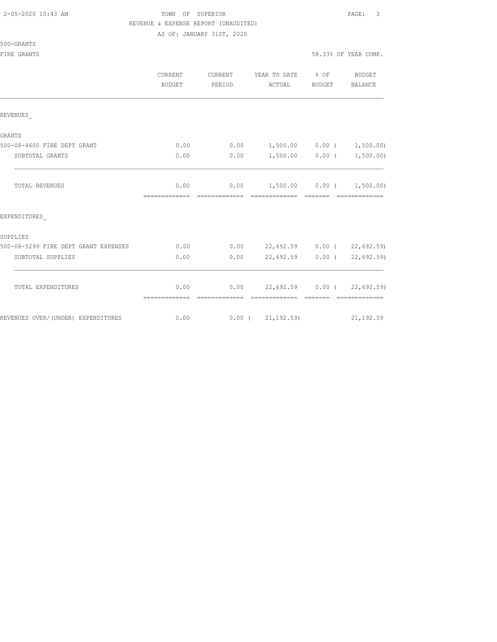|                                      | <b>CURRENT</b><br>BUDGET | CURRENT<br>PERIOD | YEAR TO DATE % OF<br>ACTUAL                         | BUDGET            | <b>BUDGET</b><br><b>BALANCE</b>                                                                                                                                                                                                                                                                                                                                                                                                                                                        |
|--------------------------------------|--------------------------|-------------------|-----------------------------------------------------|-------------------|----------------------------------------------------------------------------------------------------------------------------------------------------------------------------------------------------------------------------------------------------------------------------------------------------------------------------------------------------------------------------------------------------------------------------------------------------------------------------------------|
| REVENUES                             |                          |                   |                                                     |                   |                                                                                                                                                                                                                                                                                                                                                                                                                                                                                        |
| GRANTS                               |                          |                   |                                                     |                   |                                                                                                                                                                                                                                                                                                                                                                                                                                                                                        |
| 500-08-4600 FIRE DEPT GRANT          | 0.00                     | 0.00              | 1,500.00 0.00 ( 1,500.00)                           |                   |                                                                                                                                                                                                                                                                                                                                                                                                                                                                                        |
| SUBTOTAL GRANTS                      | 0.00                     | 0.00              |                                                     | $1,500.00$ 0.00 ( | 1,500.00)                                                                                                                                                                                                                                                                                                                                                                                                                                                                              |
| <b>TOTAL REVENUES</b>                | 0.00                     |                   | $0.00$ 1,500.00 0.00 ( 1,500.00)                    |                   |                                                                                                                                                                                                                                                                                                                                                                                                                                                                                        |
| EXPENDITURES                         |                          |                   |                                                     |                   |                                                                                                                                                                                                                                                                                                                                                                                                                                                                                        |
| SUPPLIES                             |                          |                   |                                                     |                   |                                                                                                                                                                                                                                                                                                                                                                                                                                                                                        |
| 500-08-5299 FIRE DEPT GRANT EXPENSES | 0.00                     |                   | $0.00$ 22,692.59 0.00 ( 22,692.59)                  |                   |                                                                                                                                                                                                                                                                                                                                                                                                                                                                                        |
| SUBTOTAL SUPPLIES                    | 0.00                     | 0.00              | 22,692.59 0.00 (                                    |                   | 22,692.59                                                                                                                                                                                                                                                                                                                                                                                                                                                                              |
| TOTAL EXPENDITURES                   | 0.00<br>=============    | --------------    | $0.00$ 22,692.59 0.00 ( 22,692.59)<br>------------- | $---------$       | $\begin{array}{cccccccccc} \multicolumn{2}{c}{} & \multicolumn{2}{c}{} & \multicolumn{2}{c}{} & \multicolumn{2}{c}{} & \multicolumn{2}{c}{} & \multicolumn{2}{c}{} & \multicolumn{2}{c}{} & \multicolumn{2}{c}{} & \multicolumn{2}{c}{} & \multicolumn{2}{c}{} & \multicolumn{2}{c}{} & \multicolumn{2}{c}{} & \multicolumn{2}{c}{} & \multicolumn{2}{c}{} & \multicolumn{2}{c}{} & \multicolumn{2}{c}{} & \multicolumn{2}{c}{} & \multicolumn{2}{c}{} & \multicolumn{2}{c}{} & \mult$ |
| REVENUES OVER/(UNDER) EXPENDITURES   | 0.00                     |                   | $0.00$ ( $21,192.59$ ) 21,192.59                    |                   |                                                                                                                                                                                                                                                                                                                                                                                                                                                                                        |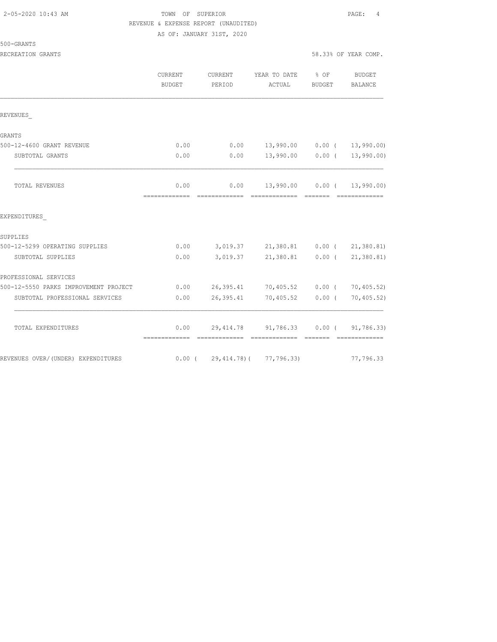### TOWN OF SUPERIOR **10:43 AM TOWN OF SUPERIOR** REVENUE & EXPENSE REPORT (UNAUDITED)

AS OF: JANUARY 31ST, 2020

| 500-GRANTS |  |
|------------|--|
|------------|--|

RECREATION GRANTS 58.33% OF YEAR COMP.

|                                       | <b>CURRENT</b><br>BUDGET | <b>CURRENT</b><br>PERIOD | YEAR TO DATE<br>ACTUAL                                                                                                                                                                                                                                                                                                                                                                                                                                                                                                                                                                                                     | $8$ OF<br>BUDGET | <b>BUDGET</b><br><b>BALANCE</b>                                                                                                                                                                                                                                                                                                                                                                                                                                                        |
|---------------------------------------|--------------------------|--------------------------|----------------------------------------------------------------------------------------------------------------------------------------------------------------------------------------------------------------------------------------------------------------------------------------------------------------------------------------------------------------------------------------------------------------------------------------------------------------------------------------------------------------------------------------------------------------------------------------------------------------------------|------------------|----------------------------------------------------------------------------------------------------------------------------------------------------------------------------------------------------------------------------------------------------------------------------------------------------------------------------------------------------------------------------------------------------------------------------------------------------------------------------------------|
| REVENUES                              |                          |                          |                                                                                                                                                                                                                                                                                                                                                                                                                                                                                                                                                                                                                            |                  |                                                                                                                                                                                                                                                                                                                                                                                                                                                                                        |
| GRANTS                                |                          |                          |                                                                                                                                                                                                                                                                                                                                                                                                                                                                                                                                                                                                                            |                  |                                                                                                                                                                                                                                                                                                                                                                                                                                                                                        |
| 500-12-4600 GRANT REVENUE             | 0.00                     | 0.00                     | $13,990.00$ $0.00$ ( $13,990.00$ )                                                                                                                                                                                                                                                                                                                                                                                                                                                                                                                                                                                         |                  |                                                                                                                                                                                                                                                                                                                                                                                                                                                                                        |
| SUBTOTAL GRANTS                       | 0.00                     | 0.00                     |                                                                                                                                                                                                                                                                                                                                                                                                                                                                                                                                                                                                                            |                  | 13,990.00   0.00 $(13,990.00)$                                                                                                                                                                                                                                                                                                                                                                                                                                                         |
| TOTAL REVENUES                        | 0.00<br>-------------    | -------------            | $0.00$ 13,990.00 0.00 ( 13,990.00)<br>$\begin{array}{ccc} \multicolumn{2}{c}{{\color{red}{{\color{magenta}{\color{black}{{\color{magenta}{\color{black}{{\color{magenta}{\color{black}{{\color{magenta}{\color{black}{{\color{magenta}{\color{black}{{\color{magenta}{\color{black}{{\color{magenta}{\color{black}{{\color{magenta}{\color{black}{{\color{magenta}{\color{black}{{\color{magenta}{\color{black}{{\color{magenta}{\color{black}{{\color{magenta}{\color{black}{{\color{magenta}{\color{black}{{\color{magenta}{\color{black}{{\color{magenta}{\color{black}{{\color{magenta}{\color{black}{{\color{magenta$ |                  | $\begin{array}{cccccccccc} \multicolumn{2}{c}{} & \multicolumn{2}{c}{} & \multicolumn{2}{c}{} & \multicolumn{2}{c}{} & \multicolumn{2}{c}{} & \multicolumn{2}{c}{} & \multicolumn{2}{c}{} & \multicolumn{2}{c}{} & \multicolumn{2}{c}{} & \multicolumn{2}{c}{} & \multicolumn{2}{c}{} & \multicolumn{2}{c}{} & \multicolumn{2}{c}{} & \multicolumn{2}{c}{} & \multicolumn{2}{c}{} & \multicolumn{2}{c}{} & \multicolumn{2}{c}{} & \multicolumn{2}{c}{} & \multicolumn{2}{c}{} & \mult$ |
| EXPENDITURES                          |                          |                          |                                                                                                                                                                                                                                                                                                                                                                                                                                                                                                                                                                                                                            |                  |                                                                                                                                                                                                                                                                                                                                                                                                                                                                                        |
| SUPPLIES                              |                          |                          |                                                                                                                                                                                                                                                                                                                                                                                                                                                                                                                                                                                                                            |                  |                                                                                                                                                                                                                                                                                                                                                                                                                                                                                        |
| 500-12-5299 OPERATING SUPPLIES        | 0.00                     |                          | 3,019.37 21,380.81 0.00 ( 21,380.81)                                                                                                                                                                                                                                                                                                                                                                                                                                                                                                                                                                                       |                  |                                                                                                                                                                                                                                                                                                                                                                                                                                                                                        |
| SUBTOTAL SUPPLIES                     | 0.00                     |                          | 3,019.37 21,380.81 0.00 (                                                                                                                                                                                                                                                                                                                                                                                                                                                                                                                                                                                                  |                  | 21,380.81)                                                                                                                                                                                                                                                                                                                                                                                                                                                                             |
| PROFESSIONAL SERVICES                 |                          |                          |                                                                                                                                                                                                                                                                                                                                                                                                                                                                                                                                                                                                                            |                  |                                                                                                                                                                                                                                                                                                                                                                                                                                                                                        |
| 500-12-5550 PARKS IMPROVEMENT PROJECT | 0.00                     |                          | 26,395.41 70,405.52 0.00 ( 70,405.52)                                                                                                                                                                                                                                                                                                                                                                                                                                                                                                                                                                                      |                  |                                                                                                                                                                                                                                                                                                                                                                                                                                                                                        |
| SUBTOTAL PROFESSIONAL SERVICES        | 0.00                     |                          | 26,395.41 70,405.52 0.00 (                                                                                                                                                                                                                                                                                                                                                                                                                                                                                                                                                                                                 |                  | 70, 405.52)                                                                                                                                                                                                                                                                                                                                                                                                                                                                            |
| TOTAL EXPENDITURES                    | 0.00<br>=============    |                          | 29,414.78 91,786.33 0.00 (91,786.33)<br>--------------                                                                                                                                                                                                                                                                                                                                                                                                                                                                                                                                                                     | --------         |                                                                                                                                                                                                                                                                                                                                                                                                                                                                                        |
| REVENUES OVER/(UNDER) EXPENDITURES    |                          |                          | $0.00$ ( 29,414.78) ( 77,796.33)                                                                                                                                                                                                                                                                                                                                                                                                                                                                                                                                                                                           |                  | 77,796.33                                                                                                                                                                                                                                                                                                                                                                                                                                                                              |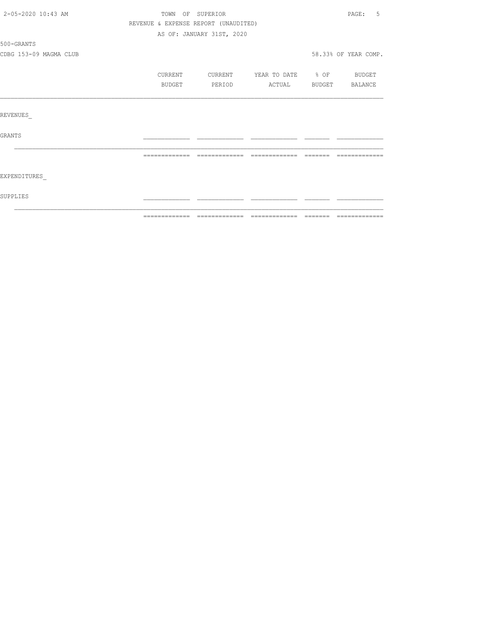| 2-05-2020 10:43 AM     | TOWN OF SUPERIOR                     |                           |              |           | $\texttt{PAGE}$ :<br>.5 |
|------------------------|--------------------------------------|---------------------------|--------------|-----------|-------------------------|
|                        | REVENUE & EXPENSE REPORT (UNAUDITED) |                           |              |           |                         |
|                        |                                      | AS OF: JANUARY 31ST, 2020 |              |           |                         |
| 500-GRANTS             |                                      |                           |              |           |                         |
| CDBG 153-09 MAGMA CLUB |                                      |                           |              |           | 58.33% OF YEAR COMP.    |
|                        | CURRENT                              | CURRENT                   | YEAR TO DATE | $\div$ OF | BUDGET                  |
|                        | BUDGET                               | PERIOD                    | ACTUAL       | BUDGET    | BALANCE                 |
|                        |                                      |                           |              |           |                         |
| REVENUES               |                                      |                           |              |           |                         |
| GRANTS                 |                                      |                           |              |           |                         |
|                        |                                      |                           |              |           |                         |
| EXPENDITURES           |                                      |                           |              |           |                         |
| SUPPLIES               |                                      |                           |              |           |                         |
|                        |                                      |                           |              |           |                         |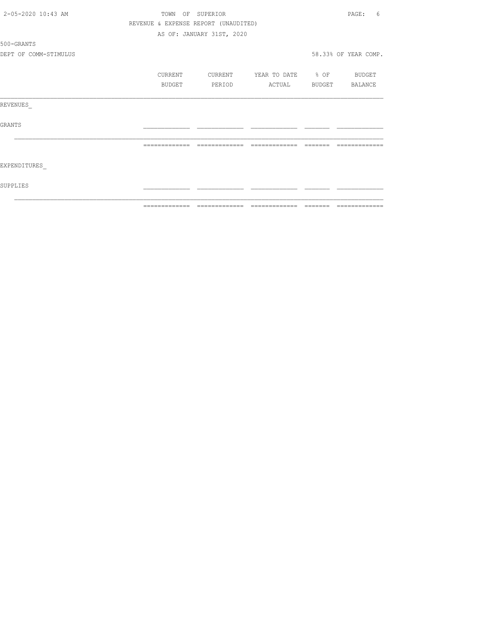| 2-05-2020 10:43 AM    |                | TOWN OF SUPERIOR                     |                          |                | PAGE:<br>6           |
|-----------------------|----------------|--------------------------------------|--------------------------|----------------|----------------------|
|                       |                | REVENUE & EXPENSE REPORT (UNAUDITED) |                          |                |                      |
|                       |                | AS OF: JANUARY 31ST, 2020            |                          |                |                      |
| 500-GRANTS            |                |                                      |                          |                |                      |
| DEPT OF COMM-STIMULUS |                |                                      |                          |                | 58.33% OF YEAR COMP. |
|                       | CURRENT        | CURRENT                              | YEAR TO DATE % OF BUDGET |                |                      |
|                       | BUDGET         | PERIOD                               | ACTUAL                   | BUDGET BALANCE |                      |
| REVENUES              |                |                                      |                          |                |                      |
| GRANTS                |                |                                      |                          |                |                      |
|                       | -------------- | --------------                       | =============            | --------       | -------------        |
| EXPENDITURES          |                |                                      |                          |                |                      |
| SUPPLIES              |                |                                      |                          |                |                      |
|                       |                |                                      |                          |                |                      |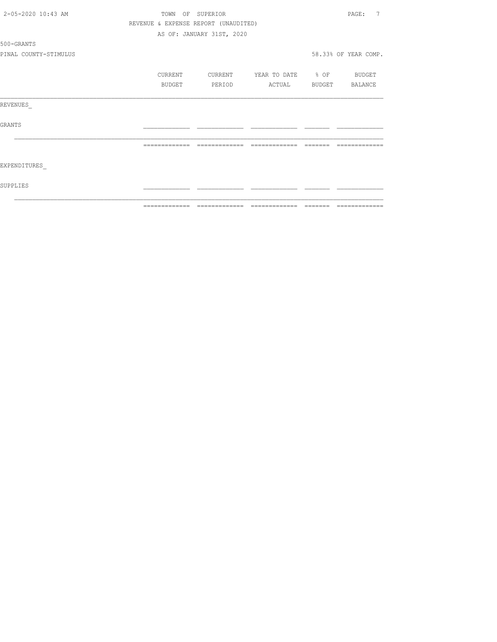|                       | -------------- |                                      |                   | _______ | -------------        |
|-----------------------|----------------|--------------------------------------|-------------------|---------|----------------------|
| SUPPLIES              |                |                                      |                   |         |                      |
| EXPENDITURES          |                |                                      |                   |         |                      |
|                       |                |                                      |                   |         |                      |
| GRANTS                |                |                                      |                   |         |                      |
| REVENUES              |                |                                      |                   |         |                      |
|                       | BUDGET         | PERIOD                               | ACTUAL            | BUDGET  | BALANCE              |
|                       | CURRENT        | CURRENT                              | YEAR TO DATE % OF |         | BUDGET               |
| PINAL COUNTY-STIMULUS |                |                                      |                   |         | 58.33% OF YEAR COMP. |
| 500-GRANTS            |                |                                      |                   |         |                      |
|                       |                | AS OF: JANUARY 31ST, 2020            |                   |         |                      |
|                       |                | REVENUE & EXPENSE REPORT (UNAUDITED) |                   |         |                      |
| 2-05-2020 10:43 AM    | TOWN           | OF SUPERIOR                          |                   |         | PAGE:<br>7           |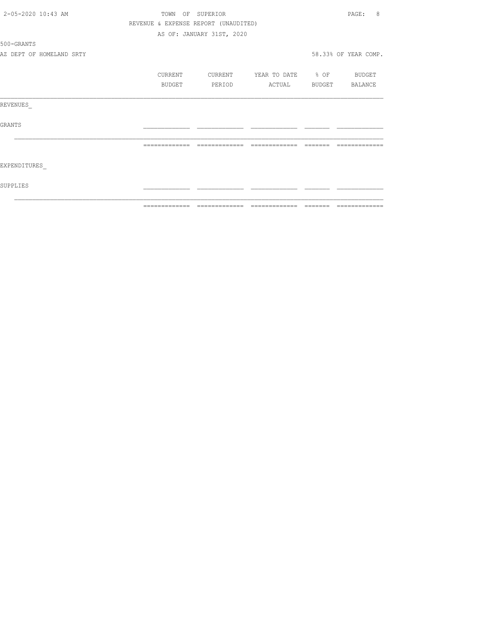| 2-05-2020 10:43 AM       | TOWN                 | OF SUPERIOR                          |                          |          | 8<br>PAGE:    |
|--------------------------|----------------------|--------------------------------------|--------------------------|----------|---------------|
|                          |                      | REVENUE & EXPENSE REPORT (UNAUDITED) |                          |          |               |
|                          |                      | AS OF: JANUARY 31ST, 2020            |                          |          |               |
| 500-GRANTS               |                      |                                      |                          |          |               |
| AZ DEPT OF HOMELAND SRTY | 58.33% OF YEAR COMP. |                                      |                          |          |               |
|                          | CURRENT              | CURRENT                              | YEAR TO DATE % OF BUDGET |          |               |
|                          | BUDGET               | PERIOD                               | ACTUAL BUDGET BALANCE    |          |               |
| REVENUES                 |                      |                                      |                          |          |               |
| <b>GRANTS</b>            |                      |                                      |                          |          |               |
|                          | -------------        | --------------                       | --------------           | -------- |               |
| EXPENDITURES             |                      |                                      |                          |          |               |
| SUPPLIES                 |                      |                                      |                          |          |               |
|                          | --------------       | -------------                        | --------------           | -------- | ------------- |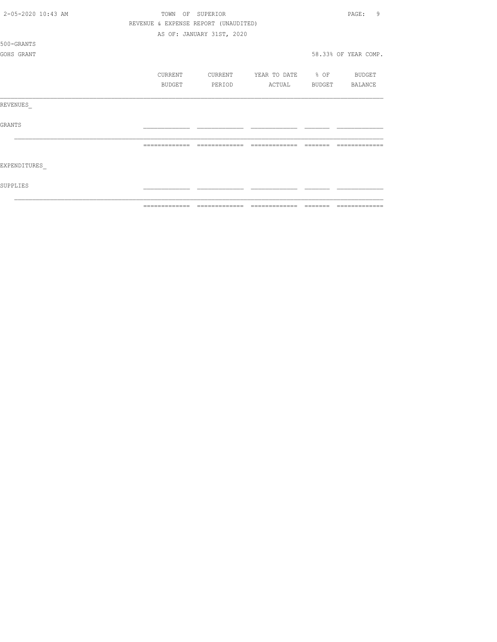| REVENUE & EXPENSE REPORT (UNAUDITED)<br>AS OF: JANUARY 31ST, 2020<br>500-GRANTS<br>58.33% OF YEAR COMP.<br>GOHS GRANT<br>YEAR TO DATE % OF<br>CURRENT<br>CURRENT<br><b>BUDGET</b><br>PERIOD<br>ACTUAL<br>BUDGET | 2-05-2020 10:43 AM | TOWN | $\bigcirc$ F<br>SUPERIOR |  |  | 9<br>PAGE:    |  |
|-----------------------------------------------------------------------------------------------------------------------------------------------------------------------------------------------------------------|--------------------|------|--------------------------|--|--|---------------|--|
|                                                                                                                                                                                                                 |                    |      |                          |  |  |               |  |
|                                                                                                                                                                                                                 |                    |      |                          |  |  |               |  |
|                                                                                                                                                                                                                 |                    |      |                          |  |  |               |  |
|                                                                                                                                                                                                                 |                    |      |                          |  |  |               |  |
|                                                                                                                                                                                                                 |                    |      |                          |  |  |               |  |
|                                                                                                                                                                                                                 |                    |      |                          |  |  | <b>BUDGET</b> |  |
| REVENUES<br><b>GRANTS</b><br>EXPENDITURES                                                                                                                                                                       |                    |      |                          |  |  | BALANCE       |  |
|                                                                                                                                                                                                                 |                    |      |                          |  |  |               |  |
|                                                                                                                                                                                                                 |                    |      |                          |  |  |               |  |
|                                                                                                                                                                                                                 |                    |      |                          |  |  |               |  |
|                                                                                                                                                                                                                 |                    |      |                          |  |  |               |  |
|                                                                                                                                                                                                                 |                    |      |                          |  |  |               |  |
|                                                                                                                                                                                                                 |                    |      |                          |  |  |               |  |
|                                                                                                                                                                                                                 |                    |      |                          |  |  |               |  |
| SUPPLIES                                                                                                                                                                                                        |                    |      |                          |  |  |               |  |
| =============<br>$=$ $=$ $=$ $=$ $=$                                                                                                                                                                            |                    |      |                          |  |  |               |  |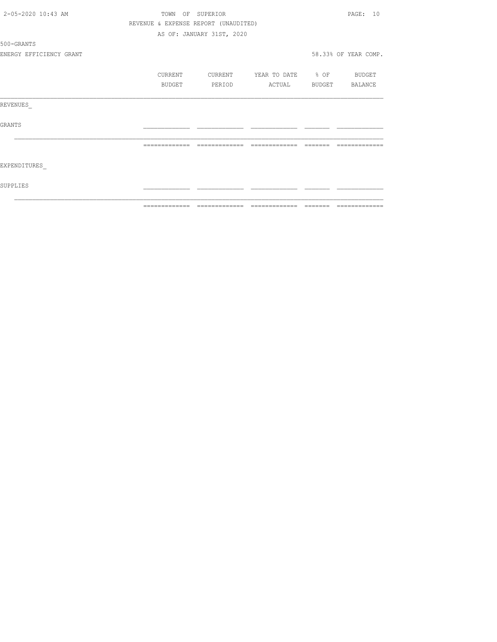| 2-05-2020 10:43 AM      | TOWN OF | SUPERIOR                             |                          |        | PAGE: 10             |
|-------------------------|---------|--------------------------------------|--------------------------|--------|----------------------|
|                         |         | REVENUE & EXPENSE REPORT (UNAUDITED) |                          |        |                      |
|                         |         | AS OF: JANUARY 31ST, 2020            |                          |        |                      |
| 500-GRANTS              |         |                                      |                          |        |                      |
| ENERGY EFFICIENCY GRANT |         |                                      |                          |        | 58.33% OF YEAR COMP. |
|                         | CURRENT | CURRENT                              | YEAR TO DATE % OF BUDGET |        |                      |
|                         | BUDGET  | PERIOD                               | ACTUAL                   | BUDGET | BALANCE              |
| REVENUES                |         |                                      |                          |        |                      |
| <b>GRANTS</b>           |         |                                      |                          |        |                      |
|                         |         | --------------                       | --------------           |        |                      |
| EXPENDITURES            |         |                                      |                          |        |                      |
| SUPPLIES                |         |                                      |                          |        |                      |
|                         |         |                                      |                          |        |                      |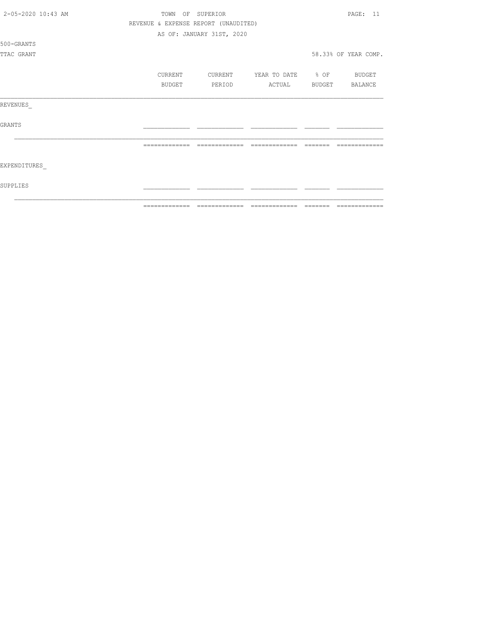| 2-05-2020 10:43 AM |               | TOWN OF SUPERIOR                                         |                          |         | PAGE: 11             |
|--------------------|---------------|----------------------------------------------------------|--------------------------|---------|----------------------|
|                    |               | REVENUE & EXPENSE REPORT (UNAUDITED)                     |                          |         |                      |
|                    |               | AS OF: JANUARY 31ST, 2020                                |                          |         |                      |
| 500-GRANTS         |               |                                                          |                          |         |                      |
| TTAC GRANT         |               |                                                          |                          |         | 58.33% OF YEAR COMP. |
|                    |               |                                                          |                          |         |                      |
|                    | CURRENT       | CURRENT                                                  | YEAR TO DATE % OF BUDGET |         |                      |
|                    | BUDGET        | PERIOD                                                   | ACTUAL BUDGET            |         | BALANCE              |
| REVENUES           |               |                                                          |                          |         |                      |
| <b>GRANTS</b>      |               |                                                          |                          |         |                      |
|                    |               | =============                                            |                          | ======= |                      |
| EXPENDITURES       |               |                                                          |                          |         |                      |
| SUPPLIES           |               |                                                          |                          |         |                      |
|                    | ============= | $\qquad \qquad = \qquad \qquad = \qquad \qquad = \qquad$ | --------------           |         | =============        |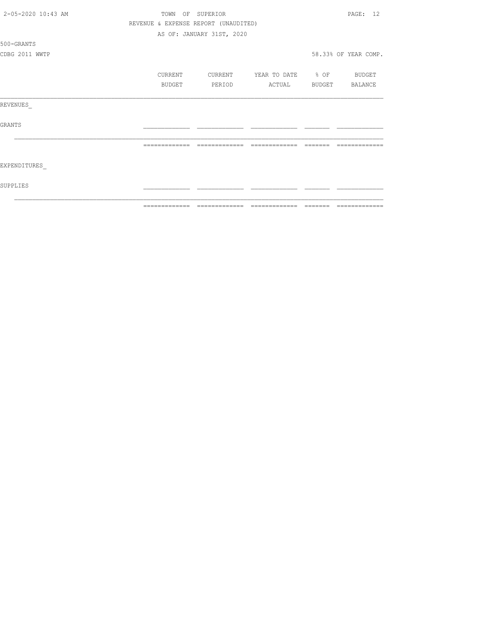| 2-05-2020 10:43 AM | TOWN<br>OF<br>SUPERIOR |                                      |                          |        | PAGE: 12             |
|--------------------|------------------------|--------------------------------------|--------------------------|--------|----------------------|
|                    |                        | REVENUE & EXPENSE REPORT (UNAUDITED) |                          |        |                      |
|                    |                        | AS OF: JANUARY 31ST, 2020            |                          |        |                      |
| 500-GRANTS         |                        |                                      |                          |        |                      |
| CDBG 2011 WWTP     |                        |                                      |                          |        | 58.33% OF YEAR COMP. |
|                    | CURRENT                | CURRENT                              | YEAR TO DATE % OF BUDGET |        |                      |
|                    | BUDGET                 | PERIOD                               | ACTUAL                   | BUDGET | BALANCE              |
| REVENUES           |                        |                                      |                          |        |                      |
| GRANTS             |                        |                                      |                          |        |                      |
|                    |                        | --------------                       | --------------           |        |                      |
| EXPENDITURES       |                        |                                      |                          |        |                      |
| SUPPLIES           |                        |                                      |                          |        |                      |
|                    | =============          |                                      |                          |        |                      |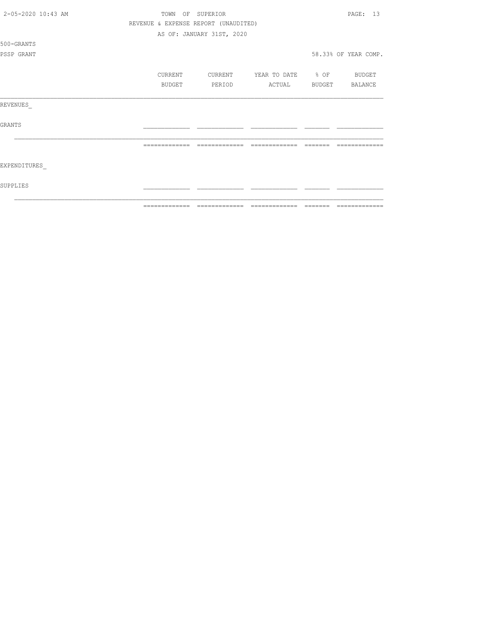| 2-05-2020 10:43 AM |                      | TOWN OF SUPERIOR                     |                                                                                                                                                                                                                                                                                                                                                                                                                                                                               |        | PAGE: 13 |  |
|--------------------|----------------------|--------------------------------------|-------------------------------------------------------------------------------------------------------------------------------------------------------------------------------------------------------------------------------------------------------------------------------------------------------------------------------------------------------------------------------------------------------------------------------------------------------------------------------|--------|----------|--|
|                    |                      | REVENUE & EXPENSE REPORT (UNAUDITED) |                                                                                                                                                                                                                                                                                                                                                                                                                                                                               |        |          |  |
|                    |                      | AS OF: JANUARY 31ST, 2020            |                                                                                                                                                                                                                                                                                                                                                                                                                                                                               |        |          |  |
| 500-GRANTS         |                      |                                      |                                                                                                                                                                                                                                                                                                                                                                                                                                                                               |        |          |  |
| PSSP GRANT         | 58.33% OF YEAR COMP. |                                      |                                                                                                                                                                                                                                                                                                                                                                                                                                                                               |        |          |  |
|                    | CURRENT              | CURRENT                              | YEAR TO DATE % OF BUDGET                                                                                                                                                                                                                                                                                                                                                                                                                                                      |        |          |  |
|                    | BUDGET               | PERIOD                               | ACTUAL                                                                                                                                                                                                                                                                                                                                                                                                                                                                        | BUDGET | BALANCE  |  |
| REVENUES           |                      |                                      |                                                                                                                                                                                                                                                                                                                                                                                                                                                                               |        |          |  |
| <b>GRANTS</b>      |                      |                                      |                                                                                                                                                                                                                                                                                                                                                                                                                                                                               |        |          |  |
|                    |                      | =============                        |                                                                                                                                                                                                                                                                                                                                                                                                                                                                               |        |          |  |
| EXPENDITURES       |                      |                                      |                                                                                                                                                                                                                                                                                                                                                                                                                                                                               |        |          |  |
| SUPPLIES           |                      |                                      |                                                                                                                                                                                                                                                                                                                                                                                                                                                                               |        |          |  |
|                    | =============        | ======                               | $\begin{array}{c} \multicolumn{2}{c} {\textbf 1} & \multicolumn{2}{c} {\textbf 2} & \multicolumn{2}{c} {\textbf 3} & \multicolumn{2}{c} {\textbf 4} & \multicolumn{2}{c} {\textbf 5} & \multicolumn{2}{c} {\textbf 6} & \multicolumn{2}{c} {\textbf 7} & \multicolumn{2}{c} {\textbf 8} & \multicolumn{2}{c} {\textbf 9} & \multicolumn{2}{c} {\textbf 1} & \multicolumn{2}{c} {\textbf 1} & \multicolumn{2}{c} {\textbf 1} & \multicolumn{2}{c} {\textbf 1} & \multicolumn{$ |        | ======   |  |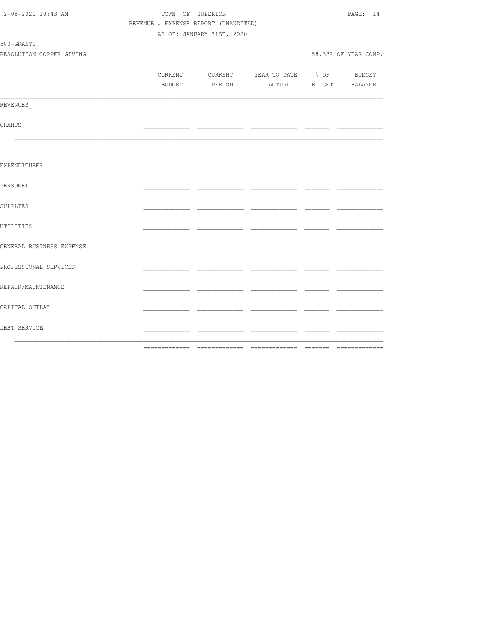|                          | REVENUE & EXPENSE REPORT (UNAUDITED) |                           |                                          |     |                       |
|--------------------------|--------------------------------------|---------------------------|------------------------------------------|-----|-----------------------|
|                          |                                      | AS OF: JANUARY 31ST, 2020 |                                          |     |                       |
| 500-GRANTS               |                                      |                           |                                          |     |                       |
| RESOLUTION COPPER GIVING |                                      |                           |                                          |     | 58.33% OF YEAR COMP.  |
|                          |                                      |                           |                                          |     |                       |
|                          |                                      |                           | CURRENT CURRENT YEAR TO DATE % OF BUDGET |     |                       |
|                          |                                      | BUDGET PERIOD             |                                          |     | ACTUAL BUDGET BALANCE |
| REVENUES                 |                                      |                           |                                          |     |                       |
| GRANTS                   |                                      |                           |                                          |     |                       |
|                          |                                      |                           |                                          |     |                       |
|                          |                                      |                           |                                          |     |                       |
| EXPENDITURES             |                                      |                           |                                          |     |                       |
| PERSONEL                 |                                      |                           |                                          |     |                       |
| SUPPLIES                 |                                      |                           |                                          |     |                       |
| UTILITIES                |                                      |                           |                                          |     |                       |
| GENERAL BUSINESS EXPENSE |                                      |                           |                                          | - - |                       |
| PROFESSIONAL SERVICES    |                                      |                           |                                          |     |                       |
| REPAIR/MAINTENANCE       |                                      |                           |                                          |     |                       |
| CAPITAL OUTLAY           |                                      |                           |                                          |     |                       |
| DEBT SERVICE             |                                      |                           |                                          |     |                       |
|                          |                                      |                           |                                          | - - |                       |
|                          |                                      |                           |                                          |     |                       |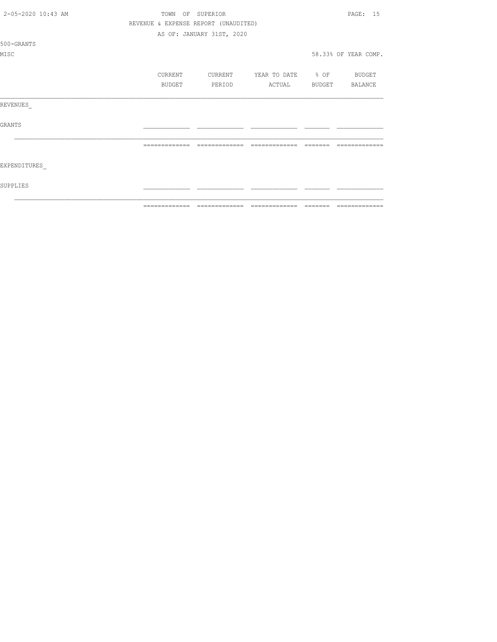| 2-05-2020 10:43 AM | TOWN<br>OF SUPERIOR |               |                                      |                                  |                                                                                                                                                                                                                                                                                                                                                                                                                                                                                            | PAGE: 15             |
|--------------------|---------------------|---------------|--------------------------------------|----------------------------------|--------------------------------------------------------------------------------------------------------------------------------------------------------------------------------------------------------------------------------------------------------------------------------------------------------------------------------------------------------------------------------------------------------------------------------------------------------------------------------------------|----------------------|
|                    |                     |               | REVENUE & EXPENSE REPORT (UNAUDITED) |                                  |                                                                                                                                                                                                                                                                                                                                                                                                                                                                                            |                      |
|                    |                     |               | AS OF: JANUARY 31ST, 2020            |                                  |                                                                                                                                                                                                                                                                                                                                                                                                                                                                                            |                      |
| 500-GRANTS         |                     |               |                                      |                                  |                                                                                                                                                                                                                                                                                                                                                                                                                                                                                            |                      |
| MISC               |                     |               |                                      |                                  |                                                                                                                                                                                                                                                                                                                                                                                                                                                                                            | 58.33% OF YEAR COMP. |
|                    |                     | CURRENT       |                                      | CURRENT YEAR TO DATE % OF BUDGET |                                                                                                                                                                                                                                                                                                                                                                                                                                                                                            |                      |
|                    |                     | <b>BUDGET</b> | PERIOD                               | ACTUAL BUDGET BALANCE            |                                                                                                                                                                                                                                                                                                                                                                                                                                                                                            |                      |
| REVENUES           |                     |               |                                      |                                  |                                                                                                                                                                                                                                                                                                                                                                                                                                                                                            |                      |
| <b>GRANTS</b>      |                     |               |                                      |                                  |                                                                                                                                                                                                                                                                                                                                                                                                                                                                                            |                      |
|                    | =============       |               | =============                        | =============                    | $\qquad \qquad \qquad =\qquad \qquad =\qquad \qquad =\qquad \qquad =\qquad \qquad =\qquad \qquad =\qquad \qquad =\qquad \qquad =\qquad \qquad =\qquad \qquad =\qquad \qquad =\qquad \qquad =\qquad \qquad =\qquad \qquad =\qquad \qquad =\qquad \qquad =\qquad \qquad =\qquad \qquad =\qquad \qquad =\qquad \qquad =\qquad \qquad =\qquad \qquad =\qquad \qquad =\qquad \qquad =\qquad \qquad =\qquad \qquad =\qquad \qquad =\qquad \qquad =\qquad \qquad =\qquad \qquad =\qquad \qquad =$ |                      |
| EXPENDITURES       |                     |               |                                      |                                  |                                                                                                                                                                                                                                                                                                                                                                                                                                                                                            |                      |
| SUPPLIES           |                     |               |                                      |                                  |                                                                                                                                                                                                                                                                                                                                                                                                                                                                                            |                      |
|                    | -------------       |               |                                      |                                  |                                                                                                                                                                                                                                                                                                                                                                                                                                                                                            | --------------       |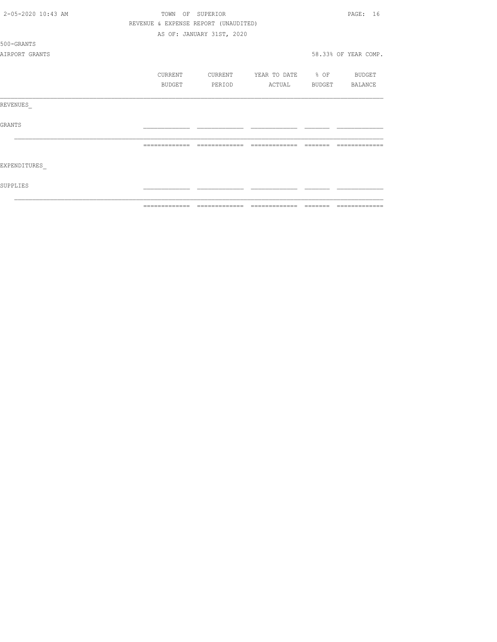| 2-05-2020 10:43 AM | TOWN OF SUPERIOR |               |                                      |                          | PAGE: 16 |                      |  |
|--------------------|------------------|---------------|--------------------------------------|--------------------------|----------|----------------------|--|
|                    |                  |               | REVENUE & EXPENSE REPORT (UNAUDITED) |                          |          |                      |  |
|                    |                  |               | AS OF: JANUARY 31ST, 2020            |                          |          |                      |  |
| 500-GRANTS         |                  |               |                                      |                          |          |                      |  |
| AIRPORT GRANTS     |                  |               |                                      |                          |          | 58.33% OF YEAR COMP. |  |
|                    |                  | CURRENT       | CURRENT                              | YEAR TO DATE % OF BUDGET |          |                      |  |
|                    |                  | BUDGET        | PERIOD                               | ACTUAL                   |          | BUDGET BALANCE       |  |
| REVENUES           |                  |               |                                      |                          |          |                      |  |
| <b>GRANTS</b>      |                  |               |                                      |                          |          |                      |  |
|                    |                  |               |                                      |                          |          |                      |  |
| EXPENDITURES       |                  |               |                                      |                          |          |                      |  |
| SUPPLIES           |                  |               |                                      |                          |          |                      |  |
|                    |                  | ------------- |                                      | --------------           |          |                      |  |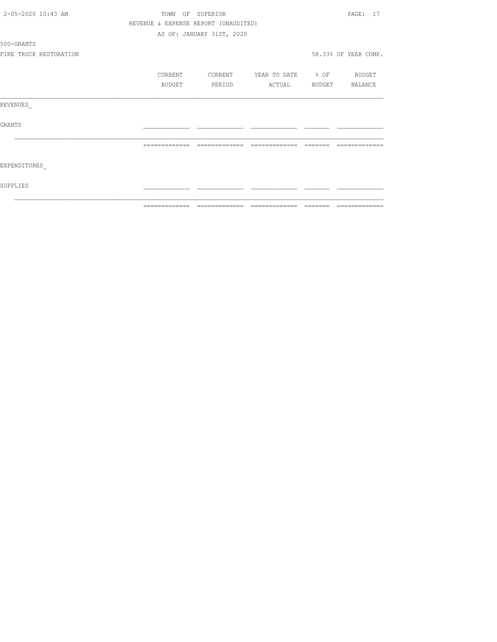| 2-05-2020 10:43 AM     |                | TOWN OF SUPERIOR                     |                          |          | PAGE: 17             |
|------------------------|----------------|--------------------------------------|--------------------------|----------|----------------------|
|                        |                | REVENUE & EXPENSE REPORT (UNAUDITED) |                          |          |                      |
|                        |                | AS OF: JANUARY 31ST, 2020            |                          |          |                      |
| 500-GRANTS             |                |                                      |                          |          |                      |
| FIRE TRUCK RESTORATION |                |                                      |                          |          | 58.33% OF YEAR COMP. |
|                        | <b>CURRENT</b> | CURRENT                              | YEAR TO DATE % OF BUDGET |          |                      |
|                        | BUDGET         | PERIOD                               | ACTUAL BUDGET BALANCE    |          |                      |
| REVENUES               |                |                                      |                          |          |                      |
| GRANTS                 |                |                                      |                          |          |                      |
|                        | -------------  | --------------                       | --------------           | -------- |                      |
| EXPENDITURES           |                |                                      |                          |          |                      |
| SUPPLIES               |                |                                      |                          |          |                      |
|                        | -------------- |                                      |                          |          |                      |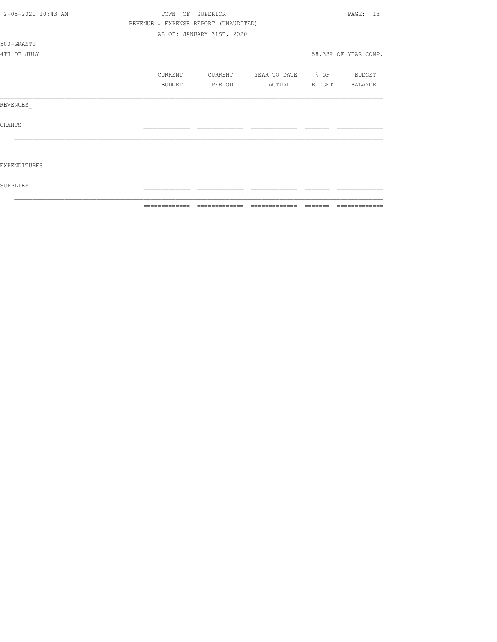|                    | ============= | ======                               |                   | ======= | =============        |
|--------------------|---------------|--------------------------------------|-------------------|---------|----------------------|
| SUPPLIES           |               |                                      |                   |         |                      |
| EXPENDITURES       |               |                                      |                   |         |                      |
|                    |               | =============                        | =============     |         |                      |
| <b>GRANTS</b>      |               |                                      |                   |         |                      |
| REVENUES           |               |                                      |                   |         |                      |
|                    | BUDGET        | PERIOD                               | ACTUAL            |         | BUDGET BALANCE       |
|                    | CURRENT       | CURRENT                              | YEAR TO DATE % OF |         | <b>BUDGET</b>        |
| 4TH OF JULY        |               |                                      |                   |         | 58.33% OF YEAR COMP. |
| 500-GRANTS         |               |                                      |                   |         |                      |
|                    |               | AS OF: JANUARY 31ST, 2020            |                   |         |                      |
|                    |               | REVENUE & EXPENSE REPORT (UNAUDITED) |                   |         |                      |
| 2-05-2020 10:43 AM | TOWN          | OF SUPERIOR                          |                   |         | 18<br>PAGE:          |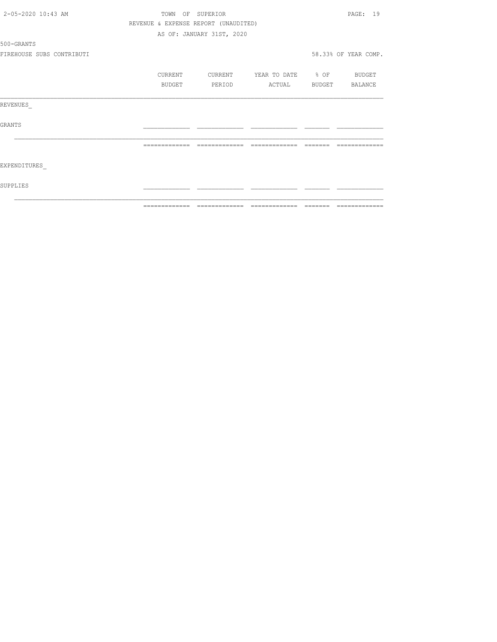| 2-05-2020 10:43 AM        | TOWN          | OF SUPERIOR                          |                          | PAGE: 19             |
|---------------------------|---------------|--------------------------------------|--------------------------|----------------------|
|                           |               | REVENUE & EXPENSE REPORT (UNAUDITED) |                          |                      |
|                           |               | AS OF: JANUARY 31ST, 2020            |                          |                      |
| 500-GRANTS                |               |                                      |                          |                      |
| FIREHOUSE SUBS CONTRIBUTI |               |                                      |                          | 58.33% OF YEAR COMP. |
|                           | CURRENT       | CURRENT                              | YEAR TO DATE % OF BUDGET |                      |
|                           | BUDGET        | PERIOD                               | ACTUAL                   | BUDGET BALANCE       |
| REVENUES                  |               |                                      |                          |                      |
| <b>GRANTS</b>             |               |                                      |                          |                      |
|                           |               |                                      |                          |                      |
| EXPENDITURES              |               |                                      |                          |                      |
| SUPPLIES                  |               |                                      |                          |                      |
|                           | ------------- |                                      | --------------           |                      |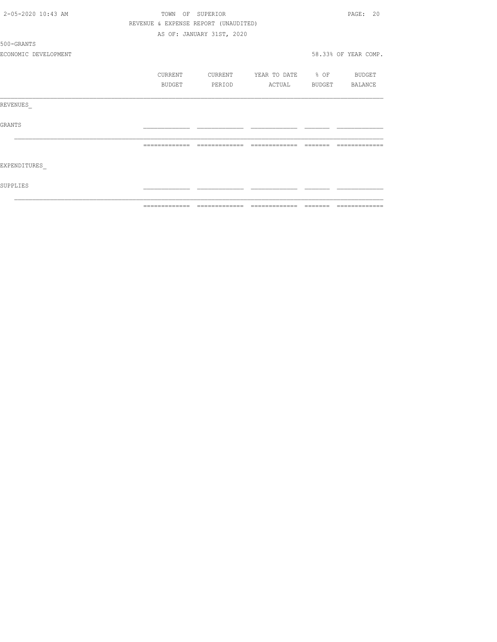| 2-05-2020 10:43 AM   |               | TOWN OF SUPERIOR                     |                          |         | PAGE: 20                                                                                                                                                                                                                                                                                                                                                                                                                                                                                     |
|----------------------|---------------|--------------------------------------|--------------------------|---------|----------------------------------------------------------------------------------------------------------------------------------------------------------------------------------------------------------------------------------------------------------------------------------------------------------------------------------------------------------------------------------------------------------------------------------------------------------------------------------------------|
|                      |               | REVENUE & EXPENSE REPORT (UNAUDITED) |                          |         |                                                                                                                                                                                                                                                                                                                                                                                                                                                                                              |
|                      |               | AS OF: JANUARY 31ST, 2020            |                          |         |                                                                                                                                                                                                                                                                                                                                                                                                                                                                                              |
| 500-GRANTS           |               |                                      |                          |         |                                                                                                                                                                                                                                                                                                                                                                                                                                                                                              |
| ECONOMIC DEVELOPMENT |               |                                      |                          |         | 58.33% OF YEAR COMP.                                                                                                                                                                                                                                                                                                                                                                                                                                                                         |
|                      | CURRENT       | CURRENT                              | YEAR TO DATE % OF BUDGET |         |                                                                                                                                                                                                                                                                                                                                                                                                                                                                                              |
|                      | <b>BUDGET</b> | PERIOD                               | ACTUAL                   |         | BUDGET BALANCE                                                                                                                                                                                                                                                                                                                                                                                                                                                                               |
| REVENUES             |               |                                      |                          |         |                                                                                                                                                                                                                                                                                                                                                                                                                                                                                              |
| GRANTS               |               |                                      |                          |         |                                                                                                                                                                                                                                                                                                                                                                                                                                                                                              |
|                      | ============= | =============                        | =============            |         |                                                                                                                                                                                                                                                                                                                                                                                                                                                                                              |
| EXPENDITURES         |               |                                      |                          |         |                                                                                                                                                                                                                                                                                                                                                                                                                                                                                              |
| SUPPLIES             |               |                                      |                          |         |                                                                                                                                                                                                                                                                                                                                                                                                                                                                                              |
|                      | ============= | =============                        | --------------           | ======= | $\begin{array}{c} \multicolumn{2}{c} {\textbf{1}} & \multicolumn{2}{c} {\textbf{2}} & \multicolumn{2}{c} {\textbf{3}} & \multicolumn{2}{c} {\textbf{4}} \\ \multicolumn{2}{c} {\textbf{5}} & \multicolumn{2}{c} {\textbf{6}} & \multicolumn{2}{c} {\textbf{7}} & \multicolumn{2}{c} {\textbf{8}} & \multicolumn{2}{c} {\textbf{9}} \\ \multicolumn{2}{c} {\textbf{1}} & \multicolumn{2}{c} {\textbf{1}} & \multicolumn{2}{c} {\textbf{1}} & \multicolumn{2}{c} {\textbf{1}} & \multicolumn{$ |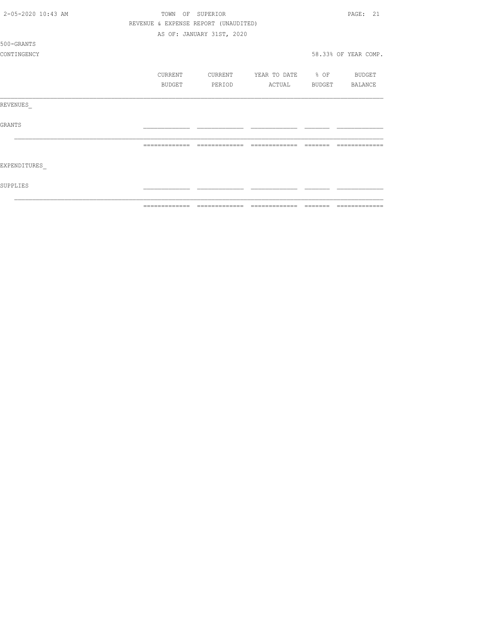| 2-05-2020 10:43 AM | OF<br>TOWN    | SUPERIOR                             |                   |               | PAGE: 21             |
|--------------------|---------------|--------------------------------------|-------------------|---------------|----------------------|
|                    |               | REVENUE & EXPENSE REPORT (UNAUDITED) |                   |               |                      |
|                    |               | AS OF: JANUARY 31ST, 2020            |                   |               |                      |
| 500-GRANTS         |               |                                      |                   |               |                      |
| CONTINGENCY        |               |                                      |                   |               | 58.33% OF YEAR COMP. |
|                    | CURRENT       | CURRENT                              | YEAR TO DATE % OF |               | BUDGET               |
|                    | BUDGET        | PERIOD                               | ACTUAL            | <b>BUDGET</b> | BALANCE              |
| REVENUES           |               |                                      |                   |               |                      |
| <b>GRANTS</b>      |               |                                      |                   |               |                      |
|                    | ------------- |                                      |                   |               |                      |
| EXPENDITURES       |               |                                      |                   |               |                      |
| SUPPLIES           |               |                                      |                   |               |                      |
|                    | ------------- |                                      | -------------     |               |                      |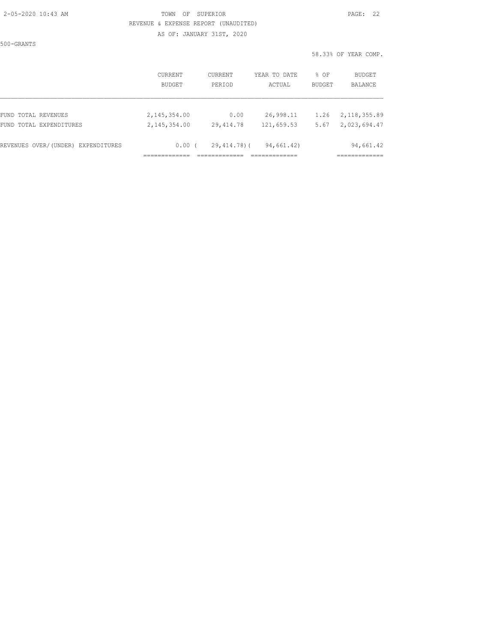#### 2-05-2020 10:43 AM TOWN OF SUPERIOR PAGE: 22 REVENUE & EXPENSE REPORT (UNAUDITED)

AS OF: JANUARY 31ST, 2020

500-GRANTS

|                                    | CURRENT         | <b>CURRENT</b> | YEAR TO DATE | % OF          | BUDGET         |
|------------------------------------|-----------------|----------------|--------------|---------------|----------------|
|                                    | <b>BUDGET</b>   | PERIOD         | ACTUAL       | <b>BUDGET</b> | BALANCE        |
| FUND TOTAL REVENUES                | 2,145,354.00    | 0.00           | 26,998.11    | 1.26          | 2, 118, 355.89 |
| FUND TOTAL EXPENDITURES            | 2, 145, 354, 00 | 29, 414.78     | 121,659.53   | 5.67          | 2,023,694.47   |
| REVENUES OVER/(UNDER) EXPENDITURES | 0.00            | 29,414.78)(    | 94,661.42)   |               | 94,661.42      |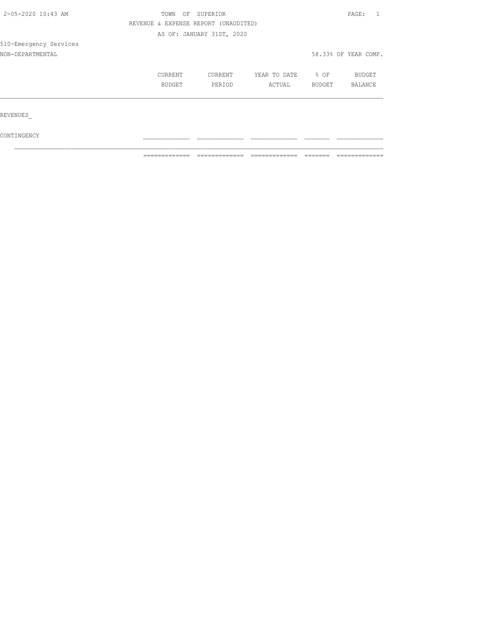| 2-05-2020 10:43 AM     | SUPERIOR<br>TOWN<br>OF |                                      |              |        |                      |
|------------------------|------------------------|--------------------------------------|--------------|--------|----------------------|
|                        |                        | REVENUE & EXPENSE REPORT (UNAUDITED) |              |        |                      |
|                        |                        | AS OF: JANUARY 31ST, 2020            |              |        |                      |
| 510-Emergency Services |                        |                                      |              |        |                      |
| NON-DEPARTMENTAL       |                        |                                      |              |        | 58.33% OF YEAR COMP. |
|                        | CURRENT                | CURRENT                              | YEAR TO DATE | % OF   | <b>BUDGET</b>        |
|                        | BUDGET                 | PERIOD                               | ACTUAL       | BUDGET | BALANCE              |
|                        |                        |                                      |              |        |                      |
| REVENUES               |                        |                                      |              |        |                      |
| CONTINGENCY            |                        |                                      |              |        |                      |

 $\mathcal{L}_\text{max}$ ============= ============= ============= ======= =============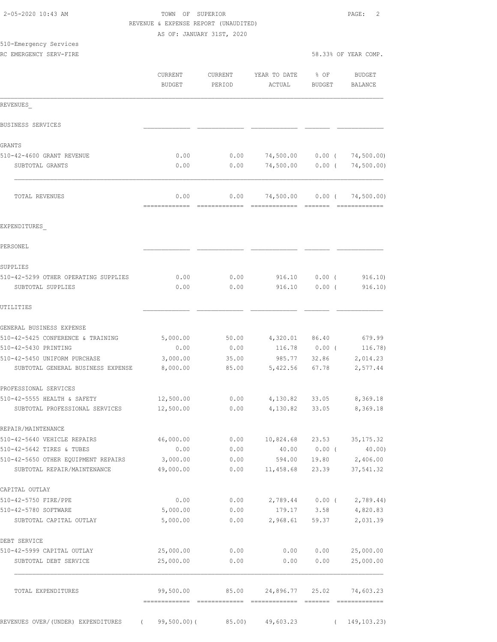|               |                                                       |                                                              |                                     | 58.33% OF YEAR COMP.                                                                                                                                                         |
|---------------|-------------------------------------------------------|--------------------------------------------------------------|-------------------------------------|------------------------------------------------------------------------------------------------------------------------------------------------------------------------------|
|               |                                                       |                                                              |                                     | BUDGET                                                                                                                                                                       |
| <b>BUDGET</b> | PERIOD                                                | ACTUAL                                                       | BUDGET                              | BALANCE                                                                                                                                                                      |
|               |                                                       |                                                              |                                     |                                                                                                                                                                              |
|               |                                                       |                                                              |                                     |                                                                                                                                                                              |
|               |                                                       |                                                              |                                     |                                                                                                                                                                              |
| 0.00          | 0.00                                                  |                                                              |                                     | 74, 500.00)                                                                                                                                                                  |
| 0.00          | 0.00                                                  | 74,500.00                                                    | 0.00(                               | 74,500.00)                                                                                                                                                                   |
| 0.00          | 0.00                                                  | 74,500.00                                                    |                                     | 74,500.00)<br>=============                                                                                                                                                  |
|               |                                                       |                                                              |                                     |                                                                                                                                                                              |
|               |                                                       |                                                              |                                     |                                                                                                                                                                              |
|               |                                                       |                                                              |                                     |                                                                                                                                                                              |
| 0.00<br>0.00  | 0.00<br>0.00                                          | 916.10<br>916.10                                             | $0.00$ (<br>0.00(                   | 916.10)<br>916.10)                                                                                                                                                           |
|               |                                                       |                                                              |                                     |                                                                                                                                                                              |
|               |                                                       |                                                              |                                     |                                                                                                                                                                              |
| 5,000.00      | 50.00                                                 |                                                              |                                     | 679.99                                                                                                                                                                       |
| 0.00          | 0.00                                                  |                                                              |                                     | 116.78)                                                                                                                                                                      |
| 3,000.00      | 35.00                                                 |                                                              | 32.86                               | 2,014.23                                                                                                                                                                     |
| 8,000.00      | 85.00                                                 |                                                              | 67.78                               | 2,577.44                                                                                                                                                                     |
|               |                                                       |                                                              |                                     |                                                                                                                                                                              |
| 12,500.00     | 0.00                                                  | 4,130.82                                                     | 33.05                               | 8,369.18                                                                                                                                                                     |
| 12,500.00     | 0.00                                                  | 4,130.82                                                     | 33.05                               | 8,369.18                                                                                                                                                                     |
|               |                                                       |                                                              |                                     |                                                                                                                                                                              |
| 46,000.00     | 0.00                                                  | 10,824.68                                                    | 23.53                               | 35, 175.32                                                                                                                                                                   |
| 0.00          | 0.00                                                  | 40.00                                                        | $0.00$ (                            | 40.00)                                                                                                                                                                       |
| 3,000.00      | 0.00                                                  | 594.00                                                       | 19.80                               | 2,406.00<br>37,541.32                                                                                                                                                        |
|               |                                                       |                                                              |                                     |                                                                                                                                                                              |
|               |                                                       |                                                              |                                     |                                                                                                                                                                              |
|               |                                                       |                                                              |                                     | 2,789.44)                                                                                                                                                                    |
| 5,000.00      | 0.00                                                  | 2,968.61                                                     | 59.37                               | 4,820.83<br>2,031.39                                                                                                                                                         |
|               |                                                       |                                                              |                                     |                                                                                                                                                                              |
| 25,000.00     | 0.00                                                  | 0.00                                                         | 0.00                                | 25,000.00                                                                                                                                                                    |
| 25,000.00     | 0.00                                                  | 0.00                                                         | 0.00                                | 25,000.00                                                                                                                                                                    |
|               |                                                       |                                                              |                                     | 74,603.23                                                                                                                                                                    |
|               | CURRENT<br>49,000.00<br>0.00<br>5,000.00<br>99,500.00 | AS OF: JANUARY 31ST, 2020<br>CURRENT<br>0.00<br>0.00<br>0.00 | YEAR TO DATE<br>11,458.68<br>179.17 | $8$ OF<br>74,500.00<br>$0.00$ (<br>$0.00$ (<br>4,320.01 86.40<br>116.78 0.00 (<br>985.77<br>5,422.56<br>23.39<br>2,789.44<br>$0.00$ (<br>3.58<br>85.00<br>24,896.77<br>25.02 |

============= ============= ============= ======= =============

 2-05-2020 10:43 AM TOWN OF SUPERIOR PAGE: 2 REVENUE & EXPENSE REPORT (UNAUDITED)

REVENUES OVER/(UNDER) EXPENDITURES ( 99,500.00)( 85.00) 49,603.23 ( 149,103.23)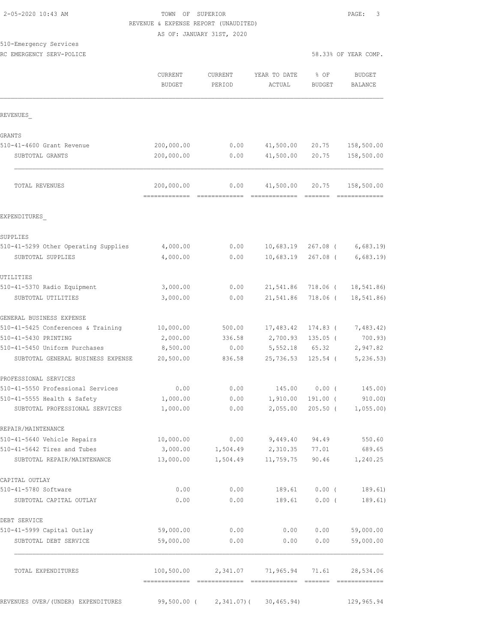### 2-05-2020 10:43 AM TOWN OF SUPERIOR PAGE: 3 REVENUE & EXPENSE REPORT (UNAUDITED)

AS OF: JANUARY 31ST, 2020

### 510-Emergency Services

RC EMERGENCY SERV-POLICE **For a state of the service of the service of the service of the service of the service of the service of the service of the service of the service of the service of the service of the service of t** 

|                                                                    | CURRENT<br><b>BUDGET</b>    | <b>CURRENT</b><br>PERIOD           | YEAR TO DATE<br>ACTUAL              | % OF<br>BUDGET                                                                                                                                                                                                                                                                                                                                                                                                                                                                                  | <b>BUDGET</b><br>BALANCE    |
|--------------------------------------------------------------------|-----------------------------|------------------------------------|-------------------------------------|-------------------------------------------------------------------------------------------------------------------------------------------------------------------------------------------------------------------------------------------------------------------------------------------------------------------------------------------------------------------------------------------------------------------------------------------------------------------------------------------------|-----------------------------|
| REVENUES                                                           |                             |                                    |                                     |                                                                                                                                                                                                                                                                                                                                                                                                                                                                                                 |                             |
| GRANTS                                                             |                             |                                    |                                     |                                                                                                                                                                                                                                                                                                                                                                                                                                                                                                 |                             |
| 510-41-4600 Grant Revenue                                          | 200,000.00                  | 0.00                               | 41,500.00                           | 20.75                                                                                                                                                                                                                                                                                                                                                                                                                                                                                           | 158,500.00                  |
| SUBTOTAL GRANTS                                                    | 200,000.00                  | 0.00                               | 41,500.00                           | 20.75                                                                                                                                                                                                                                                                                                                                                                                                                                                                                           | 158,500.00                  |
| TOTAL REVENUES                                                     | 200,000.00<br>============= | 0.00<br>--------------             | 41,500.00<br>-------------          | 20.75<br>$\begin{array}{cccccccccc} \multicolumn{2}{c}{} & \multicolumn{2}{c}{} & \multicolumn{2}{c}{} & \multicolumn{2}{c}{} & \multicolumn{2}{c}{} & \multicolumn{2}{c}{} & \multicolumn{2}{c}{} & \multicolumn{2}{c}{} & \multicolumn{2}{c}{} & \multicolumn{2}{c}{} & \multicolumn{2}{c}{} & \multicolumn{2}{c}{} & \multicolumn{2}{c}{} & \multicolumn{2}{c}{} & \multicolumn{2}{c}{} & \multicolumn{2}{c}{} & \multicolumn{2}{c}{} & \multicolumn{2}{c}{} & \multicolumn{2}{c}{} & \mult$ | 158,500.00<br>============= |
| EXPENDITURES                                                       |                             |                                    |                                     |                                                                                                                                                                                                                                                                                                                                                                                                                                                                                                 |                             |
| SUPPLIES                                                           |                             |                                    |                                     |                                                                                                                                                                                                                                                                                                                                                                                                                                                                                                 |                             |
| 510-41-5299 Other Operating Supplies                               | 4,000.00                    | 0.00                               | 10,683.19                           | 267.08 (                                                                                                                                                                                                                                                                                                                                                                                                                                                                                        | 6,683.19                    |
| SUBTOTAL SUPPLIES                                                  | 4,000.00                    | 0.00                               | 10,683.19                           | 267.08 (                                                                                                                                                                                                                                                                                                                                                                                                                                                                                        | 6,683.19                    |
| UTILITIES                                                          |                             |                                    |                                     |                                                                                                                                                                                                                                                                                                                                                                                                                                                                                                 |                             |
| 510-41-5370 Radio Equipment                                        | 3,000.00                    | 0.00                               | 21,541.86                           | 718.06 (                                                                                                                                                                                                                                                                                                                                                                                                                                                                                        | 18,541.86)                  |
| SUBTOTAL UTILITIES                                                 | 3,000.00                    | 0.00                               | 21,541.86                           | $718.06$ (                                                                                                                                                                                                                                                                                                                                                                                                                                                                                      | 18,541.86)                  |
| GENERAL BUSINESS EXPENSE                                           |                             |                                    |                                     |                                                                                                                                                                                                                                                                                                                                                                                                                                                                                                 |                             |
| 510-41-5425 Conferences & Training                                 | 10,000.00                   | 500.00                             | 17,483.42                           | 174.83 (                                                                                                                                                                                                                                                                                                                                                                                                                                                                                        | 7,483.42)                   |
| 510-41-5430 PRINTING                                               | 2,000.00                    | 336.58                             | 2,700.93                            | $135.05$ (                                                                                                                                                                                                                                                                                                                                                                                                                                                                                      | 700.93)                     |
| 510-41-5450 Uniform Purchases<br>SUBTOTAL GENERAL BUSINESS EXPENSE | 8,500.00<br>20,500.00       | 0.00<br>836.58                     | 5,552.18<br>25,736.53               | 65.32<br>$125.54$ (                                                                                                                                                                                                                                                                                                                                                                                                                                                                             | 2,947.82<br>5, 236.53)      |
| PROFESSIONAL SERVICES                                              |                             |                                    |                                     |                                                                                                                                                                                                                                                                                                                                                                                                                                                                                                 |                             |
| 510-41-5550 Professional Services                                  | 0.00                        | 0.00                               | 145.00                              | $0.00$ (                                                                                                                                                                                                                                                                                                                                                                                                                                                                                        | 145.00)                     |
| 510-41-5555 Health & Safety                                        | 1,000.00                    | 0.00                               | 1,910.00                            | 191.00 (                                                                                                                                                                                                                                                                                                                                                                                                                                                                                        | 910.00                      |
| SUBTOTAL PROFESSIONAL SERVICES                                     | 1,000.00                    | 0.00                               | 2,055.00                            | $205.50$ (                                                                                                                                                                                                                                                                                                                                                                                                                                                                                      | 1,055.00                    |
| REPAIR/MAINTENANCE                                                 |                             |                                    |                                     |                                                                                                                                                                                                                                                                                                                                                                                                                                                                                                 |                             |
| 510-41-5640 Vehicle Repairs                                        | 10,000.00                   |                                    | $0.00$ 9,449.40                     | 94.49                                                                                                                                                                                                                                                                                                                                                                                                                                                                                           | 550.60                      |
| 510-41-5642 Tires and Tubes                                        |                             |                                    | 3,000.00 1,504.49 2,310.35          | 77.01                                                                                                                                                                                                                                                                                                                                                                                                                                                                                           | 689.65                      |
| SUBTOTAL REPAIR/MAINTENANCE                                        |                             |                                    | 13,000.00   1,504.49   11,759.75    | 90.46                                                                                                                                                                                                                                                                                                                                                                                                                                                                                           | 1,240.25                    |
| CAPITAL OUTLAY                                                     |                             |                                    |                                     |                                                                                                                                                                                                                                                                                                                                                                                                                                                                                                 |                             |
| 510-41-5780 Software                                               | 0.00                        | 0.00                               |                                     | 189.61 0.00 (                                                                                                                                                                                                                                                                                                                                                                                                                                                                                   | 189.61)                     |
| SUBTOTAL CAPITAL OUTLAY                                            | 0.00                        | 0.00                               | 189.61                              | $0.00$ (                                                                                                                                                                                                                                                                                                                                                                                                                                                                                        | 189.61)                     |
| DEBT SERVICE                                                       |                             |                                    |                                     |                                                                                                                                                                                                                                                                                                                                                                                                                                                                                                 |                             |
| 510-41-5999 Capital Outlay                                         | 59,000.00                   | 0.00                               | 0.00                                | 0.00                                                                                                                                                                                                                                                                                                                                                                                                                                                                                            | 59,000.00                   |
| SUBTOTAL DEBT SERVICE                                              | 59,000.00                   | 0.00                               | 0.00                                | 0.00                                                                                                                                                                                                                                                                                                                                                                                                                                                                                            | 59,000.00                   |
| TOTAL EXPENDITURES                                                 |                             |                                    | 100,500.00 2,341.07 71,965.94 71.61 |                                                                                                                                                                                                                                                                                                                                                                                                                                                                                                 | 28,534.06                   |
| REVENUES OVER/(UNDER) EXPENDITURES                                 |                             | 99,500.00 ( 2,341.07) ( 30,465.94) |                                     |                                                                                                                                                                                                                                                                                                                                                                                                                                                                                                 | 129,965.94                  |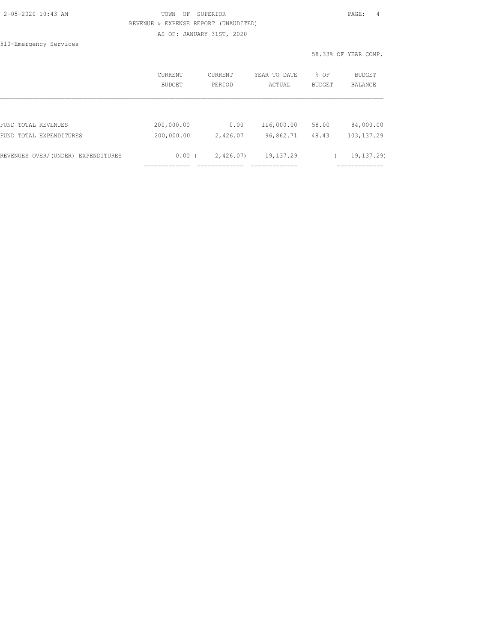| 2-05-2020 10:43 AM |  |
|--------------------|--|
|                    |  |

### TOWN OF SUPERIOR **10:43 AM TOWN OF SUPERIOR**  REVENUE & EXPENSE REPORT (UNAUDITED) AS OF: JANUARY 31ST, 2020

510-Emergency Services

|                                    | <b>CURRENT</b><br><b>BUDGET</b> | CURRENT<br>PERTOD | YEAR TO DATE<br>ACTUAL | % OF<br>BUDGET | BUDGET<br><b>BALANCE</b> |
|------------------------------------|---------------------------------|-------------------|------------------------|----------------|--------------------------|
|                                    |                                 |                   |                        |                |                          |
| FUND TOTAL REVENUES                | 200,000.00                      | 0.00              | 116,000.00             | 58.00          | 84,000.00                |
| FUND TOTAL EXPENDITURES            | 200,000.00                      | 2,426.07          | 96,862.71              | 48.43          | 103,137.29               |
| REVENUES OVER/(UNDER) EXPENDITURES | $0.00$ (                        | 2,426.07          | 19,137.29              |                | 19, 137.29               |
|                                    |                                 |                   |                        |                |                          |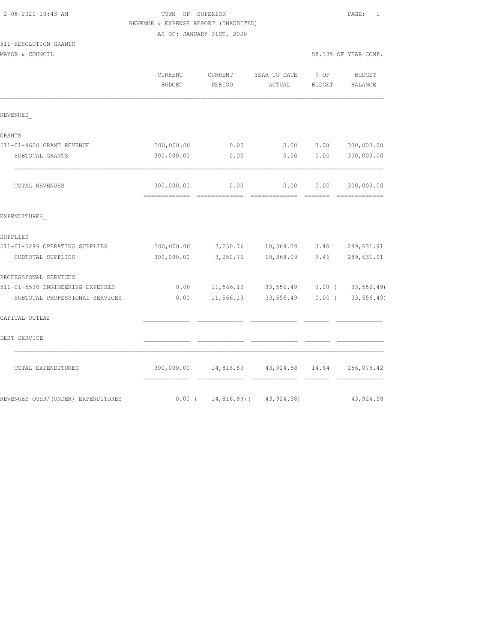| 2-05-2020 10:43 AM |  |
|--------------------|--|
|                    |  |

### TOWN OF SUPERIOR **10:43 AM TOWN OF SUPERIOR** REVENUE & EXPENSE REPORT (UNAUDITED)

AS OF: JANUARY 31ST, 2020

# 511-RESOLUTION GRANTS

|                                    | <b>CURRENT</b><br><b>BUDGET</b>               | <b>CURRENT</b><br>PERIOD | YEAR TO DATE<br>ACTUAL | $8$ OF<br><b>BUDGET</b>                                                                                                                                                                                                                                                                                                                                                                                                                                                                         | <b>BUDGET</b><br><b>BALANCE</b> |
|------------------------------------|-----------------------------------------------|--------------------------|------------------------|-------------------------------------------------------------------------------------------------------------------------------------------------------------------------------------------------------------------------------------------------------------------------------------------------------------------------------------------------------------------------------------------------------------------------------------------------------------------------------------------------|---------------------------------|
| REVENUES                           |                                               |                          |                        |                                                                                                                                                                                                                                                                                                                                                                                                                                                                                                 |                                 |
| GRANTS                             |                                               |                          |                        |                                                                                                                                                                                                                                                                                                                                                                                                                                                                                                 |                                 |
| 511-01-4600 GRANT REVENUE          | 300,000.00                                    | 0.00                     | 0.00                   | 0.00                                                                                                                                                                                                                                                                                                                                                                                                                                                                                            | 300,000.00                      |
| SUBTOTAL GRANTS                    | 300,000.00                                    | 0.00                     | 0.00                   | 0.00                                                                                                                                                                                                                                                                                                                                                                                                                                                                                            | 300,000.00                      |
| TOTAL REVENUES                     | 300,000.00<br>--------------                  | 0.00<br>-------------    | 0.00<br>-------------  | 0.00<br>--------                                                                                                                                                                                                                                                                                                                                                                                                                                                                                | 300,000.00                      |
| EXPENDITURES                       |                                               |                          |                        |                                                                                                                                                                                                                                                                                                                                                                                                                                                                                                 |                                 |
| SUPPLIES                           |                                               |                          |                        |                                                                                                                                                                                                                                                                                                                                                                                                                                                                                                 |                                 |
| 511-01-5299 OPERATING SUPPLIES     | 300,000.00                                    | 3,250.76                 | 10,368.09              | 3.46                                                                                                                                                                                                                                                                                                                                                                                                                                                                                            | 289,631.91                      |
| SUBTOTAL SUPPLIES                  | 300,000.00                                    | 3,250.76                 | 10,368.09              | 3.46                                                                                                                                                                                                                                                                                                                                                                                                                                                                                            | 289,631.91                      |
| PROFESSIONAL SERVICES              |                                               |                          |                        |                                                                                                                                                                                                                                                                                                                                                                                                                                                                                                 |                                 |
| 511-01-5530 ENGINEERING EXPENSES   | 0.00                                          | 11,566.13                | 33,556.49              |                                                                                                                                                                                                                                                                                                                                                                                                                                                                                                 | $0.00$ ( 33,556.49)             |
| SUBTOTAL PROFESSIONAL SERVICES     | 0.00                                          | 11,566.13                | 33,556.49              | $0.00$ (                                                                                                                                                                                                                                                                                                                                                                                                                                                                                        | 33,556.49)                      |
| CAPITAL OUTLAY                     |                                               |                          |                        |                                                                                                                                                                                                                                                                                                                                                                                                                                                                                                 |                                 |
| DEBT SERVICE                       |                                               |                          |                        |                                                                                                                                                                                                                                                                                                                                                                                                                                                                                                 |                                 |
| TOTAL EXPENDITURES                 | 300,000.00<br>=============================== | 14,816.89                | 43,924.58              | 14.64<br>$\begin{array}{cccccccccc} \multicolumn{2}{c}{} & \multicolumn{2}{c}{} & \multicolumn{2}{c}{} & \multicolumn{2}{c}{} & \multicolumn{2}{c}{} & \multicolumn{2}{c}{} & \multicolumn{2}{c}{} & \multicolumn{2}{c}{} & \multicolumn{2}{c}{} & \multicolumn{2}{c}{} & \multicolumn{2}{c}{} & \multicolumn{2}{c}{} & \multicolumn{2}{c}{} & \multicolumn{2}{c}{} & \multicolumn{2}{c}{} & \multicolumn{2}{c}{} & \multicolumn{2}{c}{} & \multicolumn{2}{c}{} & \multicolumn{2}{c}{} & \mult$ | 256,075.42<br>--------------    |
| REVENUES OVER/(UNDER) EXPENDITURES | $0.00$ (                                      | $14,816.89$ (            | 43, 924.58)            |                                                                                                                                                                                                                                                                                                                                                                                                                                                                                                 | 43, 924.58                      |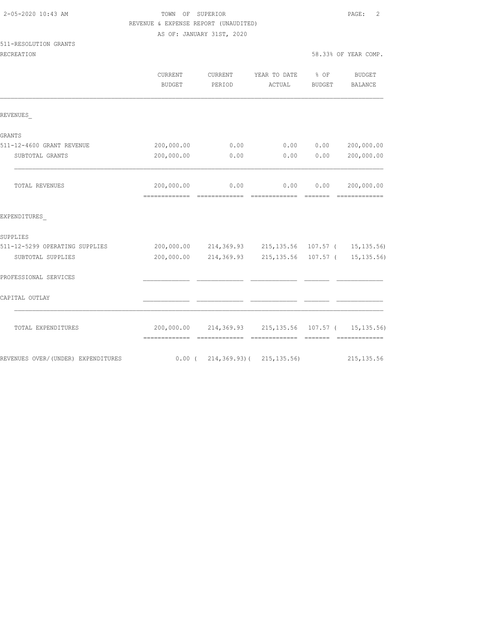| 2-05-2020 10:43 AM |  |  |  |
|--------------------|--|--|--|
|                    |  |  |  |

# TOWN OF SUPERIOR **Example 2** PAGE: 2 REVENUE & EXPENSE REPORT (UNAUDITED)

AS OF: JANUARY 31ST, 2020

#### 511-RESOLUTION GRANTS

|                                    | <b>CURRENT</b><br><b>BUDGET</b> | CURRENT<br>PERIOD                                                      | YEAR TO DATE<br>ACTUAL                    | % OF<br><b>BUDGET</b>                                       | <b>BUDGET</b><br><b>BALANCE</b>                                                                                                                                                                                                                                                                                                                                                                                                                                                        |
|------------------------------------|---------------------------------|------------------------------------------------------------------------|-------------------------------------------|-------------------------------------------------------------|----------------------------------------------------------------------------------------------------------------------------------------------------------------------------------------------------------------------------------------------------------------------------------------------------------------------------------------------------------------------------------------------------------------------------------------------------------------------------------------|
| REVENUES                           |                                 |                                                                        |                                           |                                                             |                                                                                                                                                                                                                                                                                                                                                                                                                                                                                        |
| GRANTS                             |                                 |                                                                        |                                           |                                                             |                                                                                                                                                                                                                                                                                                                                                                                                                                                                                        |
| 511-12-4600 GRANT REVENUE          | 200,000.00                      | 0.00                                                                   | 0.00                                      | 0.00                                                        | 200,000.00                                                                                                                                                                                                                                                                                                                                                                                                                                                                             |
| SUBTOTAL GRANTS                    | 200,000.00                      | 0.00                                                                   | 0.00                                      | 0.00                                                        | 200,000.00                                                                                                                                                                                                                                                                                                                                                                                                                                                                             |
| TOTAL REVENUES                     | 200,000.00                      | 0.00                                                                   | 0.00                                      | 0.00                                                        | 200,000.00                                                                                                                                                                                                                                                                                                                                                                                                                                                                             |
| EXPENDITURES                       |                                 |                                                                        |                                           |                                                             |                                                                                                                                                                                                                                                                                                                                                                                                                                                                                        |
| SUPPLIES                           |                                 |                                                                        |                                           |                                                             |                                                                                                                                                                                                                                                                                                                                                                                                                                                                                        |
| 511-12-5299 OPERATING SUPPLIES     |                                 | 200,000.00 214,369.93 215,135.56 107.57 ( 15,135.56)                   |                                           |                                                             |                                                                                                                                                                                                                                                                                                                                                                                                                                                                                        |
| SUBTOTAL SUPPLIES                  | 200,000.00                      |                                                                        | 214,369.93 215,135.56 107.57 ( 15,135.56) |                                                             |                                                                                                                                                                                                                                                                                                                                                                                                                                                                                        |
| PROFESSIONAL SERVICES              |                                 |                                                                        |                                           |                                                             |                                                                                                                                                                                                                                                                                                                                                                                                                                                                                        |
| CAPITAL OUTLAY                     |                                 |                                                                        |                                           |                                                             |                                                                                                                                                                                                                                                                                                                                                                                                                                                                                        |
| TOTAL EXPENDITURES                 | -------------                   | 200,000.00 214,369.93 215,135.56 107.57 ( 15,135.56)<br>-------------- | =============                             | $\begin{array}{cccccc} = & = & = & = & = & = & \end{array}$ | $\begin{array}{cccccccccc} \multicolumn{2}{c}{} & \multicolumn{2}{c}{} & \multicolumn{2}{c}{} & \multicolumn{2}{c}{} & \multicolumn{2}{c}{} & \multicolumn{2}{c}{} & \multicolumn{2}{c}{} & \multicolumn{2}{c}{} & \multicolumn{2}{c}{} & \multicolumn{2}{c}{} & \multicolumn{2}{c}{} & \multicolumn{2}{c}{} & \multicolumn{2}{c}{} & \multicolumn{2}{c}{} & \multicolumn{2}{c}{} & \multicolumn{2}{c}{} & \multicolumn{2}{c}{} & \multicolumn{2}{c}{} & \multicolumn{2}{c}{} & \mult$ |
| REVENUES OVER/(UNDER) EXPENDITURES | $0.00$ (                        |                                                                        | $214, 369.93$ ( $215, 135.56$ )           |                                                             | 215, 135.56                                                                                                                                                                                                                                                                                                                                                                                                                                                                            |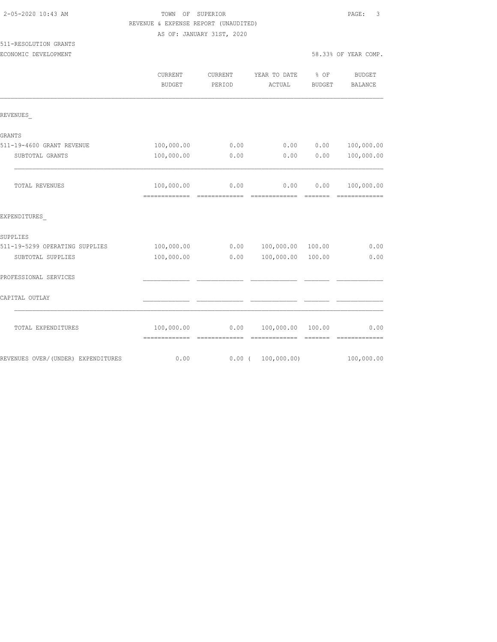| 2-05-2020 10:43 AM |  |
|--------------------|--|
|                    |  |

# TOWN OF SUPERIOR **10:43 AM TOWN OF SUPERIOR** REVENUE & EXPENSE REPORT (UNAUDITED)

AS OF: JANUARY 31ST, 2020

# 511-RESOLUTION GRANTS

| ECONOMIC DEVELOPMENT | 58.33% OF YEAR COMP. |  |
|----------------------|----------------------|--|
|                      |                      |  |

| 8.33% OF YEAR COMP. |  |
|---------------------|--|
|---------------------|--|

|                                     | CURRENT<br><b>BUDGET</b>                   | CURRENT<br>PERIOD       | YEAR TO DATE<br>ACTUAL      | % OF<br>BUDGET    | <b>BUDGET</b><br>BALANCE     |
|-------------------------------------|--------------------------------------------|-------------------------|-----------------------------|-------------------|------------------------------|
| REVENUES                            |                                            |                         |                             |                   |                              |
| <b>GRANTS</b>                       |                                            |                         |                             |                   |                              |
| 511-19-4600 GRANT REVENUE           | 100,000.00                                 | 0.00                    | 0.00                        | 0.00              | 100,000.00                   |
| SUBTOTAL GRANTS                     | 100,000.00                                 | 0.00                    | 0.00                        | 0.00              | 100,000.00                   |
| TOTAL REVENUES                      | 100,000.00<br>-------------- ------------- | 0.00                    | 0.00                        | 0.00              | 100,000.00<br>-------------- |
| EXPENDITURES                        |                                            |                         |                             |                   |                              |
| SUPPLIES                            |                                            |                         |                             |                   |                              |
| 511-19-5299 OPERATING SUPPLIES      | 100,000.00                                 | 0.00                    | 100,000.00                  | 100.00            | 0.00                         |
| SUBTOTAL SUPPLIES                   | 100,000.00                                 | 0.00                    | 100,000.00                  | 100.00            | 0.00                         |
| PROFESSIONAL SERVICES               |                                            |                         |                             |                   |                              |
| CAPITAL OUTLAY                      |                                            |                         |                             |                   |                              |
| TOTAL EXPENDITURES                  | 100,000.00<br>=============                | 0.00<br>- ============= | 100,000.00<br>============= | 100.00<br>======= | 0.00<br>=============        |
| REVENUES OVER/ (UNDER) EXPENDITURES | 0.00                                       |                         | $0.00$ ( 100,000.00)        |                   | 100,000.00                   |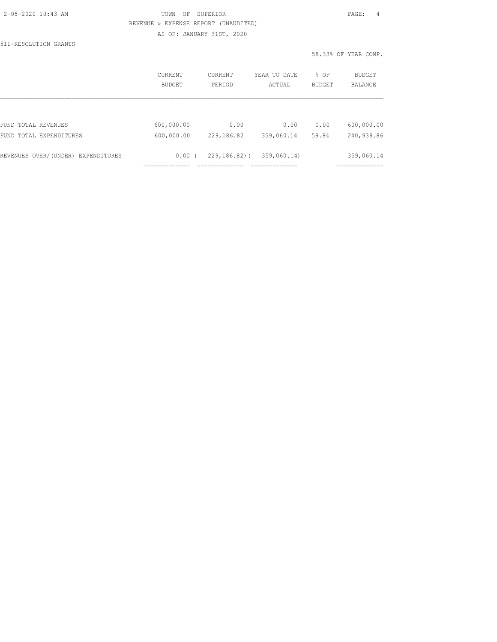| 2-05-2020 10:43 AM |  |
|--------------------|--|
|                    |  |

# TOWN OF SUPERIOR **PAGE:** 4 REVENUE & EXPENSE REPORT (UNAUDITED)

AS OF: JANUARY 31ST, 2020

511-RESOLUTION GRANTS

|                                    | <b>CURRENT</b> | CURRENT           | YEAR TO DATE | % OF          | BUDGET         |
|------------------------------------|----------------|-------------------|--------------|---------------|----------------|
|                                    | <b>BUDGET</b>  | PERTOD            | ACTUAL       | <b>BUDGET</b> | <b>BALANCE</b> |
| FUND TOTAL REVENUES                | 600,000.00     | 0.00              | 0.00         | 0.00          | 600,000.00     |
| FUND TOTAL EXPENDITURES            | 600,000.00     | 229,186.82        | 359,060.14   | 59.84         | 240,939.86     |
| REVENUES OVER/(UNDER) EXPENDITURES | $0.00$ (       | $229, 186, 82)$ ( | 359,060.14)  |               | 359,060.14     |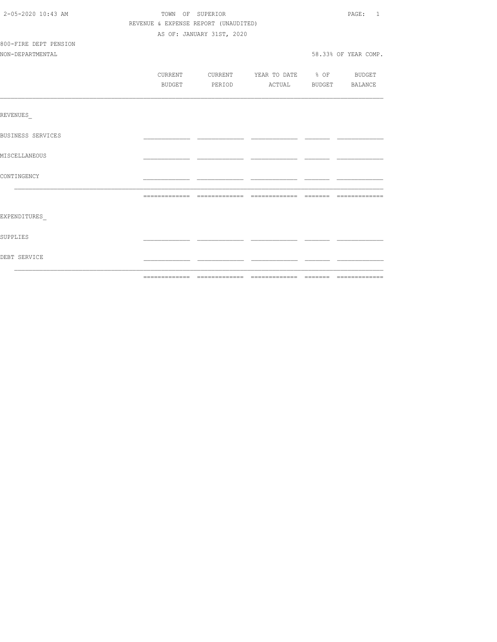| 2-05-2020 10:43 AM<br>TOWN OF SUPERIOR |         |                                      |  |  | PAGE: 1              |
|----------------------------------------|---------|--------------------------------------|--|--|----------------------|
|                                        |         | REVENUE & EXPENSE REPORT (UNAUDITED) |  |  |                      |
|                                        |         | AS OF: JANUARY 31ST, 2020            |  |  |                      |
| 800-FIRE DEPT PENSION                  |         |                                      |  |  |                      |
| NON-DEPARTMENTAL                       |         |                                      |  |  | 58.33% OF YEAR COMP. |
|                                        |         |                                      |  |  |                      |
|                                        | CURRENT | CURRENT YEAR TO DATE % OF BUDGET     |  |  |                      |
|                                        | BUDGET  | PERIOD ACTUAL BUDGET BALANCE         |  |  |                      |
|                                        |         |                                      |  |  |                      |
| REVENUES                               |         |                                      |  |  |                      |
| <b>BUSINESS SERVICES</b>               |         |                                      |  |  |                      |
| MISCELLANEOUS                          |         |                                      |  |  |                      |
| CONTINGENCY                            |         |                                      |  |  |                      |
|                                        |         |                                      |  |  |                      |
| EXPENDITURES                           |         |                                      |  |  |                      |
| SUPPLIES                               |         |                                      |  |  |                      |
| DEBT SERVICE                           |         |                                      |  |  |                      |
|                                        |         |                                      |  |  |                      |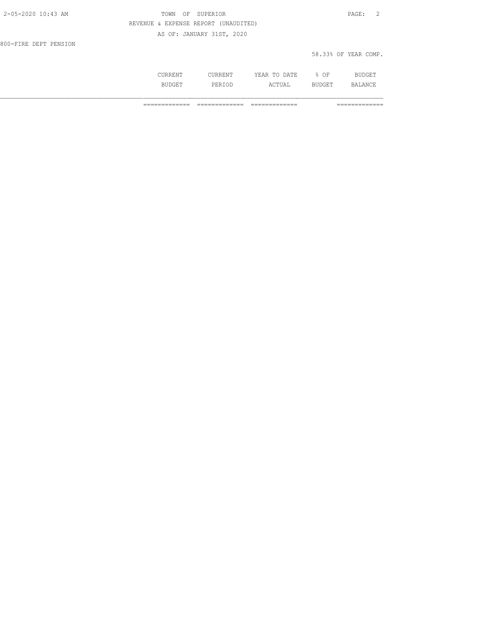| 2-05-2020 10:43 AM    | OF SUPERIOR<br>TOWN                  | PAGE: 2              |
|-----------------------|--------------------------------------|----------------------|
|                       | REVENUE & EXPENSE REPORT (UNAUDITED) |                      |
|                       | AS OF: JANUARY 31ST, 2020            |                      |
| 800-FIRE DEPT PENSION |                                      |                      |
|                       |                                      | 58.33% OF YEAR COMP. |
|                       |                                      |                      |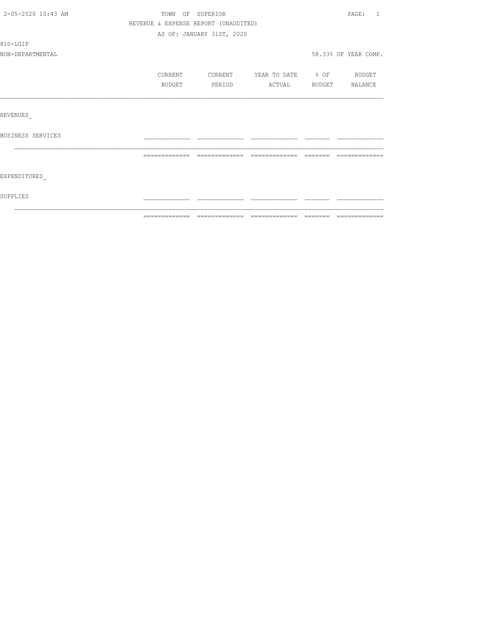| 2-05-2020 10:43 AM | TOWN OF SUPERIOR                     |                           |                   |         |                      |
|--------------------|--------------------------------------|---------------------------|-------------------|---------|----------------------|
|                    | REVENUE & EXPENSE REPORT (UNAUDITED) |                           |                   |         |                      |
|                    |                                      | AS OF: JANUARY 31ST, 2020 |                   |         |                      |
| 810-LGIP           |                                      |                           |                   |         |                      |
| NON-DEPARTMENTAL   |                                      |                           |                   |         | 58.33% OF YEAR COMP. |
|                    | CURRENT                              | CURRENT                   | YEAR TO DATE % OF |         | <b>BUDGET</b>        |
|                    | <b>BUDGET</b>                        | PERIOD                    | ACTUAL            |         | BUDGET BALANCE       |
|                    |                                      |                           |                   |         |                      |
| REVENUES           |                                      |                           |                   |         |                      |
| BUSINESS SERVICES  |                                      |                           |                   |         |                      |
|                    | ============================         |                           | --------------    | _______ | --------------       |
| EXPENDITURES       |                                      |                           |                   |         |                      |
| SUPPLIES           |                                      |                           |                   |         |                      |
|                    |                                      |                           |                   |         |                      |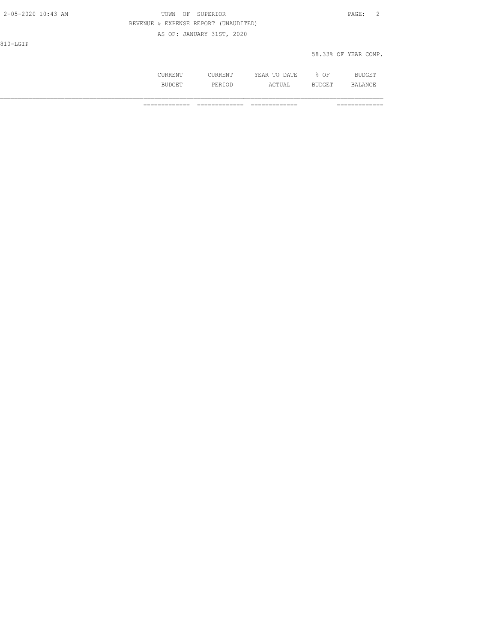| 2-05-2020 10:43 AM | SUPERIOR<br>TOWN<br>OF               | PAGE:<br>- 2         |
|--------------------|--------------------------------------|----------------------|
|                    | REVENUE & EXPENSE REPORT (UNAUDITED) |                      |
|                    | AS OF: JANUARY 31ST, 2020            |                      |
| 810-LGIP           |                                      |                      |
|                    |                                      | 58.33% OF YEAR COMP. |
|                    |                                      |                      |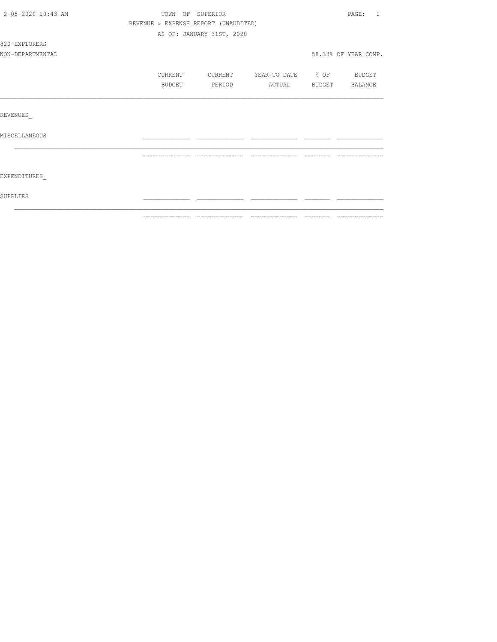| 2-05-2020 10:43 AM | TOWN OF SUPERIOR                     |                           |                   |          | PAGE:<br>$\overline{1}$ |
|--------------------|--------------------------------------|---------------------------|-------------------|----------|-------------------------|
|                    | REVENUE & EXPENSE REPORT (UNAUDITED) |                           |                   |          |                         |
|                    |                                      | AS OF: JANUARY 31ST, 2020 |                   |          |                         |
| 820-EXPLORERS      |                                      |                           |                   |          |                         |
| NON-DEPARTMENTAL   |                                      |                           |                   |          | 58.33% OF YEAR COMP.    |
|                    | CURRENT                              | CURRENT                   | YEAR TO DATE % OF |          | <b>BUDGET</b>           |
|                    | <b>BUDGET</b>                        | PERIOD                    | ACTUAL            |          | BUDGET BALANCE          |
|                    |                                      |                           |                   |          |                         |
| REVENUES           |                                      |                           |                   |          |                         |
| MISCELLANEOUS      |                                      |                           |                   |          |                         |
|                    | =============================        |                           | --------------    | -------- | --------------          |
|                    |                                      |                           |                   |          |                         |
| EXPENDITURES       |                                      |                           |                   |          |                         |
| SUPPLIES           |                                      |                           |                   |          |                         |
|                    |                                      |                           |                   |          |                         |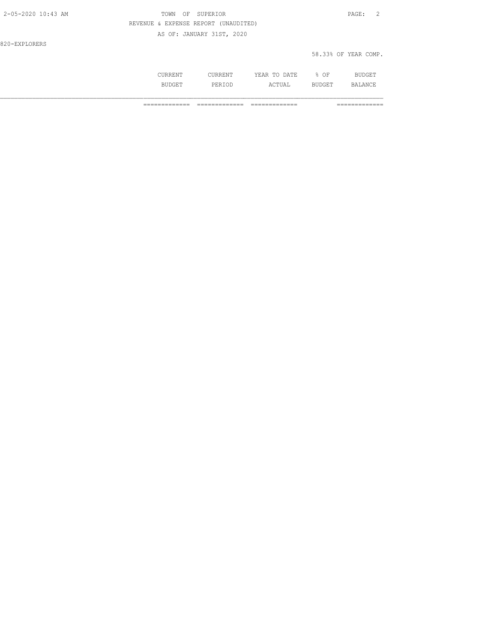| 2-05-2020 10:43 AM | TOWN<br>SUPERIOR<br>OF               | $\texttt{PAGE}$ :<br>- 2 |
|--------------------|--------------------------------------|--------------------------|
|                    | REVENUE & EXPENSE REPORT (UNAUDITED) |                          |
|                    | AS OF: JANUARY 31ST, 2020            |                          |
| 820-EXPLORERS      |                                      |                          |
|                    |                                      | 58.33% OF YEAR COMP.     |
|                    |                                      |                          |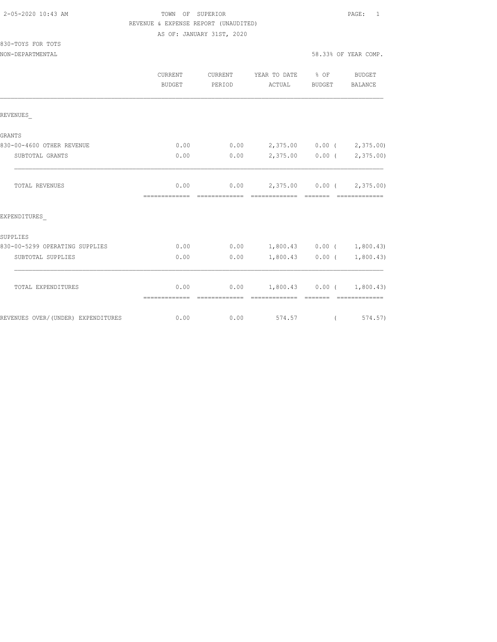### TOWN OF SUPERIOR **10:43 AM TOWN OF SUPERIOR** REVENUE & EXPENSE REPORT (UNAUDITED)

AS OF: JANUARY 31ST, 2020

| 830-TOYS FOR TOTS |  |  |
|-------------------|--|--|
|                   |  |  |

|                                    | CURRENT<br>BUDGET     | CURRENT<br>PERIOD     | YEAR TO DATE % OF<br>ACTUAL                                                                                                                                                                                                                                                                                                                                                                                                                                                                                | BUDGET                                                      | BUDGET<br>BALANCE                           |
|------------------------------------|-----------------------|-----------------------|------------------------------------------------------------------------------------------------------------------------------------------------------------------------------------------------------------------------------------------------------------------------------------------------------------------------------------------------------------------------------------------------------------------------------------------------------------------------------------------------------------|-------------------------------------------------------------|---------------------------------------------|
| REVENUES                           |                       |                       |                                                                                                                                                                                                                                                                                                                                                                                                                                                                                                            |                                                             |                                             |
| GRANTS                             |                       |                       |                                                                                                                                                                                                                                                                                                                                                                                                                                                                                                            |                                                             |                                             |
| 830-00-4600 OTHER REVENUE          | 0.00                  | 0.00                  |                                                                                                                                                                                                                                                                                                                                                                                                                                                                                                            |                                                             | 2,375.00 0.00 ( 2,375.00)                   |
| SUBTOTAL GRANTS                    | 0.00                  | 0.00                  |                                                                                                                                                                                                                                                                                                                                                                                                                                                                                                            | $2,375.00$ 0.00 (                                           | 2,375.00)                                   |
| <b>TOTAL REVENUES</b>              | 0.00<br>------------- | 0.00<br>seesseessees  | 2,375.00 0.00 ( 2,375.00)<br>$\begin{array}{cccccc} \multicolumn{2}{c}{{\color{red}c}} & \multicolumn{2}{c}{{\color{red}c}} & \multicolumn{2}{c}{{\color{red}c}} & \multicolumn{2}{c}{{\color{red}c}} & \multicolumn{2}{c}{{\color{red}c}} & \multicolumn{2}{c}{{\color{red}c}} & \multicolumn{2}{c}{{\color{red}c}} & \multicolumn{2}{c}{{\color{red}c}} & \multicolumn{2}{c}{{\color{red}c}} & \multicolumn{2}{c}{{\color{red}c}} & \multicolumn{2}{c}{{\color{red}c}} & \multicolumn{2}{c}{{\color{red$ |                                                             | - cocococococo                              |
| EXPENDITURES                       |                       |                       |                                                                                                                                                                                                                                                                                                                                                                                                                                                                                                            |                                                             |                                             |
| SUPPLIES                           |                       |                       |                                                                                                                                                                                                                                                                                                                                                                                                                                                                                                            |                                                             |                                             |
| 830-00-5299 OPERATING SUPPLIES     | 0.00                  | 0.00                  | $1,800.43$ 0.00 (                                                                                                                                                                                                                                                                                                                                                                                                                                                                                          |                                                             | 1,800.43)                                   |
| SUBTOTAL SUPPLIES                  | 0.00                  | 0.00                  |                                                                                                                                                                                                                                                                                                                                                                                                                                                                                                            | $1,800.43$ 0.00 (                                           | 1,800.43)                                   |
| TOTAL EXPENDITURES                 | 0.00                  | 0.00<br>============= | $\begin{array}{cccccccccc} \multicolumn{2}{c}{} & \multicolumn{2}{c}{} & \multicolumn{2}{c}{} & \multicolumn{2}{c}{} & \multicolumn{2}{c}{} & \multicolumn{2}{c}{} & \multicolumn{2}{c}{} & \multicolumn{2}{c}{} & \multicolumn{2}{c}{} & \multicolumn{2}{c}{} & \multicolumn{2}{c}{} & \multicolumn{2}{c}{} & \multicolumn{2}{c}{} & \multicolumn{2}{c}{} & \multicolumn{2}{c}{} & \multicolumn{2}{c}{} & \multicolumn{2}{c}{} & \multicolumn{2}{c}{} & \multicolumn{2}{c}{} & \mult$                     | $\begin{array}{cccccc} = & = & = & = & = & = & \end{array}$ | $1,800.43$ 0.00 ( 1,800.43)<br>essessessess |
| REVENUES OVER/(UNDER) EXPENDITURES | 0.00                  | 0.00                  | 574.57                                                                                                                                                                                                                                                                                                                                                                                                                                                                                                     | $\left($                                                    | 574.57)                                     |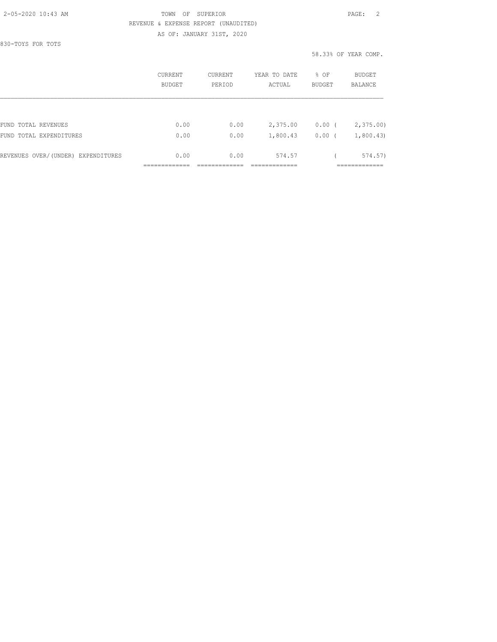### 2-05-2020 10:43 AM TOWN OF SUPERIOR PAGE: 2 REVENUE & EXPENSE REPORT (UNAUDITED)

AS OF: JANUARY 31ST, 2020

830-TOYS FOR TOTS

|                                    | CURRENT<br><b>BUDGET</b> | CURRENT<br>PERIOD | YEAR TO DATE<br>ACTUAL | % OF<br>BUDGET     | <b>BUDGET</b><br><b>BALANCE</b> |
|------------------------------------|--------------------------|-------------------|------------------------|--------------------|---------------------------------|
|                                    |                          |                   |                        |                    |                                 |
| FUND TOTAL REVENUES                | 0.00                     | 0.00              | 2,375.00               | $0.00$ (           | 2,375.00                        |
| FUND TOTAL EXPENDITURES            | 0.00                     | 0.00              | 1,800.43               | 0.00<br>$\sqrt{ }$ | 1,800.43                        |
| REVENUES OVER/(UNDER) EXPENDITURES | 0.00                     | 0.00              | 574.57                 |                    | 574.57)                         |
|                                    |                          |                   |                        |                    | ------------                    |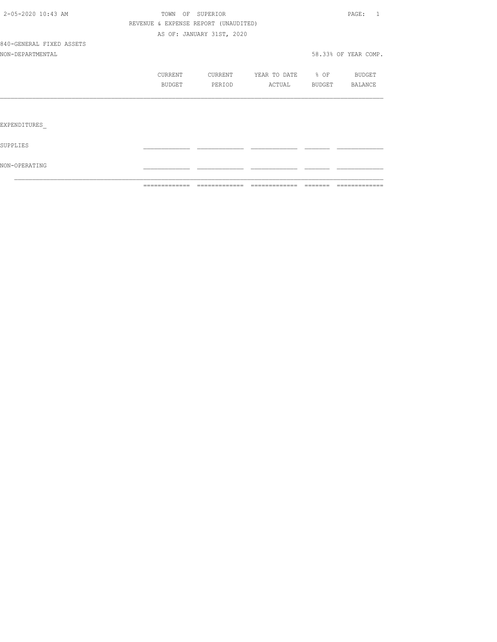|                          | =============                        | =============             | =======================  |               |                      |
|--------------------------|--------------------------------------|---------------------------|--------------------------|---------------|----------------------|
| NON-OPERATING            |                                      |                           |                          |               |                      |
| SUPPLIES                 |                                      |                           |                          |               |                      |
| EXPENDITURES             |                                      |                           |                          |               |                      |
|                          |                                      |                           |                          |               |                      |
|                          | BUDGET                               | PERIOD                    | ACTUAL                   | <b>BUDGET</b> | BALANCE              |
|                          | CURRENT                              | CURRENT                   | YEAR TO DATE % OF BUDGET |               |                      |
| NON-DEPARTMENTAL         |                                      |                           |                          |               | 58.33% OF YEAR COMP. |
| 840-GENERAL FIXED ASSETS |                                      |                           |                          |               |                      |
|                          |                                      | AS OF: JANUARY 31ST, 2020 |                          |               |                      |
|                          | REVENUE & EXPENSE REPORT (UNAUDITED) |                           |                          |               |                      |
| 2-05-2020 10:43 AM       |                                      | TOWN OF SUPERIOR          |                          |               | PAGE: 1              |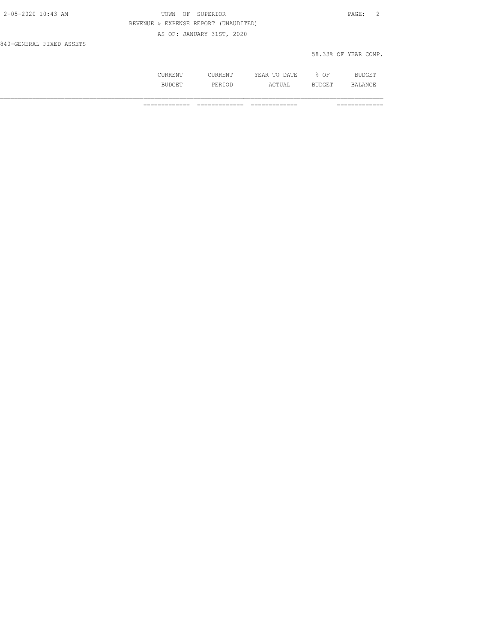| 2-05-2020 10:43 AM       | OF SUPERIOR<br>TOWN                  | PAGE: 2              |
|--------------------------|--------------------------------------|----------------------|
|                          | REVENUE & EXPENSE REPORT (UNAUDITED) |                      |
|                          | AS OF: JANUARY 31ST, 2020            |                      |
| 840-GENERAL FIXED ASSETS |                                      |                      |
|                          |                                      | 58.33% OF YEAR COMP. |

| . | .      | ----<br>----- | ◡    |     |
|---|--------|---------------|------|-----|
|   | $\sim$ |               | ---- | -NH |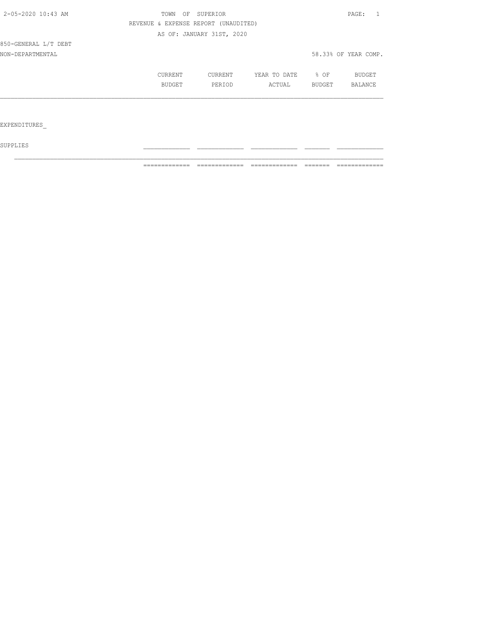| 2-05-2020 10:43 AM   | TOWN<br>OF     | SUPERIOR                             |              |        | PAGE:<br>-1          |
|----------------------|----------------|--------------------------------------|--------------|--------|----------------------|
|                      |                | REVENUE & EXPENSE REPORT (UNAUDITED) |              |        |                      |
|                      |                | AS OF: JANUARY 31ST, 2020            |              |        |                      |
| 850-GENERAL L/T DEBT |                |                                      |              |        |                      |
| NON-DEPARTMENTAL     |                |                                      |              |        | 58.33% OF YEAR COMP. |
|                      | <b>CURRENT</b> | CURRENT                              | YEAR TO DATE | $8$ OF | BUDGET               |
|                      | BUDGET         | PERIOD                               | ACTUAL       | BUDGET | BALANCE              |
|                      |                |                                      |              |        |                      |
|                      |                |                                      |              |        |                      |
| EXPENDITURES         |                |                                      |              |        |                      |

 ${\tt SUPPLIES}$